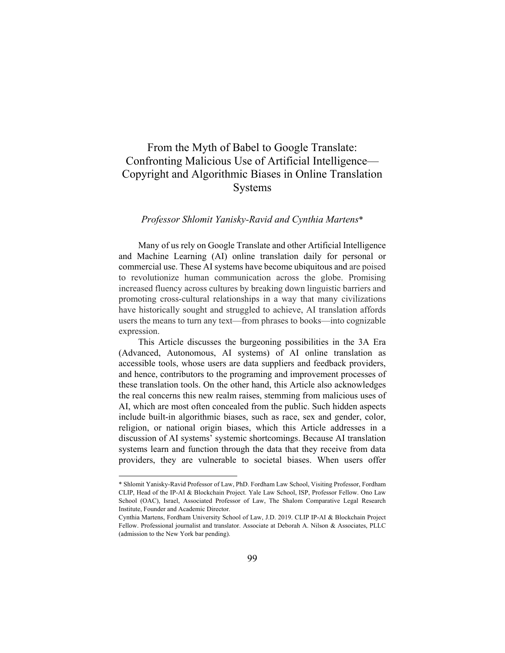# From the Myth of Babel to Google Translate: Confronting Malicious Use of Artificial Intelligence— Copyright and Algorithmic Biases in Online Translation Systems

### *Professor Shlomit Yanisky-Ravid and Cynthia Martens*\*

Many of us rely on Google Translate and other Artificial Intelligence and Machine Learning (AI) online translation daily for personal or commercial use. These AI systems have become ubiquitous and are poised to revolutionize human communication across the globe. Promising increased fluency across cultures by breaking down linguistic barriers and promoting cross-cultural relationships in a way that many civilizations have historically sought and struggled to achieve, AI translation affords users the means to turn any text—from phrases to books—into cognizable expression.

This Article discusses the burgeoning possibilities in the 3A Era (Advanced, Autonomous, AI systems) of AI online translation as accessible tools, whose users are data suppliers and feedback providers, and hence, contributors to the programing and improvement processes of these translation tools. On the other hand, this Article also acknowledges the real concerns this new realm raises, stemming from malicious uses of AI, which are most often concealed from the public. Such hidden aspects include built-in algorithmic biases, such as race, sex and gender, color, religion, or national origin biases, which this Article addresses in a discussion of AI systems' systemic shortcomings. Because AI translation systems learn and function through the data that they receive from data providers, they are vulnerable to societal biases. When users offer

<sup>\*</sup> Shlomit Yanisky-Ravid Professor of Law, PhD. Fordham Law School, Visiting Professor, Fordham CLIP, Head of the IP-AI & Blockchain Project. Yale Law School, ISP, Professor Fellow. Ono Law School (OAC), Israel, Associated Professor of Law, The Shalom Comparative Legal Research Institute, Founder and Academic Director.

Cynthia Martens, Fordham University School of Law, J.D. 2019. CLIP IP-AI & Blockchain Project Fellow. Professional journalist and translator. Associate at Deborah A. Nilson & Associates, PLLC (admission to the New York bar pending).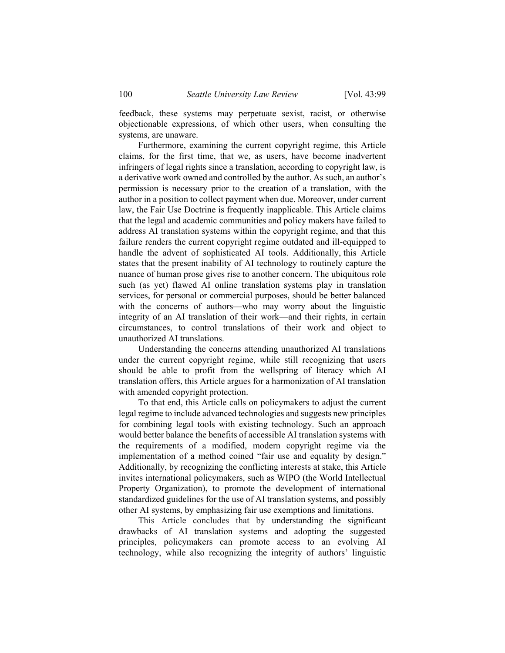feedback, these systems may perpetuate sexist, racist, or otherwise objectionable expressions, of which other users, when consulting the systems, are unaware.

Furthermore, examining the current copyright regime, this Article claims, for the first time, that we, as users, have become inadvertent infringers of legal rights since a translation, according to copyright law, is a derivative work owned and controlled by the author. As such, an author's permission is necessary prior to the creation of a translation, with the author in a position to collect payment when due. Moreover, under current law, the Fair Use Doctrine is frequently inapplicable. This Article claims that the legal and academic communities and policy makers have failed to address AI translation systems within the copyright regime, and that this failure renders the current copyright regime outdated and ill-equipped to handle the advent of sophisticated AI tools. Additionally, this Article states that the present inability of AI technology to routinely capture the nuance of human prose gives rise to another concern. The ubiquitous role such (as yet) flawed AI online translation systems play in translation services, for personal or commercial purposes, should be better balanced with the concerns of authors—who may worry about the linguistic integrity of an AI translation of their work—and their rights, in certain circumstances, to control translations of their work and object to unauthorized AI translations.

Understanding the concerns attending unauthorized AI translations under the current copyright regime, while still recognizing that users should be able to profit from the wellspring of literacy which AI translation offers, this Article argues for a harmonization of AI translation with amended copyright protection.

To that end, this Article calls on policymakers to adjust the current legal regime to include advanced technologies and suggests new principles for combining legal tools with existing technology. Such an approach would better balance the benefits of accessible AI translation systems with the requirements of a modified, modern copyright regime via the implementation of a method coined "fair use and equality by design." Additionally, by recognizing the conflicting interests at stake, this Article invites international policymakers, such as WIPO (the World Intellectual Property Organization), to promote the development of international standardized guidelines for the use of AI translation systems, and possibly other AI systems, by emphasizing fair use exemptions and limitations.

This Article concludes that by understanding the significant drawbacks of AI translation systems and adopting the suggested principles, policymakers can promote access to an evolving AI technology, while also recognizing the integrity of authors' linguistic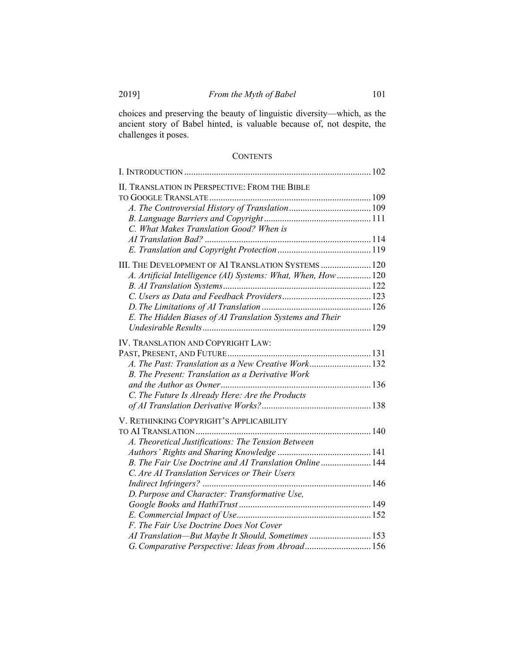choices and preserving the beauty of linguistic diversity—which, as the ancient story of Babel hinted, is valuable because of, not despite, the challenges it poses.

# **CONTENTS**

| II. TRANSLATION IN PERSPECTIVE: FROM THE BIBLE                |  |
|---------------------------------------------------------------|--|
|                                                               |  |
|                                                               |  |
| C. What Makes Translation Good? When is                       |  |
|                                                               |  |
|                                                               |  |
| III. THE DEVELOPMENT OF AI TRANSLATION SYSTEMS  120           |  |
| A. Artificial Intelligence (AI) Systems: What, When, How  120 |  |
|                                                               |  |
|                                                               |  |
|                                                               |  |
| E. The Hidden Biases of AI Translation Systems and Their      |  |
|                                                               |  |
| IV. TRANSLATION AND COPYRIGHT LAW:                            |  |
|                                                               |  |
| A. The Past: Translation as a New Creative Work132            |  |
| B. The Present: Translation as a Derivative Work              |  |
|                                                               |  |
| C. The Future Is Already Here: Are the Products               |  |
|                                                               |  |
|                                                               |  |
| V. RETHINKING COPYRIGHT'S APPLICABILITY                       |  |
|                                                               |  |
| A. Theoretical Justifications: The Tension Between            |  |
|                                                               |  |
| B. The Fair Use Doctrine and AI Translation Online 144        |  |
| C. Are AI Translation Services or Their Users                 |  |
|                                                               |  |
| D. Purpose and Character: Transformative Use,                 |  |
|                                                               |  |
|                                                               |  |
| F. The Fair Use Doctrine Does Not Cover                       |  |
| AI Translation-But Maybe It Should, Sometimes  153            |  |
| G. Comparative Perspective: Ideas from Abroad 156             |  |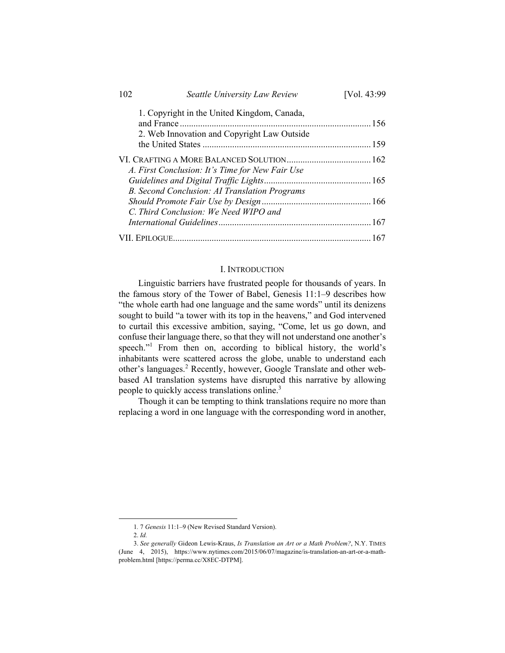| 102 | Seattle University Law Review                   | [Vol. 43:99] |
|-----|-------------------------------------------------|--------------|
|     | 1. Copyright in the United Kingdom, Canada,     |              |
|     | 2. Web Innovation and Copyright Law Outside     |              |
|     |                                                 |              |
|     | A. First Conclusion: It's Time for New Fair Use |              |
|     | B. Second Conclusion: AI Translation Programs   |              |
|     | C. Third Conclusion: We Need WIPO and           |              |
|     |                                                 |              |
|     |                                                 |              |

### I. INTRODUCTION

Linguistic barriers have frustrated people for thousands of years. In the famous story of the Tower of Babel, Genesis 11:1–9 describes how "the whole earth had one language and the same words" until its denizens sought to build "a tower with its top in the heavens," and God intervened to curtail this excessive ambition, saying, "Come, let us go down, and confuse their language there, so that they will not understand one another's speech."<sup>1</sup> From then on, according to biblical history, the world's inhabitants were scattered across the globe, unable to understand each other's languages.<sup>2</sup> Recently, however, Google Translate and other webbased AI translation systems have disrupted this narrative by allowing people to quickly access translations online.<sup>3</sup>

Though it can be tempting to think translations require no more than replacing a word in one language with the corresponding word in another,

 <sup>1</sup>*.* 7 *Genesis* 11:1–9 (New Revised Standard Version).

<sup>2.</sup> *Id.*

<sup>3.</sup> *See generally* Gideon Lewis-Kraus, *Is Translation an Art or a Math Problem?*, N.Y. TIMES (June 4, 2015), https://www.nytimes.com/2015/06/07/magazine/is-translation-an-art-or-a-mathproblem.html [https://perma.cc/X8EC-DTPM].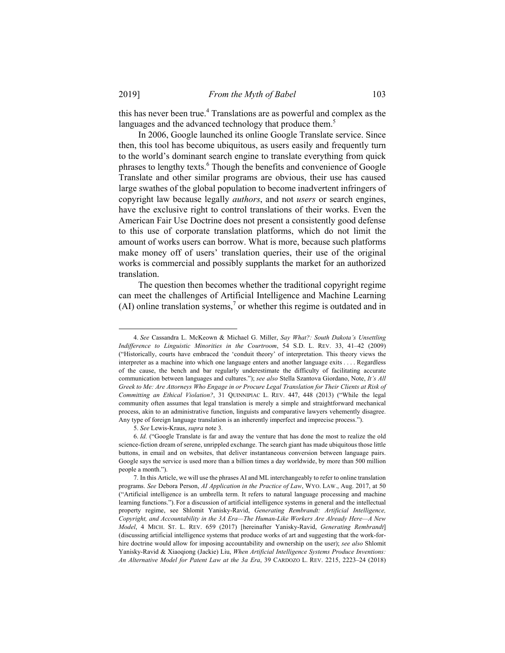this has never been true.<sup>4</sup> Translations are as powerful and complex as the languages and the advanced technology that produce them.<sup>5</sup>

In 2006, Google launched its online Google Translate service. Since then, this tool has become ubiquitous, as users easily and frequently turn to the world's dominant search engine to translate everything from quick phrases to lengthy texts.<sup>6</sup> Though the benefits and convenience of Google Translate and other similar programs are obvious, their use has caused large swathes of the global population to become inadvertent infringers of copyright law because legally *authors*, and not *users* or search engines, have the exclusive right to control translations of their works. Even the American Fair Use Doctrine does not present a consistently good defense to this use of corporate translation platforms, which do not limit the amount of works users can borrow. What is more, because such platforms make money off of users' translation queries, their use of the original works is commercial and possibly supplants the market for an authorized translation.

The question then becomes whether the traditional copyright regime can meet the challenges of Artificial Intelligence and Machine Learning  $(AI)$  online translation systems,<sup>7</sup> or whether this regime is outdated and in

 <sup>4.</sup> *See* Cassandra L. McKeown & Michael G. Miller, *Say What?: South Dakota's Unsettling Indifference to Linguistic Minorities in the Courtroom*, 54 S.D. L. REV. 33, 41–42 (2009) ("Historically, courts have embraced the 'conduit theory' of interpretation. This theory views the interpreter as a machine into which one language enters and another language exits . . . . Regardless of the cause, the bench and bar regularly underestimate the difficulty of facilitating accurate communication between languages and cultures."); *see also* Stella Szantova Giordano, Note, *It's All Greek to Me: Are Attorneys Who Engage in or Procure Legal Translation for Their Clients at Risk of Committing an Ethical Violation?*, 31 QUINNIPIAC L. REV. 447, 448 (2013) ("While the legal community often assumes that legal translation is merely a simple and straightforward mechanical process, akin to an administrative function, linguists and comparative lawyers vehemently disagree. Any type of foreign language translation is an inherently imperfect and imprecise process.").

<sup>5.</sup> *See* Lewis-Kraus, *supra* note 3*.*

<sup>6.</sup> *Id.* ("Google Translate is far and away the venture that has done the most to realize the old science-fiction dream of serene, unrippled exchange. The search giant has made ubiquitous those little buttons, in email and on websites, that deliver instantaneous conversion between language pairs. Google says the service is used more than a billion times a day worldwide, by more than 500 million people a month.").

 <sup>7.</sup> In this Article, we will use the phrases AI and ML interchangeably to refer to online translation programs. *See* Debora Person, *AI Application in the Practice of Law*, WYO. LAW., Aug. 2017, at 50 ("Artificial intelligence is an umbrella term. It refers to natural language processing and machine learning functions."). For a discussion of artificial intelligence systems in general and the intellectual property regime, see Shlomit Yanisky-Ravid, *Generating Rembrandt: Artificial Intelligence, Copyright, and Accountability in the 3A Era—The Human-Like Workers Are Already Here—A New Model*, 4 MICH. ST. L. REV. 659 (2017) [hereinafter Yanisky-Ravid, *Generating Rembrandt*] (discussing artificial intelligence systems that produce works of art and suggesting that the work-forhire doctrine would allow for imposing accountability and ownership on the user); *see also* Shlomit Yanisky-Ravid & Xiaoqiong (Jackie) Liu, *When Artificial Intelligence Systems Produce Inventions: An Alternative Model for Patent Law at the 3a Era*, 39 CARDOZO L. REV. 2215, 2223–24 (2018)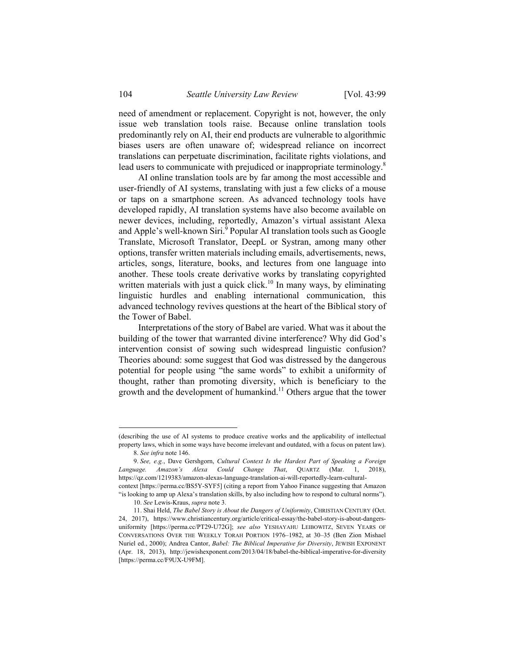need of amendment or replacement. Copyright is not, however, the only issue web translation tools raise. Because online translation tools predominantly rely on AI, their end products are vulnerable to algorithmic biases users are often unaware of; widespread reliance on incorrect translations can perpetuate discrimination, facilitate rights violations, and lead users to communicate with prejudiced or inappropriate terminology.<sup>8</sup>

AI online translation tools are by far among the most accessible and user-friendly of AI systems, translating with just a few clicks of a mouse or taps on a smartphone screen. As advanced technology tools have developed rapidly, AI translation systems have also become available on newer devices, including, reportedly, Amazon's virtual assistant Alexa and Apple's well-known Siri.<sup>9</sup> Popular AI translation tools such as Google Translate, Microsoft Translator, DeepL or Systran, among many other options, transfer written materials including emails, advertisements, news, articles, songs, literature, books, and lectures from one language into another. These tools create derivative works by translating copyrighted written materials with just a quick click.<sup>10</sup> In many ways, by eliminating linguistic hurdles and enabling international communication, this advanced technology revives questions at the heart of the Biblical story of the Tower of Babel.

Interpretations of the story of Babel are varied. What was it about the building of the tower that warranted divine interference? Why did God's intervention consist of sowing such widespread linguistic confusion? Theories abound: some suggest that God was distressed by the dangerous potential for people using "the same words" to exhibit a uniformity of thought, rather than promoting diversity, which is beneficiary to the growth and the development of humankind.<sup>11</sup> Others argue that the tower

1

<sup>(</sup>describing the use of AI systems to produce creative works and the applicability of intellectual property laws, which in some ways have become irrelevant and outdated, with a focus on patent law). 8. *See infra* note 146.

<sup>9.</sup> *See, e.g.*, Dave Gershgorn, *Cultural Context Is the Hardest Part of Speaking a Foreign Language. Amazon's Alexa Could Change That*, QUARTZ (Mar. 1, 2018), https://qz.com/1219383/amazon-alexas-language-translation-ai-will-reportedly-learn-culturalcontext [https://perma.cc/BS5Y-SYF5] (citing a report from Yahoo Finance suggesting that Amazon

<sup>&</sup>quot;is looking to amp up Alexa's translation skills, by also including how to respond to cultural norms"). 10. *See* Lewis-Kraus, *supra* note 3.

 <sup>11.</sup> Shai Held, *The Babel Story is About the Dangers of Uniformity*, CHRISTIAN CENTURY (Oct. 24, 2017), https://www.christiancentury.org/article/critical-essay/the-babel-story-is-about-dangersuniformity [https://perma.cc/PT29-U72G]; *see also* YESHAYAHU LEIBOWITZ, SEVEN YEARS OF CONVERSATIONS OVER THE WEEKLY TORAH PORTION 1976–1982, at 30–35 (Ben Zion Mishael Nuriel ed., 2000); Andrea Cantor, *Babel: The Biblical Imperative for Diversity*, JEWISH EXPONENT (Apr. 18, 2013), http://jewishexponent.com/2013/04/18/babel-the-biblical-imperative-for-diversity [https://perma.cc/F9UX-U9FM].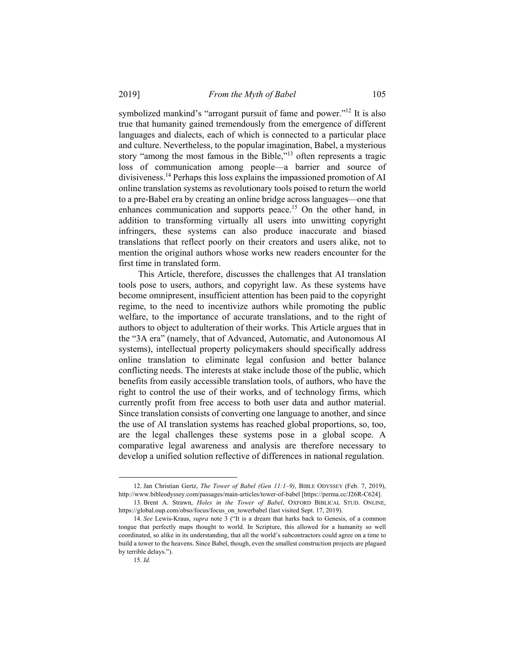symbolized mankind's "arrogant pursuit of fame and power."<sup>12</sup> It is also true that humanity gained tremendously from the emergence of different languages and dialects, each of which is connected to a particular place and culture. Nevertheless, to the popular imagination, Babel, a mysterious story "among the most famous in the Bible,"13 often represents a tragic loss of communication among people—a barrier and source of divisiveness.14 Perhaps this loss explains the impassioned promotion of AI online translation systems as revolutionary tools poised to return the world to a pre-Babel era by creating an online bridge across languages—one that enhances communication and supports peace.<sup>15</sup> On the other hand, in addition to transforming virtually all users into unwitting copyright infringers, these systems can also produce inaccurate and biased translations that reflect poorly on their creators and users alike, not to mention the original authors whose works new readers encounter for the first time in translated form.

This Article, therefore, discusses the challenges that AI translation tools pose to users, authors, and copyright law. As these systems have become omnipresent, insufficient attention has been paid to the copyright regime, to the need to incentivize authors while promoting the public welfare, to the importance of accurate translations, and to the right of authors to object to adulteration of their works. This Article argues that in the "3A era" (namely, that of Advanced, Automatic, and Autonomous AI systems), intellectual property policymakers should specifically address online translation to eliminate legal confusion and better balance conflicting needs. The interests at stake include those of the public, which benefits from easily accessible translation tools, of authors, who have the right to control the use of their works, and of technology firms, which currently profit from free access to both user data and author material. Since translation consists of converting one language to another, and since the use of AI translation systems has reached global proportions, so, too, are the legal challenges these systems pose in a global scope. A comparative legal awareness and analysis are therefore necessary to develop a unified solution reflective of differences in national regulation.

1

 <sup>12.</sup> Jan Christian Gertz, *The Tower of Babel (Gen 11:1–9)*, BIBLE ODYSSEY (Feb. 7, 2019), http://www.bibleodyssey.com/passages/main-articles/tower-of-babel [https://perma.cc/J26R-C624].

 <sup>13</sup>*.* Brent A. Strawn, *Holes in the Tower of Babel*, OXFORD BIBLICAL STUD. ONLINE, https://global.oup.com/obso/focus/focus\_on\_towerbabel (last visited Sept. 17, 2019).

<sup>14.</sup> *See* Lewis-Kraus, *supra* note 3 ("It is a dream that harks back to Genesis, of a common tongue that perfectly maps thought to world. In Scripture, this allowed for a humanity so well coordinated, so alike in its understanding, that all the world's subcontractors could agree on a time to build a tower to the heavens. Since Babel, though, even the smallest construction projects are plagued by terrible delays.").

<sup>15.</sup> *Id.*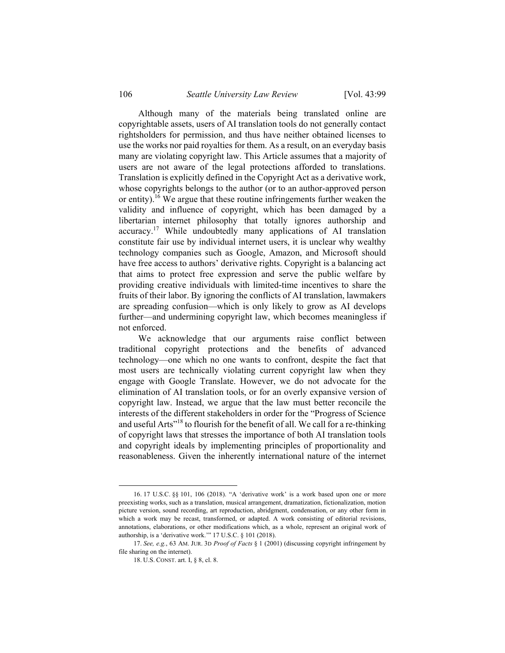Although many of the materials being translated online are copyrightable assets, users of AI translation tools do not generally contact rightsholders for permission, and thus have neither obtained licenses to use the works nor paid royalties for them. As a result, on an everyday basis many are violating copyright law. This Article assumes that a majority of users are not aware of the legal protections afforded to translations. Translation is explicitly defined in the Copyright Act as a derivative work, whose copyrights belongs to the author (or to an author-approved person or entity).<sup>16</sup> We argue that these routine infringements further weaken the validity and influence of copyright, which has been damaged by a libertarian internet philosophy that totally ignores authorship and accuracy.17 While undoubtedly many applications of AI translation constitute fair use by individual internet users, it is unclear why wealthy technology companies such as Google, Amazon, and Microsoft should have free access to authors' derivative rights. Copyright is a balancing act that aims to protect free expression and serve the public welfare by providing creative individuals with limited-time incentives to share the fruits of their labor. By ignoring the conflicts of AI translation, lawmakers are spreading confusion—which is only likely to grow as AI develops further—and undermining copyright law, which becomes meaningless if not enforced.

We acknowledge that our arguments raise conflict between traditional copyright protections and the benefits of advanced technology—one which no one wants to confront, despite the fact that most users are technically violating current copyright law when they engage with Google Translate. However, we do not advocate for the elimination of AI translation tools, or for an overly expansive version of copyright law. Instead, we argue that the law must better reconcile the interests of the different stakeholders in order for the "Progress of Science and useful Arts<sup>"18</sup> to flourish for the benefit of all. We call for a re-thinking of copyright laws that stresses the importance of both AI translation tools and copyright ideals by implementing principles of proportionality and reasonableness. Given the inherently international nature of the internet

 <sup>16. 17</sup> U.S.C. §§ 101, 106 (2018). "A 'derivative work' is a work based upon one or more preexisting works, such as a translation, musical arrangement, dramatization, fictionalization, motion picture version, sound recording, art reproduction, abridgment, condensation, or any other form in which a work may be recast, transformed, or adapted. A work consisting of editorial revisions, annotations, elaborations, or other modifications which, as a whole, represent an original work of authorship, is a 'derivative work.'" 17 U.S.C. § 101 (2018).

<sup>17.</sup> *See, e.g.*, 63 AM. JUR. 3D *Proof of Facts* § 1 (2001) (discussing copyright infringement by file sharing on the internet).

 <sup>18.</sup> U.S. CONST. art. I, § 8, cl. 8.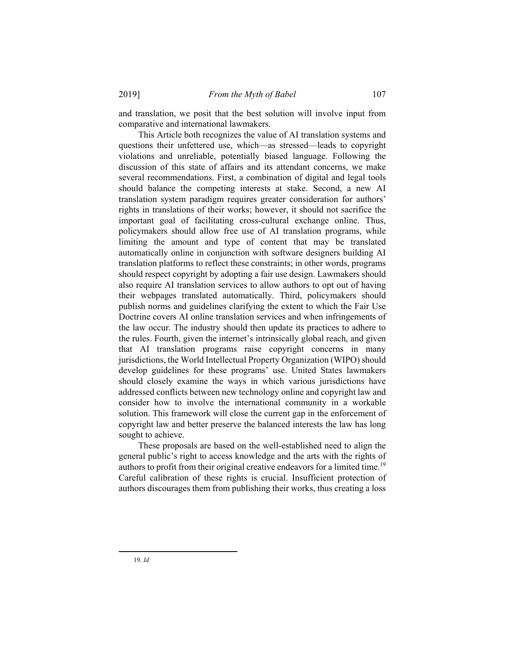and translation, we posit that the best solution will involve input from comparative and international lawmakers.

This Article both recognizes the value of AI translation systems and questions their unfettered use, which—as stressed—leads to copyright violations and unreliable, potentially biased language. Following the discussion of this state of affairs and its attendant concerns, we make several recommendations. First, a combination of digital and legal tools should balance the competing interests at stake. Second, a new AI translation system paradigm requires greater consideration for authors' rights in translations of their works; however, it should not sacrifice the important goal of facilitating cross-cultural exchange online. Thus, policymakers should allow free use of AI translation programs, while limiting the amount and type of content that may be translated automatically online in conjunction with software designers building AI translation platforms to reflect these constraints; in other words, programs should respect copyright by adopting a fair use design. Lawmakers should also require AI translation services to allow authors to opt out of having their webpages translated automatically. Third, policymakers should publish norms and guidelines clarifying the extent to which the Fair Use Doctrine covers AI online translation services and when infringements of the law occur. The industry should then update its practices to adhere to the rules. Fourth, given the internet's intrinsically global reach, and given that AI translation programs raise copyright concerns in many jurisdictions, the World Intellectual Property Organization (WIPO) should develop guidelines for these programs' use. United States lawmakers should closely examine the ways in which various jurisdictions have addressed conflicts between new technology online and copyright law and consider how to involve the international community in a workable solution. This framework will close the current gap in the enforcement of copyright law and better preserve the balanced interests the law has long sought to achieve.

These proposals are based on the well-established need to align the general public's right to access knowledge and the arts with the rights of authors to profit from their original creative endeavors for a limited time.<sup>19</sup> Careful calibration of these rights is crucial. Insufficient protection of authors discourages them from publishing their works, thus creating a loss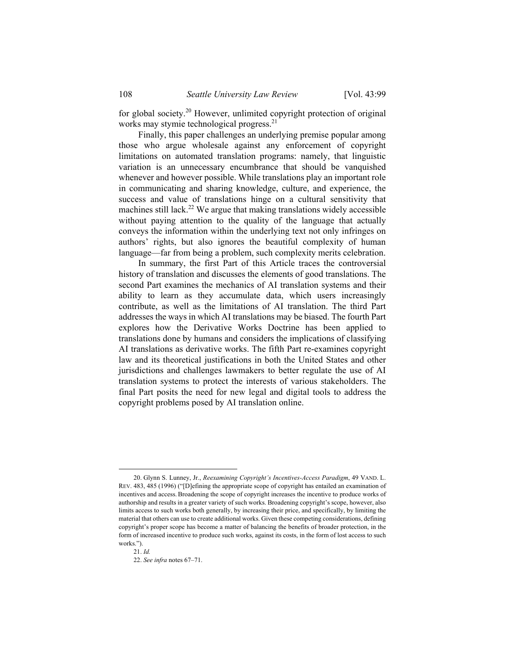for global society.20 However, unlimited copyright protection of original works may stymie technological progress.<sup>21</sup>

Finally, this paper challenges an underlying premise popular among those who argue wholesale against any enforcement of copyright limitations on automated translation programs: namely, that linguistic variation is an unnecessary encumbrance that should be vanquished whenever and however possible. While translations play an important role in communicating and sharing knowledge, culture, and experience, the success and value of translations hinge on a cultural sensitivity that machines still lack.<sup>22</sup> We argue that making translations widely accessible without paying attention to the quality of the language that actually conveys the information within the underlying text not only infringes on authors' rights, but also ignores the beautiful complexity of human language—far from being a problem, such complexity merits celebration.

In summary, the first Part of this Article traces the controversial history of translation and discusses the elements of good translations. The second Part examines the mechanics of AI translation systems and their ability to learn as they accumulate data, which users increasingly contribute, as well as the limitations of AI translation. The third Part addresses the ways in which AI translations may be biased. The fourth Part explores how the Derivative Works Doctrine has been applied to translations done by humans and considers the implications of classifying AI translations as derivative works. The fifth Part re-examines copyright law and its theoretical justifications in both the United States and other jurisdictions and challenges lawmakers to better regulate the use of AI translation systems to protect the interests of various stakeholders. The final Part posits the need for new legal and digital tools to address the copyright problems posed by AI translation online.

 <sup>20.</sup> Glynn S. Lunney, Jr., *Reexamining Copyright's Incentives-Access Paradigm*, 49 VAND. L. REV. 483, 485 (1996) ("[D]efining the appropriate scope of copyright has entailed an examination of incentives and access.Broadening the scope of copyright increases the incentive to produce works of authorship and results in a greater variety of such works. Broadening copyright's scope, however, also limits access to such works both generally, by increasing their price, and specifically, by limiting the material that others can use to create additional works. Given these competing considerations, defining copyright's proper scope has become a matter of balancing the benefits of broader protection, in the form of increased incentive to produce such works, against its costs, in the form of lost access to such works.").

<sup>21.</sup> *Id.*

<sup>22.</sup> *See infra* notes 67–71.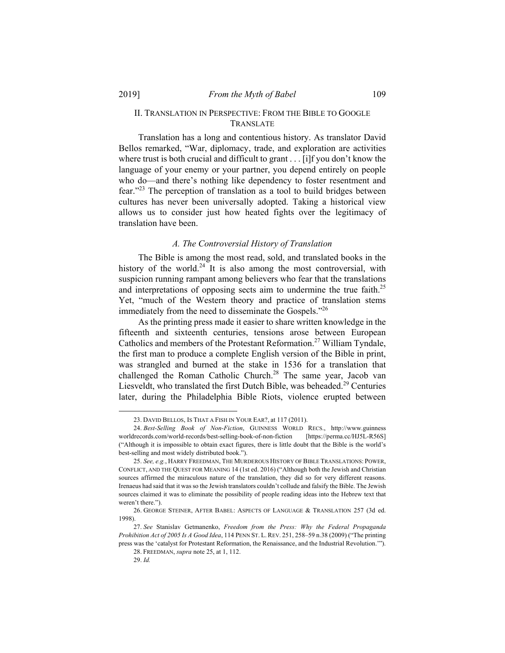# II. TRANSLATION IN PERSPECTIVE: FROM THE BIBLE TO GOOGLE TRANSLATE

Translation has a long and contentious history. As translator David Bellos remarked, "War, diplomacy, trade, and exploration are activities where trust is both crucial and difficult to grant . . . [i]f you don't know the language of your enemy or your partner, you depend entirely on people who do—and there's nothing like dependency to foster resentment and fear."23 The perception of translation as a tool to build bridges between cultures has never been universally adopted. Taking a historical view allows us to consider just how heated fights over the legitimacy of translation have been.

#### *A. The Controversial History of Translation*

The Bible is among the most read, sold, and translated books in the history of the world.<sup>24</sup> It is also among the most controversial, with suspicion running rampant among believers who fear that the translations and interpretations of opposing sects aim to undermine the true faith.<sup>25</sup> Yet, "much of the Western theory and practice of translation stems immediately from the need to disseminate the Gospels."<sup>26</sup>

As the printing press made it easier to share written knowledge in the fifteenth and sixteenth centuries, tensions arose between European Catholics and members of the Protestant Reformation.<sup>27</sup> William Tyndale, the first man to produce a complete English version of the Bible in print, was strangled and burned at the stake in 1536 for a translation that challenged the Roman Catholic Church.<sup>28</sup> The same year, Jacob van Liesveldt, who translated the first Dutch Bible, was beheaded.<sup>29</sup> Centuries later, during the Philadelphia Bible Riots, violence erupted between

1

 <sup>23.</sup> DAVID BELLOS, IS THAT A FISH IN YOUR EAR?, at 117 (2011).

<sup>24.</sup> *Best-Selling Book of Non-Fiction*, GUINNESS WORLD RECS., http://www.guinness worldrecords.com/world-records/best-selling-book-of-non-fiction [https://perma.cc/HJ5L-R56S] ("Although it is impossible to obtain exact figures, there is little doubt that the Bible is the world's best-selling and most widely distributed book.").

<sup>25.</sup> *See, e.g.*, HARRY FREEDMAN, THE MURDEROUS HISTORY OF BIBLE TRANSLATIONS: POWER, CONFLICT, AND THE QUEST FOR MEANING 14 (1st ed. 2016) ("Although both the Jewish and Christian sources affirmed the miraculous nature of the translation, they did so for very different reasons. Irenaeus had said that it was so the Jewish translators couldn't collude and falsify the Bible. The Jewish sources claimed it was to eliminate the possibility of people reading ideas into the Hebrew text that weren't there.").

 <sup>26.</sup> GEORGE STEINER, AFTER BABEL: ASPECTS OF LANGUAGE & TRANSLATION 257 (3d ed. 1998).

<sup>27.</sup> *See* Stanislav Getmanenko, *Freedom from the Press: Why the Federal Propaganda Prohibition Act of 2005 Is A Good Idea*, 114 PENN ST. L. REV. 251, 258–59 n.38 (2009) ("The printing press was the 'catalyst for Protestant Reformation, the Renaissance, and the Industrial Revolution.'"). 28. FREEDMAN, *supra* note 25, at 1, 112.

<sup>29.</sup> *Id.*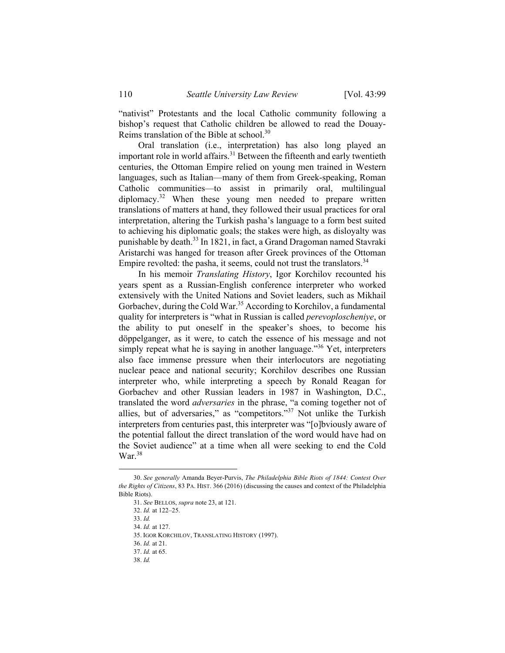"nativist" Protestants and the local Catholic community following a bishop's request that Catholic children be allowed to read the Douay-Reims translation of the Bible at school.<sup>30</sup>

Oral translation (i.e., interpretation) has also long played an important role in world affairs.<sup>31</sup> Between the fifteenth and early twentieth centuries, the Ottoman Empire relied on young men trained in Western languages, such as Italian—many of them from Greek-speaking, Roman Catholic communities—to assist in primarily oral, multilingual  $diplomacy.<sup>32</sup>$  When these young men needed to prepare written translations of matters at hand, they followed their usual practices for oral interpretation, altering the Turkish pasha's language to a form best suited to achieving his diplomatic goals; the stakes were high, as disloyalty was punishable by death.33 In 1821, in fact, a Grand Dragoman named Stavraki Aristarchi was hanged for treason after Greek provinces of the Ottoman Empire revolted: the pasha, it seems, could not trust the translators.  $34$ 

In his memoir *Translating History*, Igor Korchilov recounted his years spent as a Russian-English conference interpreter who worked extensively with the United Nations and Soviet leaders, such as Mikhail Gorbachev, during the Cold War.<sup>35</sup> According to Korchilov, a fundamental quality for interpreters is "what in Russian is called *perevoploscheniye*, or the ability to put oneself in the speaker's shoes, to become his döppelganger, as it were, to catch the essence of his message and not simply repeat what he is saying in another language."<sup>36</sup> Yet, interpreters also face immense pressure when their interlocutors are negotiating nuclear peace and national security; Korchilov describes one Russian interpreter who, while interpreting a speech by Ronald Reagan for Gorbachev and other Russian leaders in 1987 in Washington, D.C., translated the word *adversaries* in the phrase, "a coming together not of allies, but of adversaries," as "competitors."<sup>37</sup> Not unlike the Turkish interpreters from centuries past, this interpreter was "[o]bviously aware of the potential fallout the direct translation of the word would have had on the Soviet audience" at a time when all were seeking to end the Cold  $\text{War.}^{38}$ 

 <sup>30.</sup> *See generally* Amanda Beyer-Purvis, *The Philadelphia Bible Riots of 1844: Contest Over the Rights of Citizens*, 83 PA. HIST. 366 (2016) (discussing the causes and context of the Philadelphia Bible Riots).

<sup>31.</sup> *See* BELLOS, *supra* note 23, at 121.

<sup>32.</sup> *Id.* at 122–25.

<sup>33.</sup> *Id.*

<sup>34.</sup> *Id.* at 127.

 <sup>35.</sup> IGOR KORCHILOV, TRANSLATING HISTORY (1997).

<sup>36.</sup> *Id.* at 21.

<sup>37.</sup> *Id.* at 65.

<sup>38.</sup> *Id.*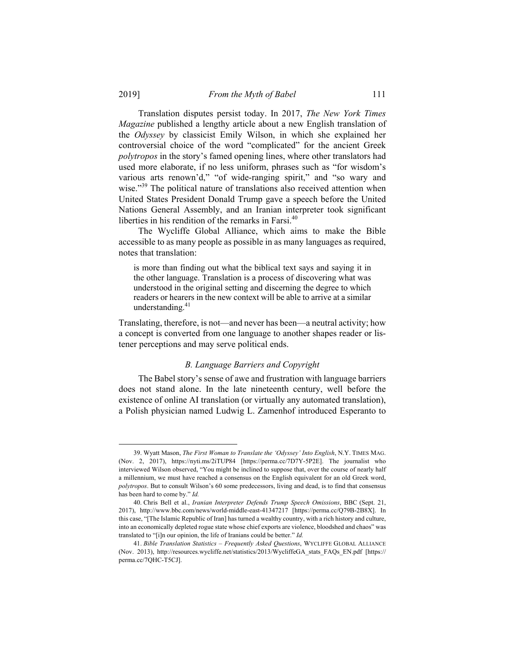l

Translation disputes persist today. In 2017, *The New York Times Magazine* published a lengthy article about a new English translation of the *Odyssey* by classicist Emily Wilson, in which she explained her controversial choice of the word "complicated" for the ancient Greek *polytropos* in the story's famed opening lines, where other translators had used more elaborate, if no less uniform, phrases such as "for wisdom's various arts renown'd," "of wide-ranging spirit," and "so wary and wise."<sup>39</sup> The political nature of translations also received attention when United States President Donald Trump gave a speech before the United Nations General Assembly, and an Iranian interpreter took significant liberties in his rendition of the remarks in Farsi. $40$ 

The Wycliffe Global Alliance, which aims to make the Bible accessible to as many people as possible in as many languages as required, notes that translation:

is more than finding out what the biblical text says and saying it in the other language. Translation is a process of discovering what was understood in the original setting and discerning the degree to which readers or hearers in the new context will be able to arrive at a similar understanding.<sup>41</sup>

Translating, therefore, is not—and never has been—a neutral activity; how a concept is converted from one language to another shapes reader or listener perceptions and may serve political ends.

### *B. Language Barriers and Copyright*

The Babel story's sense of awe and frustration with language barriers does not stand alone. In the late nineteenth century, well before the existence of online AI translation (or virtually any automated translation), a Polish physician named Ludwig L. Zamenhof introduced Esperanto to

 <sup>39.</sup> Wyatt Mason, *The First Woman to Translate the 'Odyssey' Into English*, N.Y. TIMES MAG. (Nov. 2, 2017), https://nyti.ms/2iTUP84 [https://perma.cc/7D7Y-5P2E]. The journalist who interviewed Wilson observed, "You might be inclined to suppose that, over the course of nearly half a millennium, we must have reached a consensus on the English equivalent for an old Greek word, *polytropos*. But to consult Wilson's 60 some predecessors, living and dead, is to find that consensus has been hard to come by." *Id.*

 <sup>40.</sup> Chris Bell et al., *Iranian Interpreter Defends Trump Speech Omissions*, BBC (Sept. 21, 2017), http://www.bbc.com/news/world-middle-east-41347217 [https://perma.cc/Q79B-2B8X]. In this case, "[The Islamic Republic of Iran] has turned a wealthy country, with a rich history and culture, into an economically depleted rogue state whose chief exports are violence, bloodshed and chaos" was translated to "[i]n our opinion, the life of Iranians could be better." *Id.*

<sup>41.</sup> *Bible Translation Statistics – Frequently Asked Questions*, WYCLIFFE GLOBAL ALLIANCE (Nov. 2013), http://resources.wycliffe.net/statistics/2013/WycliffeGA\_stats\_FAQs\_EN.pdf [https:// perma.cc/7QHC-T5CJ].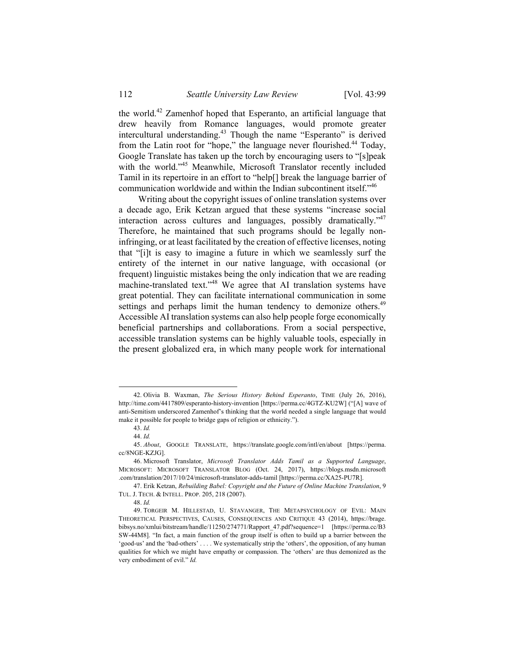the world.42 Zamenhof hoped that Esperanto, an artificial language that drew heavily from Romance languages, would promote greater intercultural understanding.43 Though the name "Esperanto" is derived from the Latin root for "hope," the language never flourished.<sup>44</sup> Today, Google Translate has taken up the torch by encouraging users to "[s]peak with the world."<sup>45</sup> Meanwhile, Microsoft Translator recently included Tamil in its repertoire in an effort to "help[] break the language barrier of communication worldwide and within the Indian subcontinent itself."46

Writing about the copyright issues of online translation systems over a decade ago, Erik Ketzan argued that these systems "increase social interaction across cultures and languages, possibly dramatically."<sup>47</sup> Therefore, he maintained that such programs should be legally noninfringing, or at least facilitated by the creation of effective licenses, noting that "[i]t is easy to imagine a future in which we seamlessly surf the entirety of the internet in our native language, with occasional (or frequent) linguistic mistakes being the only indication that we are reading machine-translated text."48 We agree that AI translation systems have great potential. They can facilitate international communication in some settings and perhaps limit the human tendency to demonize others.<sup>49</sup> Accessible AI translation systems can also help people forge economically beneficial partnerships and collaborations. From a social perspective, accessible translation systems can be highly valuable tools, especially in the present globalized era, in which many people work for international

1

 <sup>42.</sup> Olivia B. Waxman, *The Serious History Behind Esperanto*, TIME (July 26, 2016), http://time.com/4417809/esperanto-history-invention [https://perma.cc/4GTZ-KU2W] ("[A] wave of anti-Semitism underscored Zamenhof's thinking that the world needed a single language that would make it possible for people to bridge gaps of religion or ethnicity.").

<sup>43.</sup> *Id.*

<sup>44.</sup> *Id.*

<sup>45.</sup> *About*, GOOGLE TRANSLATE, https://translate.google.com/intl/en/about [https://perma. cc/8NGE-KZJG].

 <sup>46.</sup> Microsoft Translator, *Microsoft Translator Adds Tamil as a Supported Language*, MICROSOFT: MICROSOFT TRANSLATOR BLOG (Oct. 24, 2017), https://blogs.msdn.microsoft .com/translation/2017/10/24/microsoft-translator-adds-tamil [https://perma.cc/XA25-PU7R].

 <sup>47.</sup> Erik Ketzan, *Rebuilding Babel: Copyright and the Future of Online Machine Translation*, 9 TUL. J. TECH. & INTELL. PROP. 205, 218 (2007).

<sup>48.</sup> *Id.*

 <sup>49.</sup> TORGEIR M. HILLESTAD, U. STAVANGER, THE METAPSYCHOLOGY OF EVIL: MAIN THEORETICAL PERSPECTIVES, CAUSES, CONSEQUENCES AND CRITIQUE 43 (2014), https://brage. bibsys.no/xmlui/bitstream/handle/11250/274771/Rapport\_47.pdf?sequence=1 [https://perma.cc/B3 SW-44M8]. "In fact, a main function of the group itself is often to build up a barrier between the 'good-us' and the 'bad-others' . . . . We systematically strip the 'others', the opposition, of any human qualities for which we might have empathy or compassion. The 'others' are thus demonized as the very embodiment of evil." *Id.*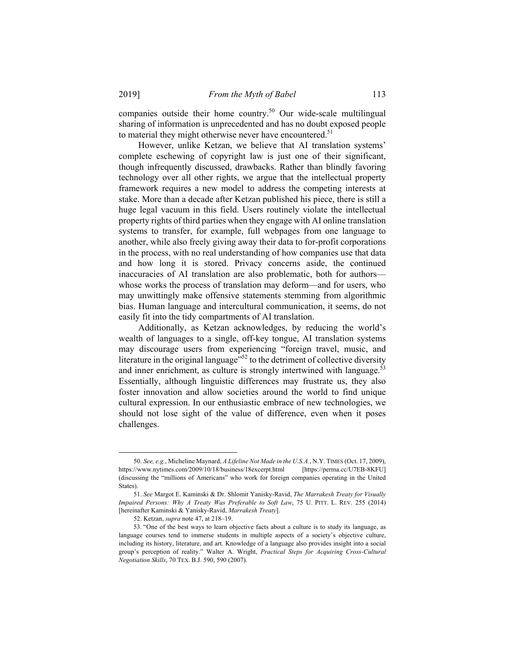companies outside their home country.<sup>50</sup> Our wide-scale multilingual sharing of information is unprecedented and has no doubt exposed people to material they might otherwise never have encountered.<sup>51</sup>

However, unlike Ketzan, we believe that AI translation systems' complete eschewing of copyright law is just one of their significant, though infrequently discussed, drawbacks. Rather than blindly favoring technology over all other rights, we argue that the intellectual property framework requires a new model to address the competing interests at stake. More than a decade after Ketzan published his piece, there is still a huge legal vacuum in this field. Users routinely violate the intellectual property rights of third parties when they engage with AI online translation systems to transfer, for example, full webpages from one language to another, while also freely giving away their data to for-profit corporations in the process, with no real understanding of how companies use that data and how long it is stored. Privacy concerns aside, the continued inaccuracies of AI translation are also problematic, both for authors whose works the process of translation may deform—and for users, who may unwittingly make offensive statements stemming from algorithmic bias. Human language and intercultural communication, it seems, do not easily fit into the tidy compartments of AI translation.

Additionally, as Ketzan acknowledges, by reducing the world's wealth of languages to a single, off-key tongue, AI translation systems may discourage users from experiencing "foreign travel, music, and literature in the original language<sup>"52</sup> to the detriment of collective diversity and inner enrichment, as culture is strongly intertwined with language.<sup>53</sup> Essentially, although linguistic differences may frustrate us, they also foster innovation and allow societies around the world to find unique cultural expression. In our enthusiastic embrace of new technologies, we should not lose sight of the value of difference, even when it poses challenges.

 <sup>50.</sup> *See, e.g.*, Micheline Maynard, *A Lifeline Not Made in the U.S.A.*, N.Y. TIMES (Oct. 17, 2009), https://www.nytimes.com/2009/10/18/business/18excerpt.html [https://perma.cc/U7EB-8KFU] (discussing the "millions of Americans" who work for foreign companies operating in the United States).

<sup>51.</sup> *See* Margot E. Kaminski & Dr. Shlomit Yanisky-Ravid, *The Marrakesh Treaty for Visually Impaired Persons: Why A Treaty Was Preferable to Soft Law*, 75 U. PITT. L. REV. 255 (2014) [hereinafter Kaminski & Yanisky-Ravid, *Marrakesh Treaty*].

 <sup>52.</sup> Ketzan, *supra* note 47, at 218–19.

 <sup>53. &</sup>quot;One of the best ways to learn objective facts about a culture is to study its language, as language courses tend to immerse students in multiple aspects of a society's objective culture, including its history, literature, and art. Knowledge of a language also provides insight into a social group's perception of reality." Walter A. Wright, *Practical Steps for Acquiring Cross-Cultural Negotiation Skills*, 70 TEX. B.J. 590, 590 (2007).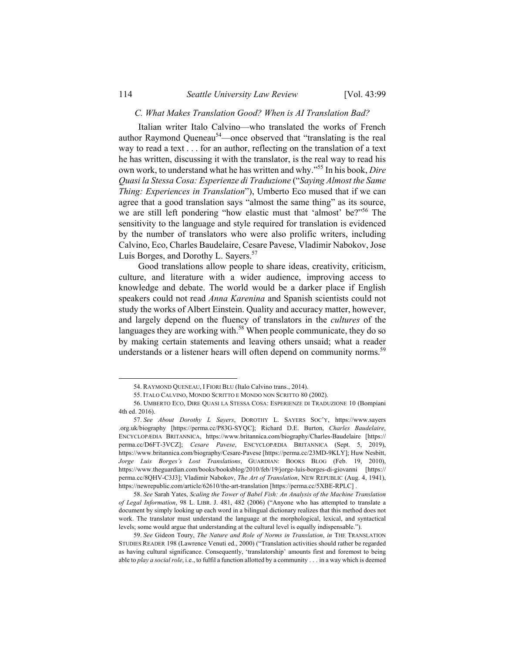### *C. What Makes Translation Good? When is AI Translation Bad?*

Italian writer Italo Calvino—who translated the works of French author Raymond Queneau<sup>54</sup>—once observed that "translating is the real way to read a text . . . for an author, reflecting on the translation of a text he has written, discussing it with the translator, is the real way to read his own work, to understand what he has written and why."55 In his book, *Dire Quasi la Stessa Cosa: Esperienze di Traduzione* ("*Saying Almost the Same Thing: Experiences in Translation*"), Umberto Eco mused that if we can agree that a good translation says "almost the same thing" as its source, we are still left pondering "how elastic must that 'almost' be?"56 The sensitivity to the language and style required for translation is evidenced by the number of translators who were also prolific writers, including Calvino, Eco, Charles Baudelaire, Cesare Pavese, Vladimir Nabokov, Jose Luis Borges, and Dorothy L. Sayers.<sup>57</sup>

Good translations allow people to share ideas, creativity, criticism, culture, and literature with a wider audience, improving access to knowledge and debate. The world would be a darker place if English speakers could not read *Anna Karenina* and Spanish scientists could not study the works of Albert Einstein. Quality and accuracy matter, however, and largely depend on the fluency of translators in the *cultures* of the languages they are working with.<sup>58</sup> When people communicate, they do so by making certain statements and leaving others unsaid; what a reader understands or a listener hears will often depend on community norms.<sup>59</sup>

1

 <sup>54.</sup> RAYMOND QUENEAU, I FIORI BLU (Italo Calvino trans., 2014).

 <sup>55.</sup> ITALO CALVINO, MONDO SCRITTO E MONDO NON SCRITTO 80 (2002).

 <sup>56.</sup> UMBERTO ECO, DIRE QUASI LA STESSA COSA: ESPERIENZE DI TRADUZIONE 10 (Bompiani 4th ed. 2016).

<sup>57.</sup> *See About Dorothy L Sayers*, DOROTHY L. SAYERS SOC'Y, https://www.sayers .org.uk/biography [https://perma.cc/P83G-SYQC]; Richard D.E. Burton, *Charles Baudelaire*, ENCYCLOPÆDIA BRITANNICA, https://www.britannica.com/biography/Charles-Baudelaire [https:// perma.cc/D6FT-3VCZ]; *Cesare Pavese*, ENCYCLOPÆDIA BRITANNICA (Sept. 5, 2019), https://www.britannica.com/biography/Cesare-Pavese [https://perma.cc/23MD-9KLY]; Huw Nesbitt, *Jorge Luis Borges's Lost Translations*, GUARDIAN: BOOKS BLOG (Feb. 19, 2010), https://www.theguardian.com/books/booksblog/2010/feb/19/jorge-luis-borges-di-giovanni [https:// perma.cc/8QHV-C3J3]; Vladimir Nabokov, *The Art of Translation*, NEW REPUBLIC (Aug. 4, 1941), https://newrepublic.com/article/62610/the-art-translation [https://perma.cc/5XBE-RPLC].

<sup>58.</sup> *See* Sarah Yates, *Scaling the Tower of Babel Fish: An Analysis of the Machine Translation of Legal Information*, 98 L. LIBR. J. 481, 482 (2006) ("Anyone who has attempted to translate a document by simply looking up each word in a bilingual dictionary realizes that this method does not work. The translator must understand the language at the morphological, lexical, and syntactical levels; some would argue that understanding at the cultural level is equally indispensable.").

<sup>59.</sup> *See* Gideon Toury, *The Nature and Role of Norms in Translation*, *in* THE TRANSLATION STUDIES READER 198 (Lawrence Venuti ed., 2000) ("Translation activities should rather be regarded as having cultural significance. Consequently, 'translatorship' amounts first and foremost to being able to *play a social role*, i.e., to fulfil a function allotted by a community . . . in a way which is deemed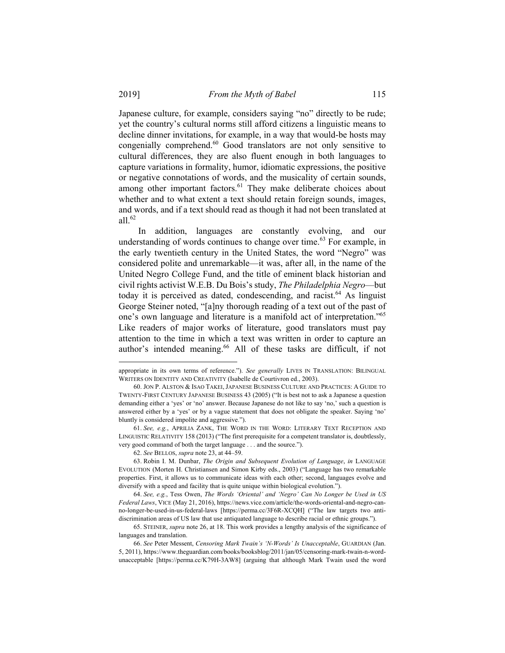Japanese culture, for example, considers saying "no" directly to be rude; yet the country's cultural norms still afford citizens a linguistic means to decline dinner invitations, for example, in a way that would-be hosts may congenially comprehend.<sup>60</sup> Good translators are not only sensitive to cultural differences, they are also fluent enough in both languages to capture variations in formality, humor, idiomatic expressions, the positive or negative connotations of words, and the musicality of certain sounds, among other important factors.<sup>61</sup> They make deliberate choices about whether and to what extent a text should retain foreign sounds, images, and words, and if a text should read as though it had not been translated at all $^{62}$ 

In addition, languages are constantly evolving, and our understanding of words continues to change over time.<sup>63</sup> For example, in the early twentieth century in the United States, the word "Negro" was considered polite and unremarkable—it was, after all, in the name of the United Negro College Fund, and the title of eminent black historian and civil rights activist W.E.B. Du Bois's study, *The Philadelphia Negro*—but today it is perceived as dated, condescending, and racist. $64$  As linguist George Steiner noted, "[a]ny thorough reading of a text out of the past of one's own language and literature is a manifold act of interpretation."65 Like readers of major works of literature, good translators must pay attention to the time in which a text was written in order to capture an author's intended meaning.<sup>66</sup> All of these tasks are difficult, if not

1

appropriate in its own terms of reference."). *See generally* LIVES IN TRANSLATION: BILINGUAL WRITERS ON IDENTITY AND CREATIVITY (Isabelle de Courtivron ed., 2003).

 <sup>60.</sup> JON P. ALSTON & ISAO TAKEI, JAPANESE BUSINESS CULTURE AND PRACTICES: A GUIDE TO TWENTY-FIRST CENTURY JAPANESE BUSINESS 43 (2005) ("It is best not to ask a Japanese a question demanding either a 'yes' or 'no' answer. Because Japanese do not like to say 'no,' such a question is answered either by a 'yes' or by a vague statement that does not obligate the speaker. Saying 'no' bluntly is considered impolite and aggressive.").

<sup>61.</sup> *See, e.g.*, APRILIA ZANK, THE WORD IN THE WORD: LITERARY TEXT RECEPTION AND LINGUISTIC RELATIVITY 158 (2013) ("The first prerequisite for a competent translator is, doubtlessly, very good command of both the target language . . . and the source.").

<sup>62.</sup> *See* BELLOS, *supra* note 23, at 44–59.

 <sup>63.</sup> Robin I. M. Dunbar, *The Origin and Subsequent Evolution of Language*, *in* LANGUAGE EVOLUTION (Morten H. Christiansen and Simon Kirby eds., 2003) ("Language has two remarkable properties. First, it allows us to communicate ideas with each other; second, languages evolve and diversify with a speed and facility that is quite unique within biological evolution.").

<sup>64.</sup> *See, e.g.*, Tess Owen, *The Words 'Oriental' and 'Negro' Can No Longer be Used in US Federal Laws*, VICE (May 21, 2016), https://news.vice.com/article/the-words-oriental-and-negro-canno-longer-be-used-in-us-federal-laws [https://perma.cc/3F6R-XCQH] ("The law targets two antidiscrimination areas of US law that use antiquated language to describe racial or ethnic groups.").

 <sup>65.</sup> STEINER, *supra* note 26, at 18. This work provides a lengthy analysis of the significance of languages and translation.

<sup>66.</sup> *See* Peter Messent, *Censoring Mark Twain's 'N-Words' Is Unacceptable*, GUARDIAN (Jan. 5, 2011), https://www.theguardian.com/books/booksblog/2011/jan/05/censoring-mark-twain-n-wordunacceptable [https://perma.cc/K79H-3AW8] (arguing that although Mark Twain used the word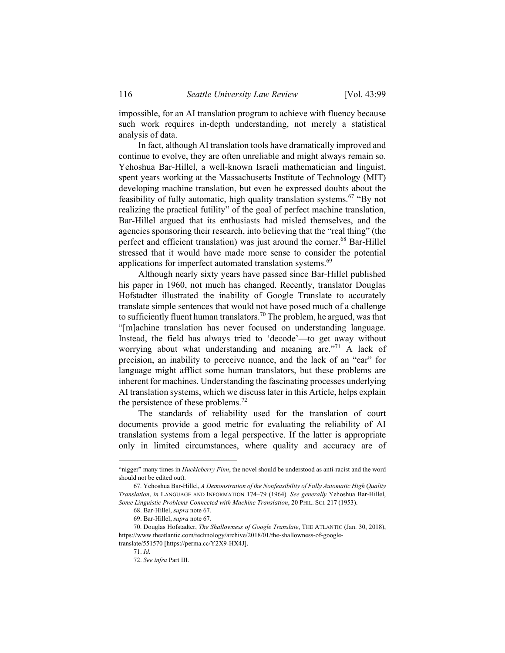impossible, for an AI translation program to achieve with fluency because such work requires in-depth understanding, not merely a statistical analysis of data.

In fact, although AI translation tools have dramatically improved and continue to evolve, they are often unreliable and might always remain so. Yehoshua Bar-Hillel, a well-known Israeli mathematician and linguist, spent years working at the Massachusetts Institute of Technology (MIT) developing machine translation, but even he expressed doubts about the feasibility of fully automatic, high quality translation systems.<sup>67</sup> "By not realizing the practical futility" of the goal of perfect machine translation, Bar-Hillel argued that its enthusiasts had misled themselves, and the agencies sponsoring their research, into believing that the "real thing" (the perfect and efficient translation) was just around the corner.<sup>68</sup> Bar-Hillel stressed that it would have made more sense to consider the potential applications for imperfect automated translation systems.<sup>69</sup>

Although nearly sixty years have passed since Bar-Hillel published his paper in 1960, not much has changed. Recently, translator Douglas Hofstadter illustrated the inability of Google Translate to accurately translate simple sentences that would not have posed much of a challenge to sufficiently fluent human translators.<sup>70</sup> The problem, he argued, was that "[m]achine translation has never focused on understanding language. Instead, the field has always tried to 'decode'—to get away without worrying about what understanding and meaning are."<sup>71</sup> A lack of precision, an inability to perceive nuance, and the lack of an "ear" for language might afflict some human translators, but these problems are inherent for machines. Understanding the fascinating processes underlying AI translation systems, which we discuss later in this Article, helps explain the persistence of these problems.<sup>72</sup>

The standards of reliability used for the translation of court documents provide a good metric for evaluating the reliability of AI translation systems from a legal perspective. If the latter is appropriate only in limited circumstances, where quality and accuracy are of

<sup>&</sup>quot;nigger" many times in *Huckleberry Finn*, the novel should be understood as anti-racist and the word should not be edited out).

 <sup>67.</sup> Yehoshua Bar-Hillel, *A Demonstration of the Nonfeasibility of Fully Automatic High Quality Translation*, *in* LANGUAGE AND INFORMATION 174–79 (1964)*. See generally* Yehoshua Bar-Hillel, *Some Linguistic Problems Connected with Machine Translation*, 20 PHIL. SCI. 217 (1953).

<sup>68.</sup> Bar-Hillel, *supra* note 67.

<sup>69.</sup> Bar-Hillel, *supra* note 67.

 <sup>70.</sup> Douglas Hofstadter, *The Shallowness of Google Translate*, THE ATLANTIC (Jan. 30, 2018), https://www.theatlantic.com/technology/archive/2018/01/the-shallowness-of-google-

translate/551570 [https://perma.cc/Y2X9-HX4J].

<sup>71.</sup> *Id.* 

<sup>72.</sup> *See infra* Part III.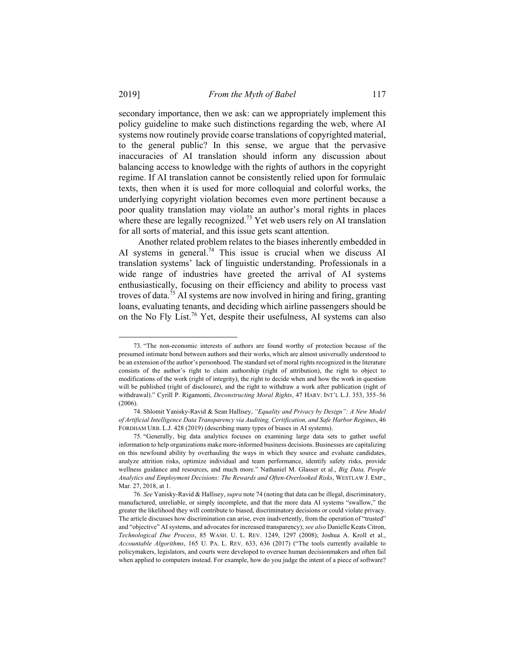secondary importance, then we ask: can we appropriately implement this policy guideline to make such distinctions regarding the web, where AI systems now routinely provide coarse translations of copyrighted material, to the general public? In this sense, we argue that the pervasive inaccuracies of AI translation should inform any discussion about balancing access to knowledge with the rights of authors in the copyright regime. If AI translation cannot be consistently relied upon for formulaic texts, then when it is used for more colloquial and colorful works, the underlying copyright violation becomes even more pertinent because a poor quality translation may violate an author's moral rights in places where these are legally recognized.<sup>73</sup> Yet web users rely on AI translation for all sorts of material, and this issue gets scant attention.

Another related problem relates to the biases inherently embedded in AI systems in general.<sup>74</sup> This issue is crucial when we discuss AI translation systems' lack of linguistic understanding. Professionals in a wide range of industries have greeted the arrival of AI systems enthusiastically, focusing on their efficiency and ability to process vast troves of data.75 AI systems are now involved in hiring and firing, granting loans, evaluating tenants, and deciding which airline passengers should be on the No Fly List.76 Yet, despite their usefulness, AI systems can also

 <sup>73. &</sup>quot;The non-economic interests of authors are found worthy of protection because of the presumed intimate bond between authors and their works,which are almost universally understood to be an extension of the author's personhood. The standard set of moral rights recognized in the literature consists of the author's right to claim authorship (right of attribution), the right to object to modifications of the work (right of integrity), the right to decide when and how the work in question will be published (right of disclosure), and the right to withdraw a work after publication (right of withdrawal)." Cyrill P. Rigamonti, *Deconstructing Moral Rights*, 47 HARV. INT'L L.J. 353, 355–56 (2006).

 <sup>74.</sup> Shlomit Yanisky-Ravid & Sean Hallisey, *"Equality and Privacy by Design": A New Model of Artificial Intelligence Data Transparency via Auditing, Certification, and Safe Harbor Regimes*, 46 FORDHAM URB. L.J. 428 (2019) (describing many types of biases in AI systems).

 <sup>75. &</sup>quot;Generally, big data analytics focuses on examining large data sets to gather useful information to help organizations make more-informed business decisions. Businesses are capitalizing on this newfound ability by overhauling the ways in which they source and evaluate candidates, analyze attrition risks, optimize individual and team performance, identify safety risks, provide wellness guidance and resources, and much more." Nathaniel M. Glasser et al., *Big Data, People Analytics and Employment Decisions: The Rewards and Often-Overlooked Risks*, WESTLAW J. EMP., Mar. 27, 2018, at 1.

<sup>76.</sup> *See* Yanisky-Ravid & Hallisey, *supra* note 74 (noting that data can be illegal, discriminatory, manufactured, unreliable, or simply incomplete, and that the more data AI systems "swallow," the greater the likelihood they will contribute to biased, discriminatory decisions or could violate privacy. The article discusses how discrimination can arise, even inadvertently, from the operation of "trusted" and "objective" AI systems, and advocates for increased transparency); *see also* Danielle Keats Citron, *Technological Due Process*, 85 WASH. U. L. REV. 1249, 1297 (2008); Joshua A. Kroll et al., *Accountable Algorithms*, 165 U. PA. L. REV. 633, 636 (2017) ("The tools currently available to policymakers, legislators, and courts were developed to oversee human decisionmakers and often fail when applied to computers instead. For example, how do you judge the intent of a piece of software?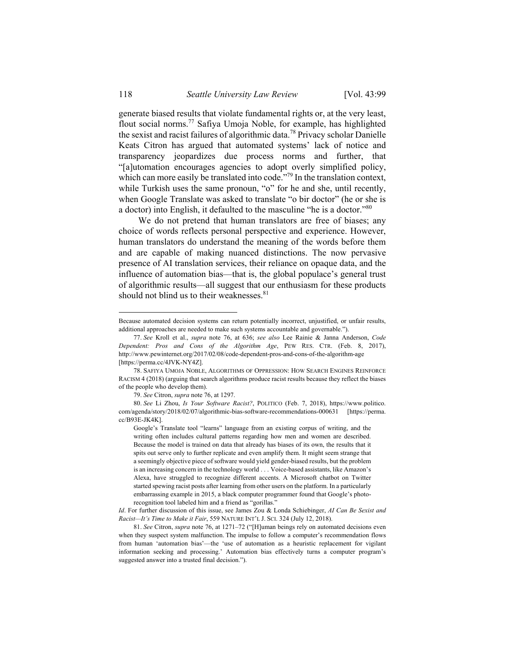generate biased results that violate fundamental rights or, at the very least, flout social norms.77 Safiya Umoja Noble, for example, has highlighted the sexist and racist failures of algorithmic data.78 Privacy scholar Danielle Keats Citron has argued that automated systems' lack of notice and transparency jeopardizes due process norms and further, that "[a]utomation encourages agencies to adopt overly simplified policy, which can more easily be translated into code."<sup>79</sup> In the translation context, while Turkish uses the same pronoun, "o" for he and she, until recently, when Google Translate was asked to translate "o bir doctor" (he or she is a doctor) into English, it defaulted to the masculine "he is a doctor."<sup>80</sup>

We do not pretend that human translators are free of biases; any choice of words reflects personal perspective and experience. However, human translators do understand the meaning of the words before them and are capable of making nuanced distinctions. The now pervasive presence of AI translation services, their reliance on opaque data, and the influence of automation bias—that is, the global populace's general trust of algorithmic results—all suggest that our enthusiasm for these products should not blind us to their weaknesses.<sup>81</sup>

79. *See* Citron, *supra* note 76, at 1297.

Google's Translate tool "learns" language from an existing corpus of writing, and the writing often includes cultural patterns regarding how men and women are described. Because the model is trained on data that already has biases of its own, the results that it spits out serve only to further replicate and even amplify them. It might seem strange that a seemingly objective piece of software would yield gender-biased results, but the problem is an increasing concern in the technology world . . . Voice-based assistants, like Amazon's Alexa, have struggled to recognize different accents. A Microsoft chatbot on Twitter started spewing racist posts after learning from other users on the platform. In a particularly embarrassing example in 2015, a black computer programmer found that Google's photorecognition tool labeled him and a friend as "gorillas."

*Id*. For further discussion of this issue, see James Zou & Londa Schiebinger, *AI Can Be Sexist and Racist—It's Time to Make it Fair*, 559 NATURE INT'L J. SCI. 324 (July 12, 2018).

81. *See* Citron, *supra* note 76, at 1271–72 ("[H]uman beings rely on automated decisions even when they suspect system malfunction. The impulse to follow a computer's recommendation flows from human 'automation bias'—the 'use of automation as a heuristic replacement for vigilant information seeking and processing.' Automation bias effectively turns a computer program's suggested answer into a trusted final decision.").

Because automated decision systems can return potentially incorrect, unjustified, or unfair results, additional approaches are needed to make such systems accountable and governable.").

<sup>77.</sup> *See* Kroll et al., *supra* note 76, at 636; *see also* Lee Rainie & Janna Anderson, *Code Dependent: Pros and Cons of the Algorithm Age*, PEW RES. CTR. (Feb. 8, 2017), http://www.pewinternet.org/2017/02/08/code-dependent-pros-and-cons-of-the-algorithm-age [https://perma.cc/4JVK-NY4Z].

 <sup>78.</sup> SAFIYA UMOJA NOBLE, ALGORITHMS OF OPPRESSION: HOW SEARCH ENGINES REINFORCE RACISM 4 (2018) (arguing that search algorithms produce racist results because they reflect the biases of the people who develop them).

<sup>80.</sup> *See* Li Zhou, *Is Your Software Racist?*, POLITICO (Feb. 7, 2018), https://www.politico. com/agenda/story/2018/02/07/algorithmic-bias-software-recommendations-000631 [https://perma. cc/B93E-JK4K].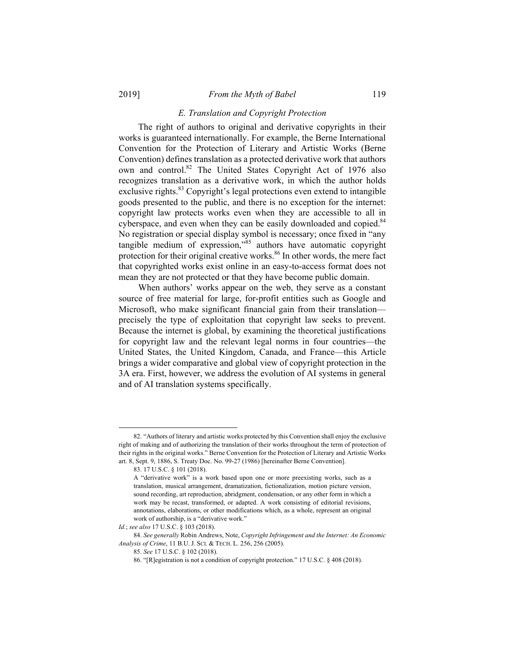### *E. Translation and Copyright Protection*

The right of authors to original and derivative copyrights in their works is guaranteed internationally. For example, the Berne International Convention for the Protection of Literary and Artistic Works (Berne Convention) defines translation as a protected derivative work that authors own and control.<sup>82</sup> The United States Copyright Act of 1976 also recognizes translation as a derivative work, in which the author holds exclusive rights.<sup>83</sup> Copyright's legal protections even extend to intangible goods presented to the public, and there is no exception for the internet: copyright law protects works even when they are accessible to all in cyberspace, and even when they can be easily downloaded and copied.<sup>84</sup> No registration or special display symbol is necessary; once fixed in "any tangible medium of expression,"85 authors have automatic copyright protection for their original creative works.<sup>86</sup> In other words, the mere fact that copyrighted works exist online in an easy-to-access format does not mean they are not protected or that they have become public domain.

When authors' works appear on the web, they serve as a constant source of free material for large, for-profit entities such as Google and Microsoft, who make significant financial gain from their translation precisely the type of exploitation that copyright law seeks to prevent. Because the internet is global, by examining the theoretical justifications for copyright law and the relevant legal norms in four countries—the United States, the United Kingdom, Canada, and France—this Article brings a wider comparative and global view of copyright protection in the 3A era. First, however, we address the evolution of AI systems in general and of AI translation systems specifically.

 <sup>82. &</sup>quot;Authors of literary and artistic works protected by this Convention shall enjoy the exclusive right of making and of authorizing the translation of their works throughout the term of protection of their rights in the original works." Berne Convention for the Protection of Literary and Artistic Works art. 8, Sept. 9, 1886, S. Treaty Doc. No. 99-27 (1986) [hereinafter Berne Convention].

 <sup>83. 17</sup> U.S.C. § 101 (2018).

A "derivative work" is a work based upon one or more preexisting works, such as a translation, musical arrangement, dramatization, fictionalization, motion picture version, sound recording, art reproduction, abridgment, condensation, or any other form in which a work may be recast, transformed, or adapted. A work consisting of editorial revisions, annotations, elaborations, or other modifications which, as a whole, represent an original work of authorship, is a "derivative work."

*Id.*; *see also* 17 U.S.C. § 103 (2018).

<sup>84.</sup> *See generally* Robin Andrews, Note, *Copyright Infringement and the Internet: An Economic Analysis of Crime*, 11 B.U. J. SCI. & TECH. L. 256, 256 (2005).

<sup>85.</sup> *See* 17 U.S.C. § 102 (2018).

 <sup>86. &</sup>quot;[R]egistration is not a condition of copyright protection." 17 U.S.C. § 408 (2018).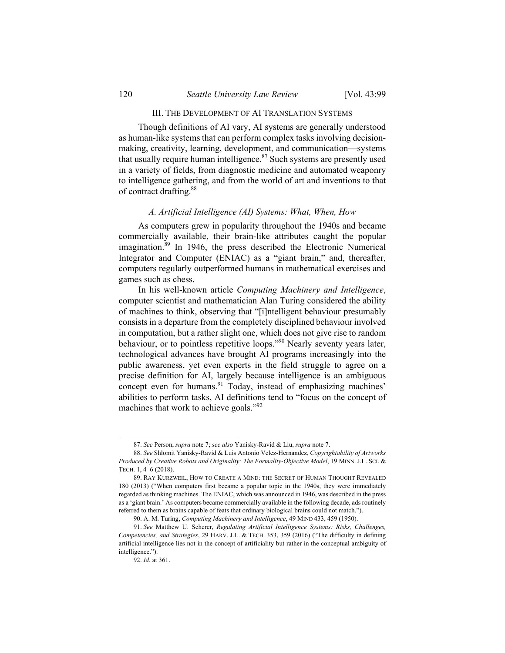### III. THE DEVELOPMENT OF AI TRANSLATION SYSTEMS

Though definitions of AI vary, AI systems are generally understood as human-like systems that can perform complex tasks involving decisionmaking, creativity, learning, development, and communication—systems that usually require human intelligence.<sup>87</sup> Such systems are presently used in a variety of fields, from diagnostic medicine and automated weaponry to intelligence gathering, and from the world of art and inventions to that of contract drafting.<sup>88</sup>

#### *A. Artificial Intelligence (AI) Systems: What, When, How*

As computers grew in popularity throughout the 1940s and became commercially available, their brain-like attributes caught the popular imagination.<sup>89</sup> In 1946, the press described the Electronic Numerical Integrator and Computer (ENIAC) as a "giant brain," and, thereafter, computers regularly outperformed humans in mathematical exercises and games such as chess.

In his well-known article *Computing Machinery and Intelligence*, computer scientist and mathematician Alan Turing considered the ability of machines to think, observing that "[i]ntelligent behaviour presumably consists in a departure from the completely disciplined behaviour involved in computation, but a rather slight one, which does not give rise to random behaviour, or to pointless repetitive loops."<sup>90</sup> Nearly seventy years later, technological advances have brought AI programs increasingly into the public awareness, yet even experts in the field struggle to agree on a precise definition for AI, largely because intelligence is an ambiguous concept even for humans.<sup>91</sup> Today, instead of emphasizing machines' abilities to perform tasks, AI definitions tend to "focus on the concept of machines that work to achieve goals."<sup>92</sup>

 <sup>87.</sup> *See* Person, *supra* note 7; *see also* Yanisky-Ravid & Liu, *supra* note 7.

<sup>88.</sup> *See* Shlomit Yanisky-Ravid & Luis Antonio Velez-Hernandez, *Copyrightability of Artworks Produced by Creative Robots and Originality: The Formality-Objective Model*, 19 MINN. J.L. SCI. & TECH. 1, 4–6 (2018).

 <sup>89.</sup> RAY KURZWEIL, HOW TO CREATE A MIND: THE SECRET OF HUMAN THOUGHT REVEALED 180 (2013) ("When computers first became a popular topic in the 1940s, they were immediately regarded as thinking machines. The ENIAC, which was announced in 1946, was described in the press as a 'giant brain.' As computers became commercially available in the following decade, ads routinely referred to them as brains capable of feats that ordinary biological brains could not match.").

 <sup>90.</sup> A. M. Turing, *Computing Machinery and Intelligence*, 49 MIND 433, 459 (1950).

<sup>91.</sup> *See* Matthew U. Scherer, *Regulating Artificial Intelligence Systems: Risks, Challenges, Competencies, and Strategies*, 29 HARV. J.L. & TECH. 353, 359 (2016) ("The difficulty in defining artificial intelligence lies not in the concept of artificiality but rather in the conceptual ambiguity of intelligence.").

<sup>92.</sup> *Id.* at 361.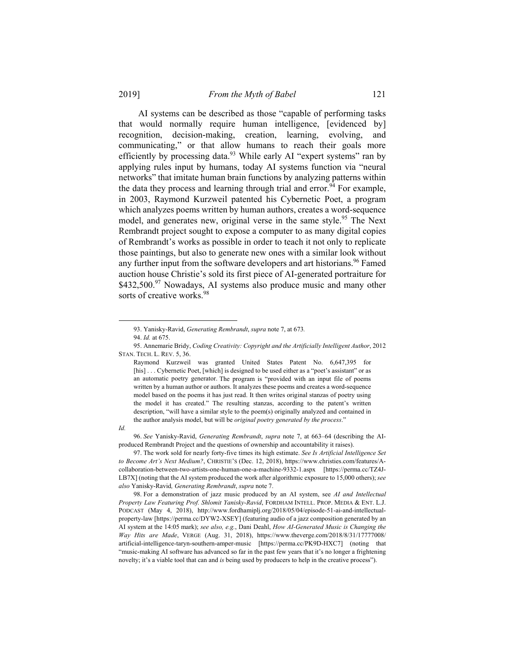AI systems can be described as those "capable of performing tasks that would normally require human intelligence, [evidenced by] recognition, decision-making, creation, learning, evolving, and communicating," or that allow humans to reach their goals more efficiently by processing data.<sup>93</sup> While early AI "expert systems" ran by applying rules input by humans, today AI systems function via "neural networks" that imitate human brain functions by analyzing patterns within the data they process and learning through trial and error.<sup>94</sup> For example, in 2003, Raymond Kurzweil patented his Cybernetic Poet, a program which analyzes poems written by human authors, creates a word-sequence model, and generates new, original verse in the same style.<sup>95</sup> The Next Rembrandt project sought to expose a computer to as many digital copies of Rembrandt's works as possible in order to teach it not only to replicate those paintings, but also to generate new ones with a similar look without any further input from the software developers and art historians.<sup>96</sup> Famed auction house Christie's sold its first piece of AI-generated portraiture for  $$432,500.<sup>97</sup>$  Nowadays, AI systems also produce music and many other sorts of creative works.<sup>98</sup>

*Id.*

l

96. *See* Yanisky-Ravid, *Generating Rembrandt*, *supra* note 7, at 663–64 (describing the AIproduced Rembrandt Project and the questions of ownership and accountability it raises).

 97. The work sold for nearly forty-five times its high estimate. *See Is Artificial Intelligence Set to Become Art's Next Medium?*, CHRISTIE'S (Dec. 12, 2018), https://www.christies.com/features/Acollaboration-between-two-artists-one-human-one-a-machine-9332-1.aspx [https://perma.cc/TZ4J-LB7X] (noting that the AI system produced the work after algorithmic exposure to 15,000 others); *see also* Yanisky-Ravid*, Generating Rembrandt*, *supra* note 7.

 98. For a demonstration of jazz music produced by an AI system, see *AI and Intellectual Property Law Featuring Prof. Shlomit Yanisky-Ravid*, FORDHAM INTELL. PROP. MEDIA & ENT. L.J. PODCAST (May 4, 2018), http://www.fordhamiplj.org/2018/05/04/episode-51-ai-and-intellectualproperty-law [https://perma.cc/DYW2-XSEY] (featuring audio of a jazz composition generated by an AI system at the 14:05 mark); *see also, e.g.*, Dani Deahl, *How AI-Generated Music is Changing the Way Hits are Made*, VERGE (Aug. 31, 2018), https://www.theverge.com/2018/8/31/17777008/ artificial-intelligence-taryn-southern-amper-music [https://perma.cc/PK9D-HXC7] (noting that "music-making AI software has advanced so far in the past few years that it's no longer a frightening novelty; it's a viable tool that can and *is* being used by producers to help in the creative process").

 <sup>93.</sup> Yanisky-Ravid, *Generating Rembrandt*, *supra* note 7, at 673*.*

<sup>94.</sup> *Id.* at 675.

 <sup>95.</sup> Annemarie Bridy, *Coding Creativity: Copyright and the Artificially Intelligent Author*, 2012 STAN. TECH. L. REV. 5, 36.

Raymond Kurzweil was granted United States Patent No. 6,647,395 for [his] . . . Cybernetic Poet, [which] is designed to be used either as a "poet's assistant" or as an automatic poetry generator. The program is "provided with an input file of poems written by a human author or authors. It analyzes these poems and creates a word-sequence model based on the poems it has just read. It then writes original stanzas of poetry using the model it has created." The resulting stanzas, according to the patent's written description, "will have a similar style to the poem(s) originally analyzed and contained in the author analysis model, but will be *original poetry generated by the process*."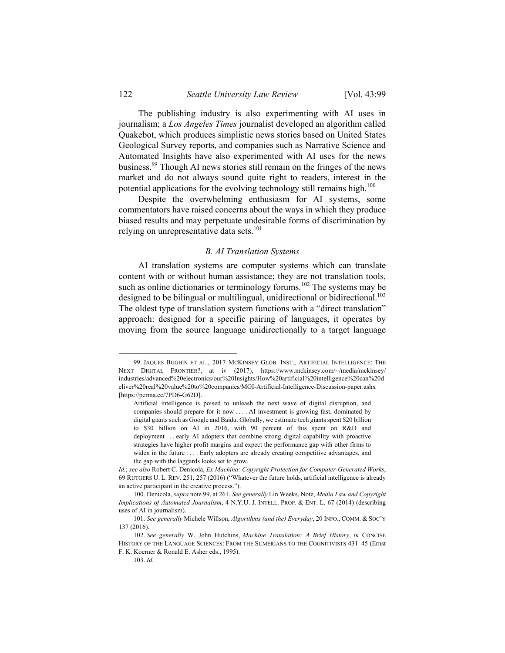The publishing industry is also experimenting with AI uses in journalism; a *Los Angeles Times* journalist developed an algorithm called Quakebot, which produces simplistic news stories based on United States Geological Survey reports, and companies such as Narrative Science and Automated Insights have also experimented with AI uses for the news business.99 Though AI news stories still remain on the fringes of the news market and do not always sound quite right to readers, interest in the potential applications for the evolving technology still remains high.<sup>100</sup>

Despite the overwhelming enthusiasm for AI systems, some commentators have raised concerns about the ways in which they produce biased results and may perpetuate undesirable forms of discrimination by relying on unrepresentative data sets.<sup>101</sup>

#### *B. AI Translation Systems*

AI translation systems are computer systems which can translate content with or without human assistance; they are not translation tools, such as online dictionaries or terminology forums.<sup>102</sup> The systems may be designed to be bilingual or multilingual, unidirectional or bidirectional.<sup>103</sup> The oldest type of translation system functions with a "direct translation" approach: designed for a specific pairing of languages, it operates by moving from the source language unidirectionally to a target language

1

 <sup>99.</sup> JAQUES BUGHIN ET AL., 2017 MCKINSEY GLOB. INST., ARTIFICIAL INTELLIGENCE: THE NEXT DIGITAL FRONTIER?, at iv (2017), https://www.mckinsey.com/~/media/mckinsey/ industries/advanced%20electronics/our%20Insights/How%20artificial%20intelligence%20can%20d eliver%20real%20value%20to%20companies/MGI-Artificial-Intelligence-Discussion-paper.ashx [https://perma.cc/7PD6-G62D].

Artificial intelligence is poised to unleash the next wave of digital disruption, and companies should prepare for it now . . . . AI investment is growing fast, dominated by digital giants such as Google and Baidu. Globally, we estimate tech giants spent \$20 billion to \$30 billion on AI in 2016, with 90 percent of this spent on R&D and deployment . . . early AI adopters that combine strong digital capability with proactive strategies have higher profit margins and expect the performance gap with other firms to widen in the future . . . . Early adopters are already creating competitive advantages, and the gap with the laggards looks set to grow.

*Id.*; *see also* Robert C. Denicola, *Ex Machina: Copyright Protection for Computer-Generated Works*, 69 RUTGERS U. L. REV. 251, 257 (2016) ("Whatever the future holds, artificial intelligence is already an active participant in the creative process.").

 <sup>100.</sup> Denicola, *supra* note 99, at 261. *See generally* Lin Weeks, Note, *Media Law and Copyright Implications of Automated Journalism*, 4 N.Y.U. J. INTELL. PROP. & ENT. L. 67 (2014) (describing uses of AI in journalism).

<sup>101.</sup> *See generally* Michele Willson, *Algorithms (and the) Everyday*, 20 INFO., COMM. & SOC'Y 137 (2016).

<sup>102.</sup> *See generally* W. John Hutchins, *Machine Translation: A Brief History*, *in* CONCISE HISTORY OF THE LANGUAGE SCIENCES: FROM THE SUMERIANS TO THE COGNITIVISTS 431–45 (Ernst F. K. Koerner & Ronald E. Asher eds., 1995).

<sup>103.</sup> *Id.*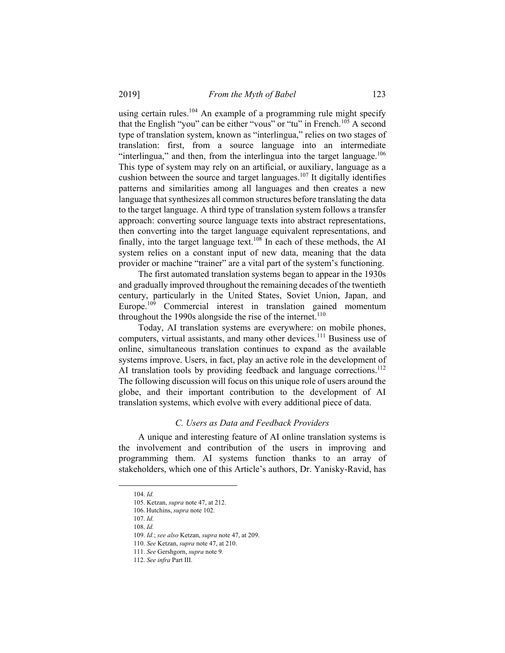using certain rules.<sup>104</sup> An example of a programming rule might specify that the English "you" can be either "vous" or "tu" in French.105 A second type of translation system, known as "interlingua," relies on two stages of translation: first, from a source language into an intermediate "interlingua," and then, from the interlingua into the target language. $106$ This type of system may rely on an artificial, or auxiliary, language as a cushion between the source and target languages.<sup>107</sup> It digitally identifies patterns and similarities among all languages and then creates a new language that synthesizes all common structures before translating the data to the target language. A third type of translation system follows a transfer approach: converting source language texts into abstract representations, then converting into the target language equivalent representations, and finally, into the target language text.<sup>108</sup> In each of these methods, the AI system relies on a constant input of new data, meaning that the data provider or machine "trainer" are a vital part of the system's functioning.

The first automated translation systems began to appear in the 1930s and gradually improved throughout the remaining decades of the twentieth century, particularly in the United States, Soviet Union, Japan, and Europe.<sup>109</sup> Commercial interest in translation gained momentum throughout the 1990s alongside the rise of the internet.<sup>110</sup>

Today, AI translation systems are everywhere: on mobile phones, computers, virtual assistants, and many other devices.<sup>111</sup> Business use of online, simultaneous translation continues to expand as the available systems improve. Users, in fact, play an active role in the development of AI translation tools by providing feedback and language corrections.<sup>112</sup> The following discussion will focus on this unique role of users around the globe, and their important contribution to the development of AI translation systems, which evolve with every additional piece of data.

## *C. Users as Data and Feedback Providers*

A unique and interesting feature of AI online translation systems is the involvement and contribution of the users in improving and programming them. AI systems function thanks to an array of stakeholders, which one of this Article's authors, Dr. Yanisky-Ravid, has

 <sup>104.</sup> *Id.*

 <sup>105.</sup> Ketzan, *supra* note 47, at 212.

 <sup>106.</sup> Hutchins, *supra* note 102. 107. *Id.*

<sup>108.</sup> *Id.*

<sup>109.</sup> *Id.*; *see also* Ketzan, *supra* note 47, at 209.

<sup>110.</sup> *See* Ketzan, *supra* note 47, at 210.

<sup>111.</sup> *See* Gershgorn, *supra* note 9.

<sup>112.</sup> *See infra* Part III.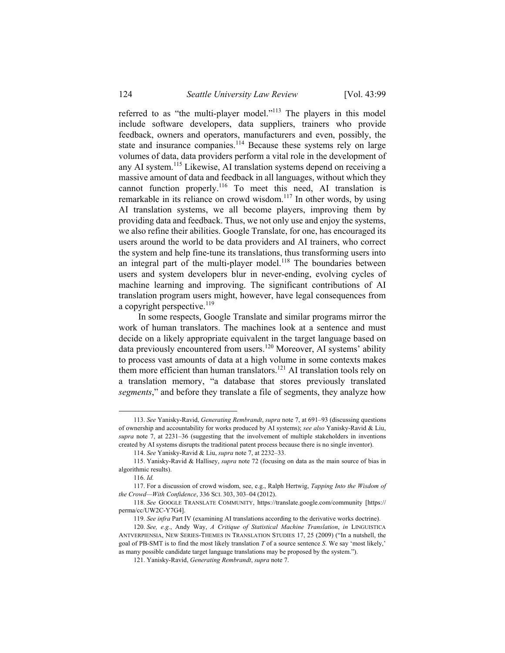referred to as "the multi-player model."113 The players in this model include software developers, data suppliers, trainers who provide feedback, owners and operators, manufacturers and even, possibly, the state and insurance companies.<sup>114</sup> Because these systems rely on large volumes of data, data providers perform a vital role in the development of any AI system.<sup>115</sup> Likewise, AI translation systems depend on receiving a massive amount of data and feedback in all languages, without which they cannot function properly.116 To meet this need, AI translation is remarkable in its reliance on crowd wisdom.<sup>117</sup> In other words, by using AI translation systems, we all become players, improving them by providing data and feedback. Thus, we not only use and enjoy the systems, we also refine their abilities. Google Translate, for one, has encouraged its users around the world to be data providers and AI trainers, who correct the system and help fine-tune its translations, thus transforming users into an integral part of the multi-player model.<sup>118</sup> The boundaries between users and system developers blur in never-ending, evolving cycles of machine learning and improving. The significant contributions of AI translation program users might, however, have legal consequences from a copyright perspective. $^{119}$ 

In some respects, Google Translate and similar programs mirror the work of human translators. The machines look at a sentence and must decide on a likely appropriate equivalent in the target language based on data previously encountered from users.<sup>120</sup> Moreover, AI systems' ability to process vast amounts of data at a high volume in some contexts makes them more efficient than human translators.<sup>121</sup> AI translation tools rely on a translation memory, "a database that stores previously translated *segments*," and before they translate a file of segments, they analyze how

 <sup>113.</sup> *See* Yanisky-Ravid, *Generating Rembrandt*, *supra* note 7, at 691–93 (discussing questions of ownership and accountability for works produced by AI systems); *see also* Yanisky-Ravid & Liu, *supra* note 7, at 2231–36 (suggesting that the involvement of multiple stakeholders in inventions created by AI systems disrupts the traditional patent process because there is no single inventor).

<sup>114.</sup> *See* Yanisky-Ravid & Liu, *supra* note 7, at 2232–33.

 <sup>115.</sup> Yanisky-Ravid & Hallisey, *supra* note 72 (focusing on data as the main source of bias in algorithmic results).

<sup>116.</sup> *Id.*

 <sup>117.</sup> For a discussion of crowd wisdom, see, e.g., Ralph Hertwig, *Tapping Into the Wisdom of the Crowd—With Confidence*, 336 SCI. 303, 303–04 (2012).

<sup>118.</sup> *See* GOOGLE TRANSLATE COMMUNITY, https://translate.google.com/community [https:// perma/cc/UW2C-Y7G4].

<sup>119.</sup> *See infra* Part IV (examining AI translations according to the derivative works doctrine).

<sup>120.</sup> *See, e.g.*, Andy Way, *A Critique of Statistical Machine Translation*, *in* LINGUISTICA ANTVERPIENSIA, NEW SERIES-THEMES IN TRANSLATION STUDIES 17, 25 (2009) ("In a nutshell, the goal of PB-SMT is to find the most likely translation *T* of a source sentence *S*. We say 'most likely,' as many possible candidate target language translations may be proposed by the system.").

 <sup>121.</sup> Yanisky-Ravid, *Generating Rembrandt*, *supra* note 7.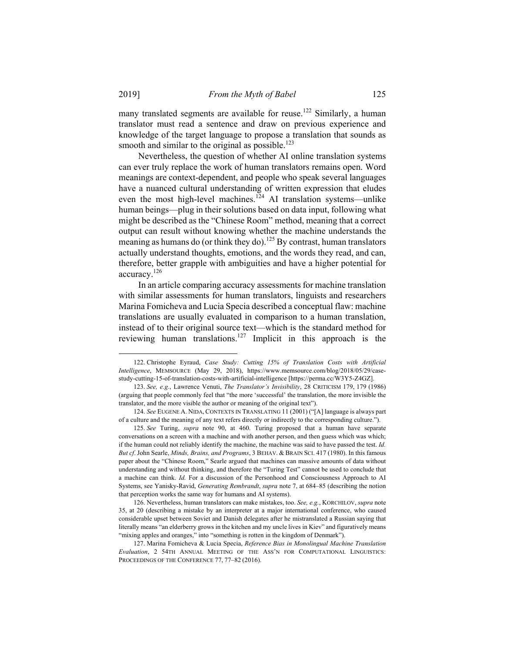many translated segments are available for reuse.<sup>122</sup> Similarly, a human translator must read a sentence and draw on previous experience and knowledge of the target language to propose a translation that sounds as smooth and similar to the original as possible.<sup>123</sup>

Nevertheless, the question of whether AI online translation systems can ever truly replace the work of human translators remains open. Word meanings are context-dependent, and people who speak several languages have a nuanced cultural understanding of written expression that eludes even the most high-level machines.<sup>124</sup> AI translation systems—unlike human beings—plug in their solutions based on data input, following what might be described as the "Chinese Room" method, meaning that a correct output can result without knowing whether the machine understands the meaning as humans do (or think they do).<sup>125</sup> By contrast, human translators actually understand thoughts, emotions, and the words they read, and can, therefore, better grapple with ambiguities and have a higher potential for accuracy.126

In an article comparing accuracy assessments for machine translation with similar assessments for human translators, linguists and researchers Marina Fomicheva and Lucia Specia described a conceptual flaw: machine translations are usually evaluated in comparison to a human translation, instead of to their original source text—which is the standard method for reviewing human translations.127 Implicit in this approach is the

 <sup>122.</sup> Christophe Eyraud, *Case Study: Cutting 15% of Translation Costs with Artificial Intelligence*, MEMSOURCE (May 29, 2018), https://www.memsource.com/blog/2018/05/29/casestudy-cutting-15-of-translation-costs-with-artificial-intelligence [https://perma.cc/W3Y5-Z4GZ].

<sup>123.</sup> *See, e.g.*, Lawrence Venuti, *The Translator's Invisibility*, 28 CRITICISM 179, 179 (1986) (arguing that people commonly feel that "the more 'successful' the translation, the more invisible the translator, and the more visible the author or meaning of the original text").

<sup>124.</sup> *See* EUGENE A. NIDA, CONTEXTS IN TRANSLATING 11 (2001) ("[A] language is always part of a culture and the meaning of any text refers directly or indirectly to the corresponding culture.").

<sup>125.</sup> *See* Turing, *supra* note 90, at 460. Turing proposed that a human have separate conversations on a screen with a machine and with another person, and then guess which was which; if the human could not reliably identify the machine, the machine was said to have passed the test. *Id. But cf*. John Searle, *Minds, Brains, and Programs*, 3 BEHAV. & BRAIN SCI. 417 (1980). In this famous paper about the "Chinese Room," Searle argued that machines can massive amounts of data without understanding and without thinking, and therefore the "Turing Test" cannot be used to conclude that a machine can think. *Id.* For a discussion of the Personhood and Consciousness Approach to AI Systems, see Yanisky-Ravid, *Generating Rembrandt*, *supra* note 7, at 684–85 (describing the notion that perception works the same way for humans and AI systems).

 <sup>126.</sup> Nevertheless, human translators can make mistakes, too. *See, e.g.*, KORCHILOV, *supra* note 35, at 20 (describing a mistake by an interpreter at a major international conference, who caused considerable upset between Soviet and Danish delegates after he mistranslated a Russian saying that literally means "an elderberry grows in the kitchen and my uncle lives in Kiev" and figuratively means "mixing apples and oranges," into "something is rotten in the kingdom of Denmark").

 <sup>127.</sup> Marina Fomicheva & Lucia Specia, *Reference Bias in Monolingual Machine Translation Evaluation*, 2 54TH ANNUAL MEETING OF THE ASS'N FOR COMPUTATIONAL LINGUISTICS: PROCEEDINGS OF THE CONFERENCE 77, 77–82 (2016).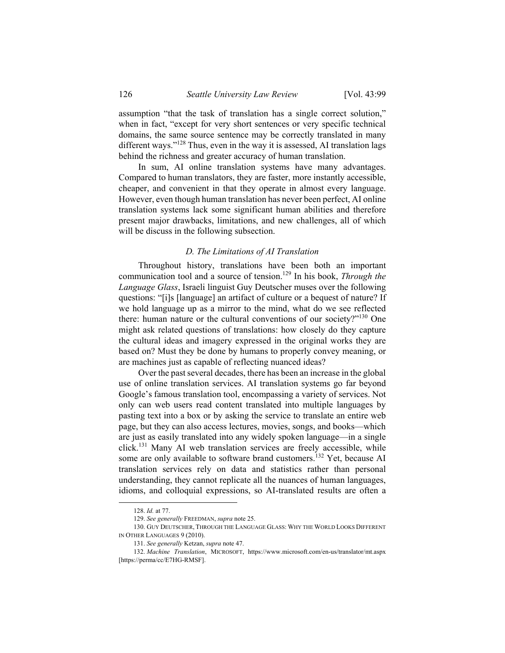assumption "that the task of translation has a single correct solution," when in fact, "except for very short sentences or very specific technical domains, the same source sentence may be correctly translated in many different ways."<sup>128</sup> Thus, even in the way it is assessed, AI translation lags behind the richness and greater accuracy of human translation.

In sum, AI online translation systems have many advantages. Compared to human translators, they are faster, more instantly accessible, cheaper, and convenient in that they operate in almost every language. However, even though human translation has never been perfect, AI online translation systems lack some significant human abilities and therefore present major drawbacks, limitations, and new challenges, all of which will be discuss in the following subsection.

#### *D. The Limitations of AI Translation*

Throughout history, translations have been both an important communication tool and a source of tension.<sup>129</sup> In his book, *Through the Language Glass*, Israeli linguist Guy Deutscher muses over the following questions: "[i]s [language] an artifact of culture or a bequest of nature? If we hold language up as a mirror to the mind, what do we see reflected there: human nature or the cultural conventions of our society?"130 One might ask related questions of translations: how closely do they capture the cultural ideas and imagery expressed in the original works they are based on? Must they be done by humans to properly convey meaning, or are machines just as capable of reflecting nuanced ideas?

Over the past several decades, there has been an increase in the global use of online translation services. AI translation systems go far beyond Google's famous translation tool, encompassing a variety of services. Not only can web users read content translated into multiple languages by pasting text into a box or by asking the service to translate an entire web page, but they can also access lectures, movies, songs, and books—which are just as easily translated into any widely spoken language—in a single click.131 Many AI web translation services are freely accessible, while some are only available to software brand customers.<sup>132</sup> Yet, because AI translation services rely on data and statistics rather than personal understanding, they cannot replicate all the nuances of human languages, idioms, and colloquial expressions, so AI-translated results are often a

 <sup>128.</sup> *Id.* at 77.

<sup>129.</sup> *See generally* FREEDMAN, *supra* note 25.

 <sup>130.</sup> GUY DEUTSCHER, THROUGH THE LANGUAGE GLASS: WHY THE WORLD LOOKS DIFFERENT IN OTHER LANGUAGES 9 (2010).

<sup>131.</sup> *See generally* Ketzan, *supra* note 47.

<sup>132.</sup> *Machine Translation*, MICROSOFT, https://www.microsoft.com/en-us/translator/mt.aspx [https://perma/cc/E7HG-RMSF].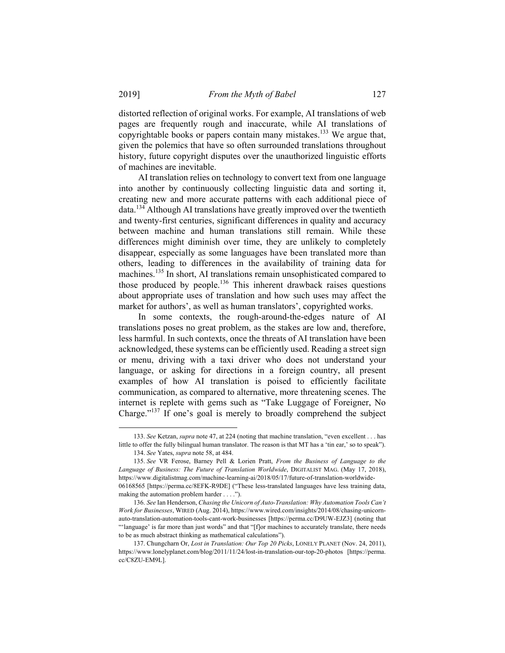distorted reflection of original works. For example, AI translations of web pages are frequently rough and inaccurate, while AI translations of copyrightable books or papers contain many mistakes.<sup>133</sup> We argue that, given the polemics that have so often surrounded translations throughout history, future copyright disputes over the unauthorized linguistic efforts of machines are inevitable.

AI translation relies on technology to convert text from one language into another by continuously collecting linguistic data and sorting it, creating new and more accurate patterns with each additional piece of data.134 Although AI translations have greatly improved over the twentieth and twenty-first centuries, significant differences in quality and accuracy between machine and human translations still remain. While these differences might diminish over time, they are unlikely to completely disappear, especially as some languages have been translated more than others, leading to differences in the availability of training data for machines.135 In short, AI translations remain unsophisticated compared to those produced by people.<sup>136</sup> This inherent drawback raises questions about appropriate uses of translation and how such uses may affect the market for authors', as well as human translators', copyrighted works.

In some contexts, the rough-around-the-edges nature of AI translations poses no great problem, as the stakes are low and, therefore, less harmful. In such contexts, once the threats of AI translation have been acknowledged, these systems can be efficiently used. Reading a street sign or menu, driving with a taxi driver who does not understand your language, or asking for directions in a foreign country, all present examples of how AI translation is poised to efficiently facilitate communication, as compared to alternative, more threatening scenes. The internet is replete with gems such as "Take Luggage of Foreigner, No Charge."137 If one's goal is merely to broadly comprehend the subject

 <sup>133.</sup> *See* Ketzan, *supra* note 47, at 224 (noting that machine translation, "even excellent . . . has little to offer the fully bilingual human translator. The reason is that MT has a 'tin ear,' so to speak"). 134. *See* Yates, *supra* note 58, at 484.

 <sup>135.</sup> *See* VR Ferose, Barney Pell & Lorien Pratt, *From the Business of Language to the Language of Business: The Future of Translation Worldwide*, DIGITALIST MAG. (May 17, 2018), https://www.digitalistmag.com/machine-learning-ai/2018/05/17/future-of-translation-worldwide-06168565 [https://perma.cc/8EFK-R9DE] ("These less-translated languages have less training data,

making the automation problem harder . . . .").

<sup>136.</sup> *See* Ian Henderson, *Chasing the Unicorn of Auto-Translation: Why Automation Tools Can't Work for Businesses*, WIRED (Aug. 2014), https://www.wired.com/insights/2014/08/chasing-unicornauto-translation-automation-tools-cant-work-businesses [https://perma.cc/D9UW-EJZ3] (noting that "'language' is far more than just words" and that "[f]or machines to accurately translate, there needs to be as much abstract thinking as mathematical calculations").

 <sup>137.</sup> Chungcharn Or, *Lost in Translation: Our Top 20 Picks*, LONELY PLANET (Nov. 24, 2011), https://www.lonelyplanet.com/blog/2011/11/24/lost-in-translation-our-top-20-photos [https://perma. cc/C8ZU-EM9L].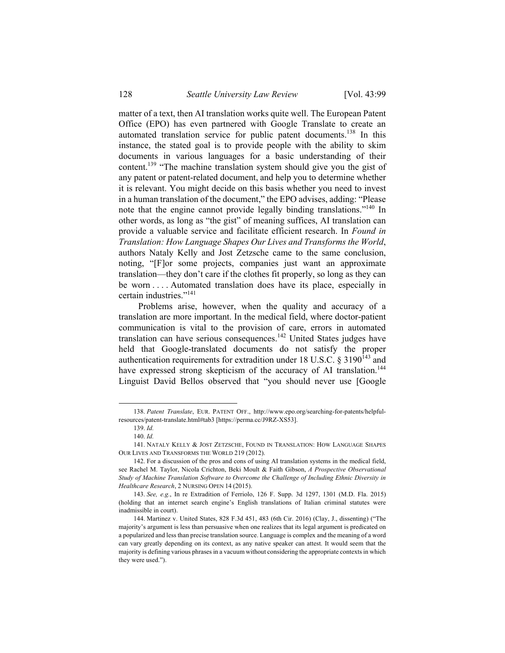matter of a text, then AI translation works quite well. The European Patent Office (EPO) has even partnered with Google Translate to create an automated translation service for public patent documents.<sup>138</sup> In this instance, the stated goal is to provide people with the ability to skim documents in various languages for a basic understanding of their content.139 "The machine translation system should give you the gist of any patent or patent-related document, and help you to determine whether it is relevant. You might decide on this basis whether you need to invest in a human translation of the document," the EPO advises, adding: "Please note that the engine cannot provide legally binding translations."140 In other words, as long as "the gist" of meaning suffices, AI translation can provide a valuable service and facilitate efficient research. In *Found in Translation: How Language Shapes Our Lives and Transforms the World*, authors Nataly Kelly and Jost Zetzsche came to the same conclusion, noting, "[F]or some projects, companies just want an approximate translation—they don't care if the clothes fit properly, so long as they can be worn . . . . Automated translation does have its place, especially in certain industries."<sup>141</sup>

Problems arise, however, when the quality and accuracy of a translation are more important. In the medical field, where doctor-patient communication is vital to the provision of care, errors in automated translation can have serious consequences.142 United States judges have held that Google-translated documents do not satisfy the proper authentication requirements for extradition under 18 U.S.C.  $\S$  3190<sup>143</sup> and have expressed strong skepticism of the accuracy of AI translation.<sup>144</sup> Linguist David Bellos observed that "you should never use [Google

 <sup>138.</sup> *Patent Translate*, EUR. PATENT OFF., http://www.epo.org/searching-for-patents/helpfulresources/patent-translate.html#tab3 [https://perma.cc/J9RZ-XS53].

<sup>139.</sup> *Id.*

<sup>140.</sup> *Id.*

 <sup>141.</sup> NATALY KELLY & JOST ZETZSCHE, FOUND IN TRANSLATION: HOW LANGUAGE SHAPES OUR LIVES AND TRANSFORMS THE WORLD 219 (2012).

 <sup>142.</sup> For a discussion of the pros and cons of using AI translation systems in the medical field, see Rachel M. Taylor, Nicola Crichton, Beki Moult & Faith Gibson, *A Prospective Observational Study of Machine Translation Software to Overcome the Challenge of Including Ethnic Diversity in Healthcare Research*, 2 NURSING OPEN 14 (2015).

<sup>143.</sup> *See, e.g.*, In re Extradition of Ferriolo, 126 F. Supp. 3d 1297, 1301 (M.D. Fla. 2015) (holding that an internet search engine's English translations of Italian criminal statutes were inadmissible in court).

 <sup>144.</sup> Martinez v. United States, 828 F.3d 451, 483 (6th Cir. 2016) (Clay, J., dissenting) ("The majority's argument is less than persuasive when one realizes that its legal argument is predicated on a popularized and less than precise translation source. Language is complex and the meaning of a word can vary greatly depending on its context, as any native speaker can attest. It would seem that the majority is defining various phrases in a vacuum without considering the appropriate contexts in which they were used.").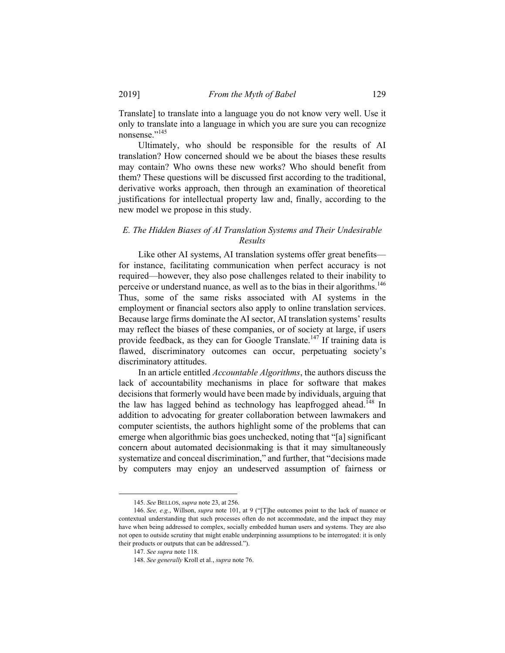Translate] to translate into a language you do not know very well. Use it only to translate into a language in which you are sure you can recognize nonsense."<sup>145</sup>

Ultimately, who should be responsible for the results of AI translation? How concerned should we be about the biases these results may contain? Who owns these new works? Who should benefit from them? These questions will be discussed first according to the traditional, derivative works approach, then through an examination of theoretical justifications for intellectual property law and, finally, according to the new model we propose in this study.

# *E. The Hidden Biases of AI Translation Systems and Their Undesirable Results*

Like other AI systems, AI translation systems offer great benefits for instance, facilitating communication when perfect accuracy is not required—however, they also pose challenges related to their inability to perceive or understand nuance, as well as to the bias in their algorithms.146 Thus, some of the same risks associated with AI systems in the employment or financial sectors also apply to online translation services. Because large firms dominate the AI sector, AI translation systems' results may reflect the biases of these companies, or of society at large, if users provide feedback, as they can for Google Translate.<sup>147</sup> If training data is flawed, discriminatory outcomes can occur, perpetuating society's discriminatory attitudes.

In an article entitled *Accountable Algorithms*, the authors discuss the lack of accountability mechanisms in place for software that makes decisions that formerly would have been made by individuals, arguing that the law has lagged behind as technology has leapfrogged ahead.<sup>148</sup> In addition to advocating for greater collaboration between lawmakers and computer scientists, the authors highlight some of the problems that can emerge when algorithmic bias goes unchecked, noting that "[a] significant concern about automated decisionmaking is that it may simultaneously systematize and conceal discrimination," and further, that "decisions made by computers may enjoy an undeserved assumption of fairness or

 <sup>145.</sup> *See* BELLOS, *supra* note 23, at 256.

<sup>146.</sup> *See, e.g.*, Willson, *supra* note 101, at 9 ("[T]he outcomes point to the lack of nuance or contextual understanding that such processes often do not accommodate, and the impact they may have when being addressed to complex, socially embedded human users and systems. They are also not open to outside scrutiny that might enable underpinning assumptions to be interrogated: it is only their products or outputs that can be addressed.").

<sup>147.</sup> *See supra* note 118.

<sup>148.</sup> *See generally* Kroll et al., *supra* note 76.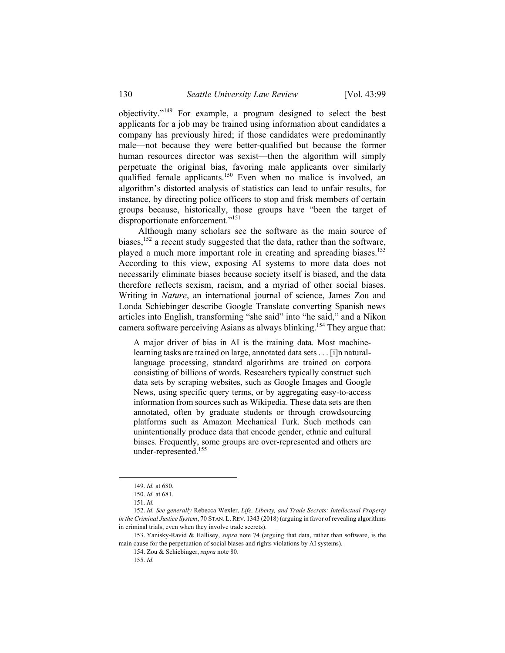objectivity."149 For example, a program designed to select the best applicants for a job may be trained using information about candidates a company has previously hired; if those candidates were predominantly male—not because they were better-qualified but because the former human resources director was sexist—then the algorithm will simply perpetuate the original bias, favoring male applicants over similarly qualified female applicants.<sup>150</sup> Even when no malice is involved, an algorithm's distorted analysis of statistics can lead to unfair results, for instance, by directing police officers to stop and frisk members of certain groups because, historically, those groups have "been the target of disproportionate enforcement."151

Although many scholars see the software as the main source of biases,  $152$  a recent study suggested that the data, rather than the software, played a much more important role in creating and spreading biases.<sup>153</sup> According to this view, exposing AI systems to more data does not necessarily eliminate biases because society itself is biased, and the data therefore reflects sexism, racism, and a myriad of other social biases. Writing in *Nature*, an international journal of science, James Zou and Londa Schiebinger describe Google Translate converting Spanish news articles into English, transforming "she said" into "he said," and a Nikon camera software perceiving Asians as always blinking.<sup>154</sup> They argue that:

A major driver of bias in AI is the training data. Most machinelearning tasks are trained on large, annotated data sets . . . [i]n naturallanguage processing, standard algorithms are trained on corpora consisting of billions of words. Researchers typically construct such data sets by scraping websites, such as Google Images and Google News, using specific query terms, or by aggregating easy-to-access information from sources such as Wikipedia. These data sets are then annotated, often by graduate students or through crowdsourcing platforms such as Amazon Mechanical Turk. Such methods can unintentionally produce data that encode gender, ethnic and cultural biases. Frequently, some groups are over-represented and others are under-represented.155

 <sup>149.</sup> *Id.* at 680.

<sup>150.</sup> *Id.* at 681.

<sup>151.</sup> *Id.* 

<sup>152.</sup> *Id. See generally* Rebecca Wexler, *Life, Liberty, and Trade Secrets: Intellectual Property in the Criminal Justice System*, 70 STAN. L.REV. 1343 (2018) (arguing in favor of revealing algorithms in criminal trials, even when they involve trade secrets).

 <sup>153.</sup> Yanisky-Ravid & Hallisey, *supra* note 74 (arguing that data, rather than software, is the main cause for the perpetuation of social biases and rights violations by AI systems).

 <sup>154.</sup> Zou & Schiebinger, *supra* note 80.

<sup>155.</sup> *Id.*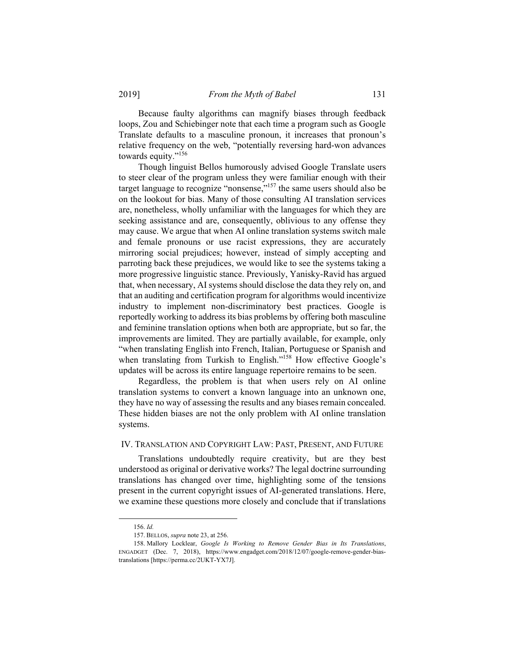Because faulty algorithms can magnify biases through feedback loops, Zou and Schiebinger note that each time a program such as Google Translate defaults to a masculine pronoun, it increases that pronoun's relative frequency on the web, "potentially reversing hard-won advances towards equity."156

Though linguist Bellos humorously advised Google Translate users to steer clear of the program unless they were familiar enough with their target language to recognize "nonsense,"157 the same users should also be on the lookout for bias. Many of those consulting AI translation services are, nonetheless, wholly unfamiliar with the languages for which they are seeking assistance and are, consequently, oblivious to any offense they may cause. We argue that when AI online translation systems switch male and female pronouns or use racist expressions, they are accurately mirroring social prejudices; however, instead of simply accepting and parroting back these prejudices, we would like to see the systems taking a more progressive linguistic stance. Previously, Yanisky-Ravid has argued that, when necessary, AI systems should disclose the data they rely on, and that an auditing and certification program for algorithms would incentivize industry to implement non-discriminatory best practices. Google is reportedly working to address its bias problems by offering both masculine and feminine translation options when both are appropriate, but so far, the improvements are limited. They are partially available, for example, only "when translating English into French, Italian, Portuguese or Spanish and when translating from Turkish to English."<sup>158</sup> How effective Google's updates will be across its entire language repertoire remains to be seen.

Regardless, the problem is that when users rely on AI online translation systems to convert a known language into an unknown one, they have no way of assessing the results and any biases remain concealed. These hidden biases are not the only problem with AI online translation systems.

### IV. TRANSLATION AND COPYRIGHT LAW: PAST, PRESENT, AND FUTURE

Translations undoubtedly require creativity, but are they best understood as original or derivative works? The legal doctrine surrounding translations has changed over time, highlighting some of the tensions present in the current copyright issues of AI-generated translations. Here, we examine these questions more closely and conclude that if translations

 <sup>156.</sup> *Id.*

 <sup>157.</sup> BELLOS, *supra* note 23, at 256.

 <sup>158.</sup> Mallory Locklear, *Google Is Working to Remove Gender Bias in Its Translations*, ENGADGET (Dec. 7, 2018), https://www.engadget.com/2018/12/07/google-remove-gender-biastranslations [https://perma.cc/2UKT-YX7J].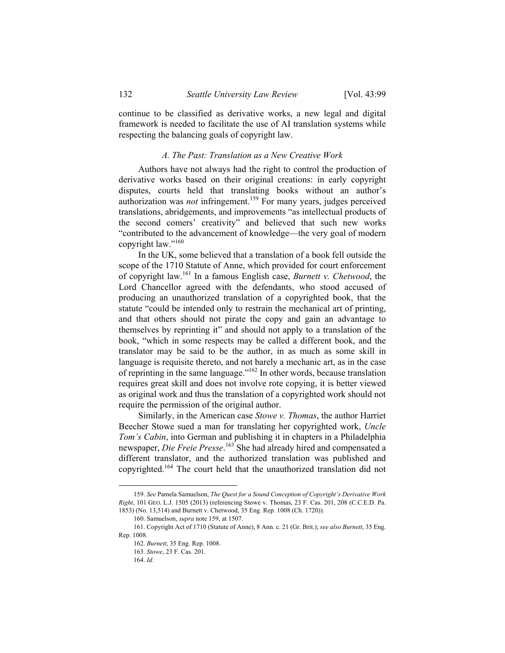continue to be classified as derivative works, a new legal and digital framework is needed to facilitate the use of AI translation systems while respecting the balancing goals of copyright law.

### *A. The Past: Translation as a New Creative Work*

Authors have not always had the right to control the production of derivative works based on their original creations: in early copyright disputes, courts held that translating books without an author's authorization was *not* infringement.<sup>159</sup> For many years, judges perceived translations, abridgements, and improvements "as intellectual products of the second comers' creativity" and believed that such new works "contributed to the advancement of knowledge—the very goal of modern copyright law."160

In the UK, some believed that a translation of a book fell outside the scope of the 1710 Statute of Anne, which provided for court enforcement of copyright law.161 In a famous English case, *Burnett v. Chetwood*, the Lord Chancellor agreed with the defendants, who stood accused of producing an unauthorized translation of a copyrighted book, that the statute "could be intended only to restrain the mechanical art of printing, and that others should not pirate the copy and gain an advantage to themselves by reprinting it" and should not apply to a translation of the book, "which in some respects may be called a different book, and the translator may be said to be the author, in as much as some skill in language is requisite thereto, and not barely a mechanic art, as in the case of reprinting in the same language."162 In other words, because translation requires great skill and does not involve rote copying, it is better viewed as original work and thus the translation of a copyrighted work should not require the permission of the original author.

Similarly, in the American case *Stowe v. Thomas*, the author Harriet Beecher Stowe sued a man for translating her copyrighted work, *Uncle Tom's Cabin*, into German and publishing it in chapters in a Philadelphia newspaper, *Die Freie Presse*. 163 She had already hired and compensated a different translator, and the authorized translation was published and copyrighted.164 The court held that the unauthorized translation did not

 <sup>159.</sup> *See* Pamela Samuelson, *The Quest for a Sound Conception of Copyright's Derivative Work Right*, 101 GEO. L.J. 1505 (2013) (referencing Stowe v. Thomas, 23 F. Cas. 201, 208 (C.C.E.D. Pa. 1853) (No. 13,514) and Burnett v. Chetwood, 35 Eng. Rep. 1008 (Ch. 1720)).

<sup>160.</sup> Samuelson, *supra* note 159, at 1507.

 <sup>161.</sup> Copyright Act of 1710 (Statute of Anne), 8 Ann. c. 21 (Gr. Brit.); *see also Burnett*, 35 Eng. Rep. 1008.

<sup>162.</sup> *Burnett*, 35 Eng. Rep. 1008.

<sup>163.</sup> *Stowe*, 23 F. Cas. 201.

<sup>164.</sup> *Id.*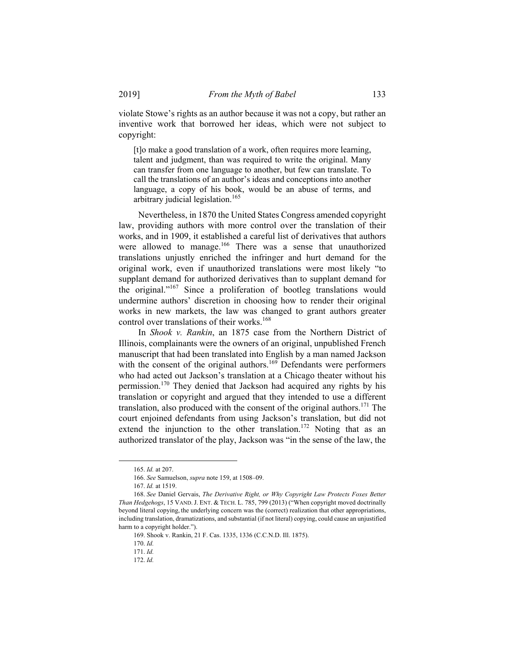violate Stowe's rights as an author because it was not a copy, but rather an inventive work that borrowed her ideas, which were not subject to copyright:

[t]o make a good translation of a work, often requires more learning, talent and judgment, than was required to write the original. Many can transfer from one language to another, but few can translate. To call the translations of an author's ideas and conceptions into another language, a copy of his book, would be an abuse of terms, and arbitrary judicial legislation.165

Nevertheless, in 1870 the United States Congress amended copyright law, providing authors with more control over the translation of their works, and in 1909, it established a careful list of derivatives that authors were allowed to manage.<sup>166</sup> There was a sense that unauthorized translations unjustly enriched the infringer and hurt demand for the original work, even if unauthorized translations were most likely "to supplant demand for authorized derivatives than to supplant demand for the original."167 Since a proliferation of bootleg translations would undermine authors' discretion in choosing how to render their original works in new markets, the law was changed to grant authors greater control over translations of their works.<sup>168</sup>

In *Shook v. Rankin*, an 1875 case from the Northern District of Illinois, complainants were the owners of an original, unpublished French manuscript that had been translated into English by a man named Jackson with the consent of the original authors.<sup>169</sup> Defendants were performers who had acted out Jackson's translation at a Chicago theater without his permission.170 They denied that Jackson had acquired any rights by his translation or copyright and argued that they intended to use a different translation, also produced with the consent of the original authors.<sup>171</sup> The court enjoined defendants from using Jackson's translation, but did not extend the injunction to the other translation.<sup>172</sup> Noting that as an authorized translator of the play, Jackson was "in the sense of the law, the

 <sup>165.</sup> *Id.* at 207.

<sup>166.</sup> *See* Samuelson, *supra* note 159, at 1508–09.

<sup>167.</sup> *Id.* at 1519.

<sup>168.</sup> *See* Daniel Gervais, *The Derivative Right, or Why Copyright Law Protects Foxes Better Than Hedgehogs*, 15 VAND.J. ENT. & TECH. L. 785, 799 (2013) ("When copyright moved doctrinally beyond literal copying, the underlying concern was the (correct) realization that other appropriations, including translation, dramatizations, and substantial (if not literal) copying, could cause an unjustified harm to a copyright holder.").

 <sup>169.</sup> Shook v. Rankin, 21 F. Cas. 1335, 1336 (C.C.N.D. Ill. 1875).

<sup>170.</sup> *Id.*

<sup>171.</sup> *Id.*

<sup>172.</sup> *Id.*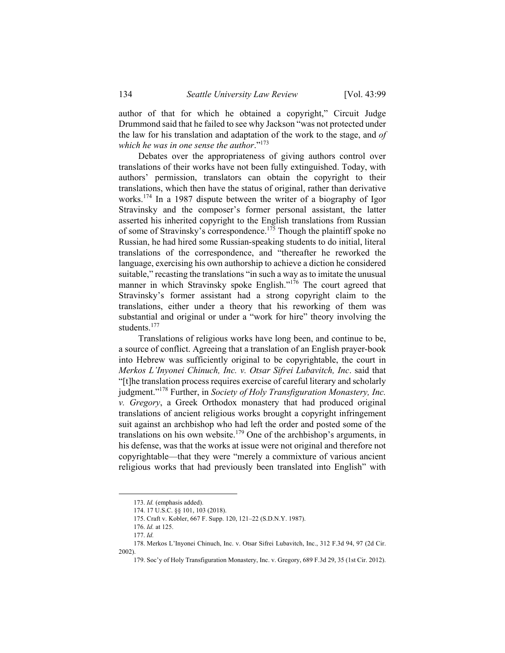author of that for which he obtained a copyright," Circuit Judge Drummond said that he failed to see why Jackson "was not protected under the law for his translation and adaptation of the work to the stage, and *of which he was in one sense the author*."173

Debates over the appropriateness of giving authors control over translations of their works have not been fully extinguished. Today, with authors' permission, translators can obtain the copyright to their translations, which then have the status of original, rather than derivative works.<sup>174</sup> In a 1987 dispute between the writer of a biography of Igor Stravinsky and the composer's former personal assistant, the latter asserted his inherited copyright to the English translations from Russian of some of Stravinsky's correspondence.175 Though the plaintiff spoke no Russian, he had hired some Russian-speaking students to do initial, literal translations of the correspondence, and "thereafter he reworked the language, exercising his own authorship to achieve a diction he considered suitable," recasting the translations "in such a way as to imitate the unusual manner in which Stravinsky spoke English."<sup>176</sup> The court agreed that Stravinsky's former assistant had a strong copyright claim to the translations, either under a theory that his reworking of them was substantial and original or under a "work for hire" theory involving the students.<sup>177</sup>

Translations of religious works have long been, and continue to be, a source of conflict. Agreeing that a translation of an English prayer-book into Hebrew was sufficiently original to be copyrightable, the court in *Merkos L'Inyonei Chinuch, Inc. v. Otsar Sifrei Lubavitch, Inc*. said that "[t]he translation process requires exercise of careful literary and scholarly judgment."178 Further, in *Society of Holy Transfiguration Monastery, Inc. v. Gregory*, a Greek Orthodox monastery that had produced original translations of ancient religious works brought a copyright infringement suit against an archbishop who had left the order and posted some of the translations on his own website.<sup>179</sup> One of the archbishop's arguments, in his defense, was that the works at issue were not original and therefore not copyrightable—that they were "merely a commixture of various ancient religious works that had previously been translated into English" with

 <sup>173.</sup> *Id.* (emphasis added).

 <sup>174. 17</sup> U.S.C. §§ 101, 103 (2018).

 <sup>175.</sup> Craft v. Kobler, 667 F. Supp. 120, 121–22 (S.D.N.Y. 1987).

<sup>176.</sup> *Id.* at 125.

<sup>177.</sup> *Id.*

 <sup>178.</sup> Merkos L'Inyonei Chinuch, Inc. v. Otsar Sifrei Lubavitch, Inc., 312 F.3d 94, 97 (2d Cir. 2002).

 <sup>179.</sup> Soc'y of Holy Transfiguration Monastery, Inc. v. Gregory, 689 F.3d 29, 35 (1st Cir. 2012).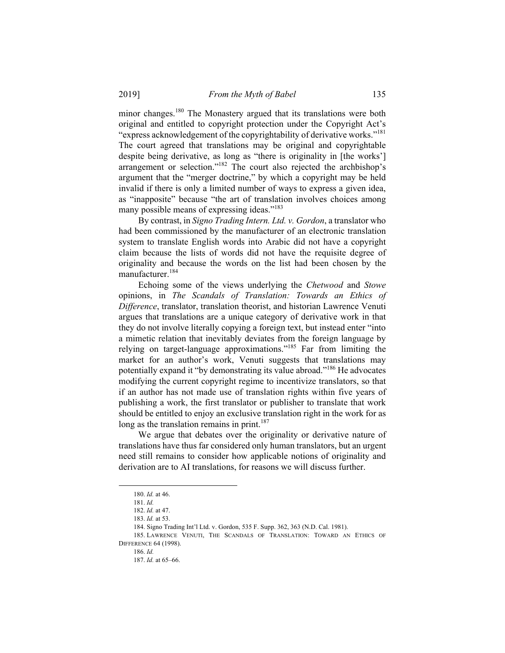minor changes.<sup>180</sup> The Monastery argued that its translations were both original and entitled to copyright protection under the Copyright Act's "express acknowledgement of the copyrightability of derivative works."<sup>181</sup> The court agreed that translations may be original and copyrightable despite being derivative, as long as "there is originality in [the works'] arrangement or selection."182 The court also rejected the archbishop's argument that the "merger doctrine," by which a copyright may be held invalid if there is only a limited number of ways to express a given idea, as "inapposite" because "the art of translation involves choices among many possible means of expressing ideas."<sup>183</sup>

By contrast, in *Signo Trading Intern. Ltd. v. Gordon*, a translator who had been commissioned by the manufacturer of an electronic translation system to translate English words into Arabic did not have a copyright claim because the lists of words did not have the requisite degree of originality and because the words on the list had been chosen by the manufacturer.<sup>184</sup>

Echoing some of the views underlying the *Chetwood* and *Stowe* opinions, in *The Scandals of Translation: Towards an Ethics of Difference*, translator, translation theorist, and historian Lawrence Venuti argues that translations are a unique category of derivative work in that they do not involve literally copying a foreign text, but instead enter "into a mimetic relation that inevitably deviates from the foreign language by relying on target-language approximations."185 Far from limiting the market for an author's work, Venuti suggests that translations may potentially expand it "by demonstrating its value abroad."186 He advocates modifying the current copyright regime to incentivize translators, so that if an author has not made use of translation rights within five years of publishing a work, the first translator or publisher to translate that work should be entitled to enjoy an exclusive translation right in the work for as long as the translation remains in print.<sup>187</sup>

We argue that debates over the originality or derivative nature of translations have thus far considered only human translators, but an urgent need still remains to consider how applicable notions of originality and derivation are to AI translations, for reasons we will discuss further.

 <sup>180.</sup> *Id.* at 46.

<sup>181.</sup> *Id.* 

<sup>182.</sup> *Id.* at 47.

<sup>183.</sup> *Id.* at 53.

 <sup>184.</sup> Signo Trading Int'l Ltd. v. Gordon, 535 F. Supp. 362, 363 (N.D. Cal. 1981).

 <sup>185.</sup> LAWRENCE VENUTI, THE SCANDALS OF TRANSLATION: TOWARD AN ETHICS OF DIFFERENCE 64 (1998).

<sup>186.</sup> *Id.*

<sup>187.</sup> *Id.* at 65–66.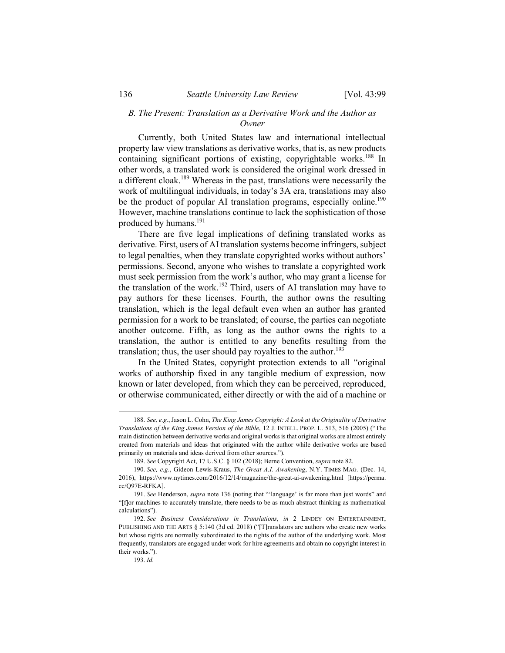### *B. The Present: Translation as a Derivative Work and the Author as Owner*

Currently, both United States law and international intellectual property law view translations as derivative works, that is, as new products containing significant portions of existing, copyrightable works.<sup>188</sup> In other words, a translated work is considered the original work dressed in a different cloak.189 Whereas in the past, translations were necessarily the work of multilingual individuals, in today's 3A era, translations may also be the product of popular AI translation programs, especially online.<sup>190</sup> However, machine translations continue to lack the sophistication of those produced by humans.<sup>191</sup>

There are five legal implications of defining translated works as derivative. First, users of AI translation systems become infringers, subject to legal penalties, when they translate copyrighted works without authors' permissions. Second, anyone who wishes to translate a copyrighted work must seek permission from the work's author, who may grant a license for the translation of the work.192 Third, users of AI translation may have to pay authors for these licenses. Fourth, the author owns the resulting translation, which is the legal default even when an author has granted permission for a work to be translated; of course, the parties can negotiate another outcome. Fifth, as long as the author owns the rights to a translation, the author is entitled to any benefits resulting from the translation; thus, the user should pay royalties to the author.<sup>193</sup>

In the United States, copyright protection extends to all "original works of authorship fixed in any tangible medium of expression, now known or later developed, from which they can be perceived, reproduced, or otherwise communicated, either directly or with the aid of a machine or

 <sup>188.</sup> *See, e.g.*, Jason L. Cohn, *The King James Copyright: A Look at the Originality of Derivative Translations of the King James Version of the Bible*, 12 J. INTELL. PROP. L. 513, 516 (2005) ("The main distinction between derivative works and original works is that original works are almost entirely created from materials and ideas that originated with the author while derivative works are based primarily on materials and ideas derived from other sources.").

<sup>189.</sup> *See* Copyright Act, 17 U.S.C. § 102 (2018); Berne Convention, *supra* note 82.

<sup>190.</sup> *See, e.g.*, Gideon Lewis-Kraus, *The Great A.I. Awakening*, N.Y. TIMES MAG. (Dec. 14, 2016), https://www.nytimes.com/2016/12/14/magazine/the-great-ai-awakening.html [https://perma. cc/Q97E-RFKA].

<sup>191.</sup> *See* Henderson, *supra* note 136 (noting that "'language' is far more than just words" and "[f]or machines to accurately translate, there needs to be as much abstract thinking as mathematical calculations").

<sup>192.</sup> *See Business Considerations in Translations*, *in* 2 LINDEY ON ENTERTAINMENT, PUBLISHING AND THE ARTS § 5:140 (3d ed. 2018) ("[T]ranslators are authors who create new works but whose rights are normally subordinated to the rights of the author of the underlying work. Most frequently, translators are engaged under work for hire agreements and obtain no copyright interest in their works.").

<sup>193.</sup> *Id.*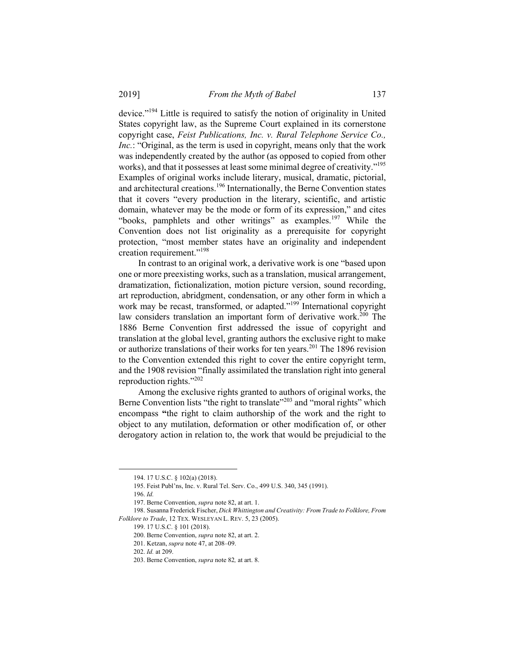device."194 Little is required to satisfy the notion of originality in United States copyright law, as the Supreme Court explained in its cornerstone copyright case, *Feist Publications, Inc. v. Rural Telephone Service Co., Inc.*: "Original, as the term is used in copyright, means only that the work was independently created by the author (as opposed to copied from other works), and that it possesses at least some minimal degree of creativity."<sup>195</sup> Examples of original works include literary, musical, dramatic, pictorial, and architectural creations.196 Internationally, the Berne Convention states that it covers "every production in the literary, scientific, and artistic domain, whatever may be the mode or form of its expression," and cites "books, pamphlets and other writings" as examples.<sup>197</sup> While the Convention does not list originality as a prerequisite for copyright protection, "most member states have an originality and independent creation requirement."<sup>198</sup>

In contrast to an original work, a derivative work is one "based upon one or more preexisting works, such as a translation, musical arrangement, dramatization, fictionalization, motion picture version, sound recording, art reproduction, abridgment, condensation, or any other form in which a work may be recast, transformed, or adapted."<sup>199</sup> International copyright law considers translation an important form of derivative work.<sup>200</sup> The 1886 Berne Convention first addressed the issue of copyright and translation at the global level, granting authors the exclusive right to make or authorize translations of their works for ten years.<sup>201</sup> The 1896 revision to the Convention extended this right to cover the entire copyright term, and the 1908 revision "finally assimilated the translation right into general reproduction rights."202

Among the exclusive rights granted to authors of original works, the Berne Convention lists "the right to translate"<sup>203</sup> and "moral rights" which encompass **"**the right to claim authorship of the work and the right to object to any mutilation, deformation or other modification of, or other derogatory action in relation to, the work that would be prejudicial to the

1

 <sup>194. 17</sup> U.S.C. § 102(a) (2018).

 <sup>195.</sup> Feist Publ'ns, Inc. v. Rural Tel. Serv. Co., 499 U.S. 340, 345 (1991).

<sup>196.</sup> *Id.*

 <sup>197.</sup> Berne Convention, *supra* note 82, at art. 1.

 <sup>198.</sup> Susanna Frederick Fischer, *Dick Whittington and Creativity: From Trade to Folklore, From Folklore to Trade*, 12 TEX. WESLEYAN L. REV. 5, 23 (2005).

 <sup>199. 17</sup> U.S.C. § 101 (2018).

 <sup>200.</sup> Berne Convention, *supra* note 82, at art. 2.

 <sup>201.</sup> Ketzan, *supra* note 47, at 208–09.

<sup>202.</sup> *Id.* at 209.

 <sup>203.</sup> Berne Convention, *supra* note 82*,* at art. 8.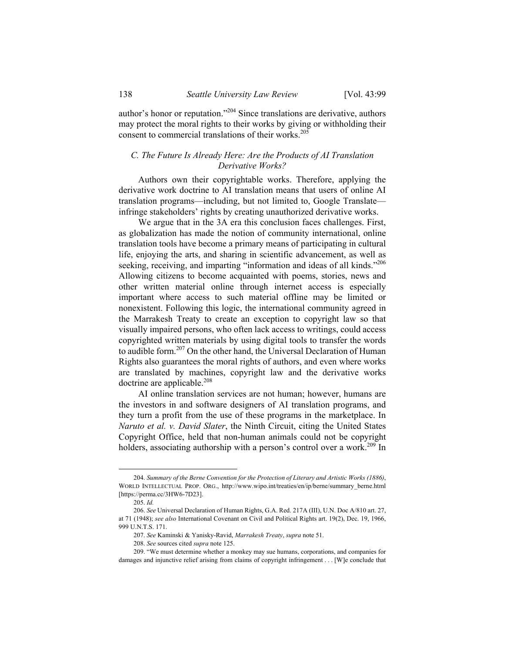author's honor or reputation."204 Since translations are derivative, authors may protect the moral rights to their works by giving or withholding their consent to commercial translations of their works.<sup>205</sup>

# *C. The Future Is Already Here: Are the Products of AI Translation Derivative Works?*

Authors own their copyrightable works. Therefore, applying the derivative work doctrine to AI translation means that users of online AI translation programs—including, but not limited to, Google Translate infringe stakeholders' rights by creating unauthorized derivative works.

We argue that in the 3A era this conclusion faces challenges. First, as globalization has made the notion of community international, online translation tools have become a primary means of participating in cultural life, enjoying the arts, and sharing in scientific advancement, as well as seeking, receiving, and imparting "information and ideas of all kinds."<sup>206</sup> Allowing citizens to become acquainted with poems, stories, news and other written material online through internet access is especially important where access to such material offline may be limited or nonexistent. Following this logic, the international community agreed in the Marrakesh Treaty to create an exception to copyright law so that visually impaired persons, who often lack access to writings, could access copyrighted written materials by using digital tools to transfer the words to audible form.207 On the other hand, the Universal Declaration of Human Rights also guarantees the moral rights of authors, and even where works are translated by machines, copyright law and the derivative works doctrine are applicable.<sup>208</sup>

AI online translation services are not human; however, humans are the investors in and software designers of AI translation programs, and they turn a profit from the use of these programs in the marketplace. In *Naruto et al. v. David Slater*, the Ninth Circuit, citing the United States Copyright Office, held that non-human animals could not be copyright holders, associating authorship with a person's control over a work.<sup>209</sup> In

 <sup>204.</sup> *Summary of the Berne Convention for the Protection of Literary and Artistic Works (1886)*, WORLD INTELLECTUAL PROP. ORG., http://www.wipo.int/treaties/en/ip/berne/summary\_berne.html [https://perma.cc/3HW6-7D23].

<sup>205.</sup> *Id.*

<sup>206.</sup> *See* Universal Declaration of Human Rights, G.A. Red. 217A (III), U.N. Doc A/810 art. 27, at 71 (1948); *see also* International Covenant on Civil and Political Rights art. 19(2), Dec. 19, 1966, 999 U.N.T.S. 171.

<sup>207.</sup> *See* Kaminski & Yanisky-Ravid, *Marrakesh Treaty*, *supra* note 51.

<sup>208.</sup> *See* sources cited *supra* note 125.

 <sup>209. &</sup>quot;We must determine whether a monkey may sue humans, corporations, and companies for damages and injunctive relief arising from claims of copyright infringement . . . [W]e conclude that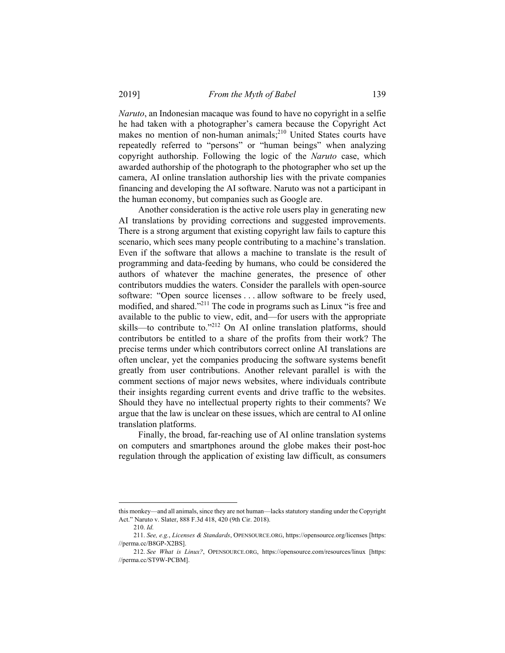*Naruto*, an Indonesian macaque was found to have no copyright in a selfie he had taken with a photographer's camera because the Copyright Act makes no mention of non-human animals; $^{210}$  United States courts have repeatedly referred to "persons" or "human beings" when analyzing copyright authorship. Following the logic of the *Naruto* case, which awarded authorship of the photograph to the photographer who set up the camera, AI online translation authorship lies with the private companies financing and developing the AI software. Naruto was not a participant in the human economy, but companies such as Google are.

Another consideration is the active role users play in generating new AI translations by providing corrections and suggested improvements. There is a strong argument that existing copyright law fails to capture this scenario, which sees many people contributing to a machine's translation. Even if the software that allows a machine to translate is the result of programming and data-feeding by humans, who could be considered the authors of whatever the machine generates, the presence of other contributors muddies the waters. Consider the parallels with open-source software: "Open source licenses . . . allow software to be freely used, modified, and shared."211 The code in programs such as Linux "is free and available to the public to view, edit, and—for users with the appropriate skills—to contribute to."212 On AI online translation platforms, should contributors be entitled to a share of the profits from their work? The precise terms under which contributors correct online AI translations are often unclear, yet the companies producing the software systems benefit greatly from user contributions. Another relevant parallel is with the comment sections of major news websites, where individuals contribute their insights regarding current events and drive traffic to the websites. Should they have no intellectual property rights to their comments? We argue that the law is unclear on these issues, which are central to AI online translation platforms.

Finally, the broad, far-reaching use of AI online translation systems on computers and smartphones around the globe makes their post-hoc regulation through the application of existing law difficult, as consumers

1

this monkey—and all animals, since they are not human—lacks statutory standing under the Copyright Act." Naruto v. Slater, 888 F.3d 418, 420 (9th Cir. 2018).

<sup>210.</sup> *Id.*

<sup>211.</sup> *See, e.g.*, *Licenses & Standards*, OPENSOURCE.ORG, https://opensource.org/licenses [https: //perma.cc/B8GP-X2BS].

<sup>212.</sup> *See What is Linux?*, OPENSOURCE.ORG, https://opensource.com/resources/linux [https: //perma.cc/ST9W-PCBM].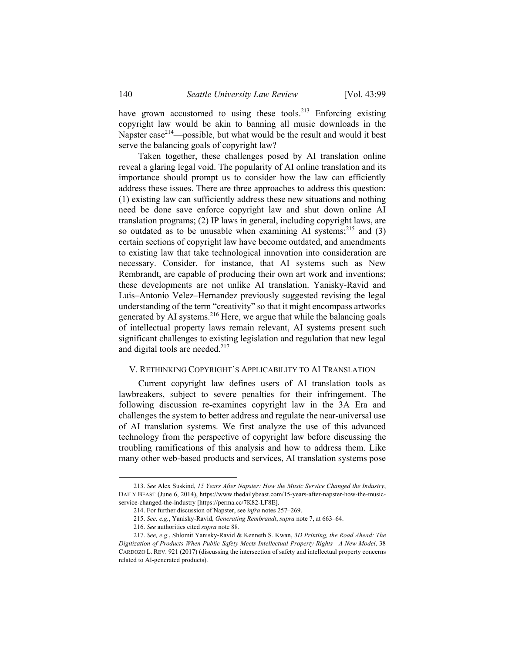have grown accustomed to using these tools.<sup>213</sup> Enforcing existing copyright law would be akin to banning all music downloads in the Napster  $case^{214}$ —possible, but what would be the result and would it best serve the balancing goals of copyright law?

Taken together, these challenges posed by AI translation online reveal a glaring legal void. The popularity of AI online translation and its importance should prompt us to consider how the law can efficiently address these issues. There are three approaches to address this question: (1) existing law can sufficiently address these new situations and nothing need be done save enforce copyright law and shut down online AI translation programs; (2) IP laws in general, including copyright laws, are so outdated as to be unusable when examining AI systems; $^{215}$  and (3) certain sections of copyright law have become outdated, and amendments to existing law that take technological innovation into consideration are necessary. Consider, for instance, that AI systems such as New Rembrandt, are capable of producing their own art work and inventions; these developments are not unlike AI translation. Yanisky-Ravid and Luis–Antonio Velez–Hernandez previously suggested revising the legal understanding of the term "creativity" so that it might encompass artworks generated by AI systems. $2^{16}$  Here, we argue that while the balancing goals of intellectual property laws remain relevant, AI systems present such significant challenges to existing legislation and regulation that new legal and digital tools are needed. $217$ 

### V. RETHINKING COPYRIGHT'S APPLICABILITY TO AI TRANSLATION

Current copyright law defines users of AI translation tools as lawbreakers, subject to severe penalties for their infringement. The following discussion re-examines copyright law in the 3A Era and challenges the system to better address and regulate the near-universal use of AI translation systems. We first analyze the use of this advanced technology from the perspective of copyright law before discussing the troubling ramifications of this analysis and how to address them. Like many other web-based products and services, AI translation systems pose

 <sup>213.</sup> *See* Alex Suskind, *15 Years After Napster: How the Music Service Changed the Industry*, DAILY BEAST (June 6, 2014), https://www.thedailybeast.com/15-years-after-napster-how-the-musicservice-changed-the-industry [https://perma.cc/7K82-LF8E].

 <sup>214.</sup> For further discussion of Napster, see *infra* notes 257–269.

<sup>215.</sup> *See, e.g.*, Yanisky-Ravid, *Generating Rembrandt*, *supra* note 7, at 663–64.

<sup>216.</sup> *See* authorities cited *supra* note 88.

<sup>217.</sup> *See, e.g.*, Shlomit Yanisky-Ravid & Kenneth S. Kwan, *3D Printing, the Road Ahead: The Digitization of Products When Public Safety Meets Intellectual Property Rights—A New Model*, 38 CARDOZO L. REV. 921 (2017) (discussing the intersection of safety and intellectual property concerns related to AI-generated products).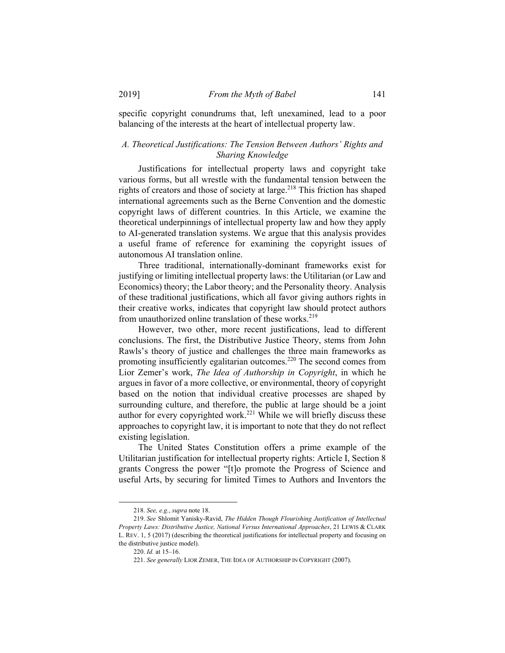specific copyright conundrums that, left unexamined, lead to a poor balancing of the interests at the heart of intellectual property law.

# *A. Theoretical Justifications: The Tension Between Authors' Rights and Sharing Knowledge*

Justifications for intellectual property laws and copyright take various forms, but all wrestle with the fundamental tension between the rights of creators and those of society at large.<sup>218</sup> This friction has shaped international agreements such as the Berne Convention and the domestic copyright laws of different countries. In this Article, we examine the theoretical underpinnings of intellectual property law and how they apply to AI-generated translation systems. We argue that this analysis provides a useful frame of reference for examining the copyright issues of autonomous AI translation online.

Three traditional, internationally-dominant frameworks exist for justifying or limiting intellectual property laws: the Utilitarian (or Law and Economics) theory; the Labor theory; and the Personality theory. Analysis of these traditional justifications, which all favor giving authors rights in their creative works, indicates that copyright law should protect authors from unauthorized online translation of these works. $219$ 

However, two other, more recent justifications, lead to different conclusions. The first, the Distributive Justice Theory, stems from John Rawls's theory of justice and challenges the three main frameworks as promoting insufficiently egalitarian outcomes.<sup>220</sup> The second comes from Lior Zemer's work, *The Idea of Authorship in Copyright*, in which he argues in favor of a more collective, or environmental, theory of copyright based on the notion that individual creative processes are shaped by surrounding culture, and therefore, the public at large should be a joint author for every copyrighted work.<sup>221</sup> While we will briefly discuss these approaches to copyright law, it is important to note that they do not reflect existing legislation.

The United States Constitution offers a prime example of the Utilitarian justification for intellectual property rights: Article I, Section 8 grants Congress the power "[t]o promote the Progress of Science and useful Arts, by securing for limited Times to Authors and Inventors the

 <sup>218.</sup> *See, e.g.*, *supra* note 18.

<sup>219.</sup> *See* Shlomit Yanisky-Ravid, *The Hidden Though Flourishing Justification of Intellectual Property Laws: Distributive Justice, National Versus International Approaches*, 21 LEWIS & CLARK L. REV. 1, 5 (2017) (describing the theoretical justifications for intellectual property and focusing on the distributive justice model).

<sup>220.</sup> *Id.* at 15–16.

<sup>221.</sup> *See generally* LIOR ZEMER, THE IDEA OF AUTHORSHIP IN COPYRIGHT (2007).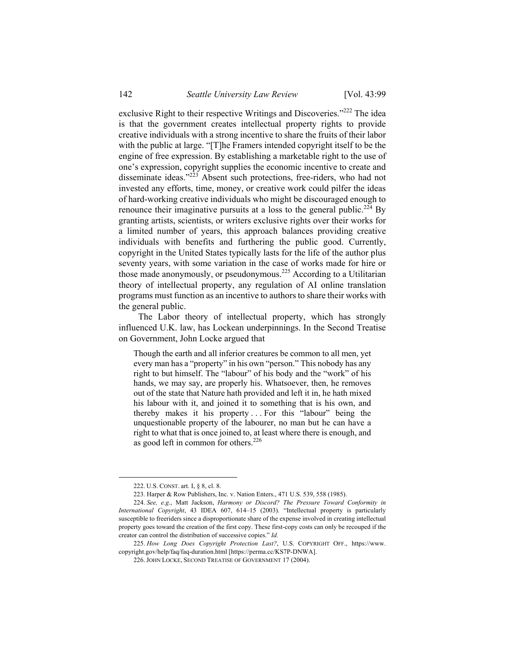exclusive Right to their respective Writings and Discoveries."<sup>222</sup> The idea is that the government creates intellectual property rights to provide creative individuals with a strong incentive to share the fruits of their labor with the public at large. "[T]he Framers intended copyright itself to be the engine of free expression. By establishing a marketable right to the use of one's expression, copyright supplies the economic incentive to create and disseminate ideas."<sup>223</sup> Absent such protections, free-riders, who had not invested any efforts, time, money, or creative work could pilfer the ideas of hard-working creative individuals who might be discouraged enough to renounce their imaginative pursuits at a loss to the general public.<sup>224</sup> By granting artists, scientists, or writers exclusive rights over their works for a limited number of years, this approach balances providing creative individuals with benefits and furthering the public good. Currently, copyright in the United States typically lasts for the life of the author plus seventy years, with some variation in the case of works made for hire or those made anonymously, or pseudonymous.225 According to a Utilitarian theory of intellectual property, any regulation of AI online translation programs must function as an incentive to authors to share their works with the general public.

The Labor theory of intellectual property, which has strongly influenced U.K. law, has Lockean underpinnings. In the Second Treatise on Government, John Locke argued that

Though the earth and all inferior creatures be common to all men, yet every man has a "property" in his own "person." This nobody has any right to but himself. The "labour" of his body and the "work" of his hands, we may say, are properly his. Whatsoever, then, he removes out of the state that Nature hath provided and left it in, he hath mixed his labour with it, and joined it to something that is his own, and thereby makes it his property . . . For this "labour" being the unquestionable property of the labourer, no man but he can have a right to what that is once joined to, at least where there is enough, and as good left in common for others.<sup>226</sup>

 <sup>222.</sup> U.S. CONST. art. I, § 8, cl. 8.

 <sup>223.</sup> Harper & Row Publishers, Inc. v. Nation Enters., 471 U.S. 539, 558 (1985).

<sup>224.</sup> *See, e.g*., Matt Jackson, *Harmony or Discord? The Pressure Toward Conformity in International Copyright*, 43 IDEA 607, 614–15 (2003). "Intellectual property is particularly susceptible to freeriders since a disproportionate share of the expense involved in creating intellectual property goes toward the creation of the first copy. These first-copy costs can only be recouped if the creator can control the distribution of successive copies." *Id.*

<sup>225.</sup> *How Long Does Copyright Protection Last?*, U.S. COPYRIGHT OFF., https://www. copyright.gov/help/faq/faq-duration.html [https://perma.cc/KS7P-DNWA].

 <sup>226.</sup> JOHN LOCKE, SECOND TREATISE OF GOVERNMENT 17 (2004).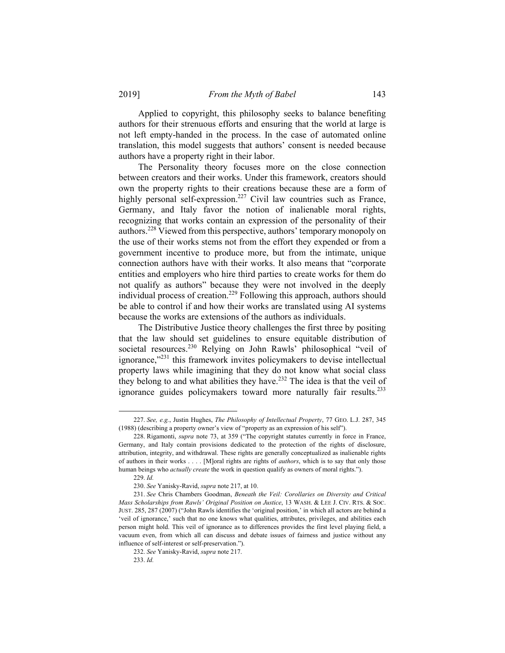Applied to copyright, this philosophy seeks to balance benefiting authors for their strenuous efforts and ensuring that the world at large is not left empty-handed in the process. In the case of automated online translation, this model suggests that authors' consent is needed because authors have a property right in their labor.

The Personality theory focuses more on the close connection between creators and their works. Under this framework, creators should own the property rights to their creations because these are a form of highly personal self-expression.<sup>227</sup> Civil law countries such as France, Germany, and Italy favor the notion of inalienable moral rights, recognizing that works contain an expression of the personality of their authors.228 Viewed from this perspective, authors' temporary monopoly on the use of their works stems not from the effort they expended or from a government incentive to produce more, but from the intimate, unique connection authors have with their works. It also means that "corporate entities and employers who hire third parties to create works for them do not qualify as authors" because they were not involved in the deeply individual process of creation.<sup>229</sup> Following this approach, authors should be able to control if and how their works are translated using AI systems because the works are extensions of the authors as individuals.

The Distributive Justice theory challenges the first three by positing that the law should set guidelines to ensure equitable distribution of societal resources.<sup>230</sup> Relying on John Rawls' philosophical "veil of ignorance,"231 this framework invites policymakers to devise intellectual property laws while imagining that they do not know what social class they belong to and what abilities they have.<sup>232</sup> The idea is that the veil of ignorance guides policymakers toward more naturally fair results.<sup>233</sup>

 <sup>227.</sup> *See, e.g.*, Justin Hughes, *The Philosophy of Intellectual Property*, 77 GEO. L.J. 287, 345 (1988) (describing a property owner's view of "property as an expression of his self").

 <sup>228.</sup> Rigamonti, *supra* note 73, at 359 ("The copyright statutes currently in force in France, Germany, and Italy contain provisions dedicated to the protection of the rights of disclosure, attribution, integrity, and withdrawal. These rights are generally conceptualized as inalienable rights of authors in their works . . . . [M]oral rights are rights of *authors*, which is to say that only those human beings who *actually create* the work in question qualify as owners of moral rights.").

<sup>229.</sup> *Id.*

<sup>230.</sup> *See* Yanisky-Ravid, *supra* note 217, at 10.

<sup>231.</sup> *See* Chris Chambers Goodman, *Beneath the Veil: Corollaries on Diversity and Critical Mass Scholarships from Rawls' Original Position on Justice*, 13 WASH. & LEE J. CIV. RTS. & SOC. JUST. 285, 287 (2007) ("John Rawls identifies the 'original position,' in which all actors are behind a 'veil of ignorance,' such that no one knows what qualities, attributes, privileges, and abilities each person might hold. This veil of ignorance as to differences provides the first level playing field, a vacuum even, from which all can discuss and debate issues of fairness and justice without any influence of self-interest or self-preservation.").

<sup>232.</sup> *See* Yanisky-Ravid, *supra* note 217.

<sup>233.</sup> *Id.*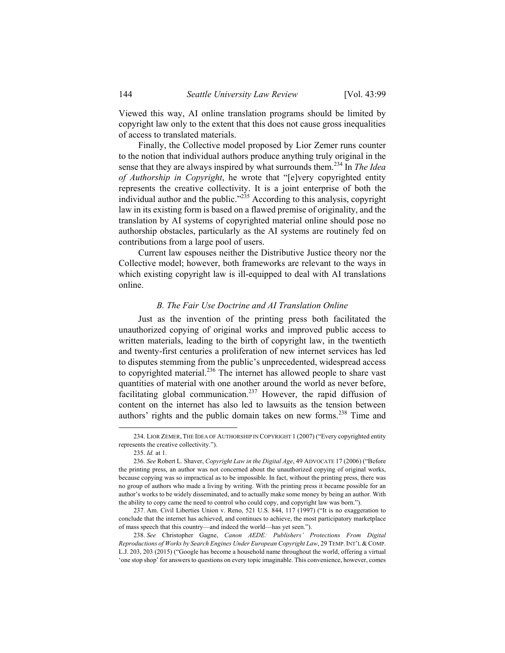Viewed this way, AI online translation programs should be limited by copyright law only to the extent that this does not cause gross inequalities of access to translated materials.

Finally, the Collective model proposed by Lior Zemer runs counter to the notion that individual authors produce anything truly original in the sense that they are always inspired by what surrounds them.234 In *The Idea of Authorship in Copyright*, he wrote that "[e]very copyrighted entity represents the creative collectivity. It is a joint enterprise of both the individual author and the public."<sup>235</sup> According to this analysis, copyright law in its existing form is based on a flawed premise of originality, and the translation by AI systems of copyrighted material online should pose no authorship obstacles, particularly as the AI systems are routinely fed on contributions from a large pool of users.

Current law espouses neither the Distributive Justice theory nor the Collective model; however, both frameworks are relevant to the ways in which existing copyright law is ill-equipped to deal with AI translations online.

### *B. The Fair Use Doctrine and AI Translation Online*

Just as the invention of the printing press both facilitated the unauthorized copying of original works and improved public access to written materials, leading to the birth of copyright law, in the twentieth and twenty-first centuries a proliferation of new internet services has led to disputes stemming from the public's unprecedented, widespread access to copyrighted material.<sup>236</sup> The internet has allowed people to share vast quantities of material with one another around the world as never before, facilitating global communication.<sup>237</sup> However, the rapid diffusion of content on the internet has also led to lawsuits as the tension between authors' rights and the public domain takes on new forms.<sup>238</sup> Time and

 <sup>234.</sup> LIOR ZEMER, THE IDEA OF AUTHORSHIP IN COPYRIGHT 1 (2007) ("Every copyrighted entity represents the creative collectivity.").

<sup>235.</sup> *Id.* at 1.

<sup>236.</sup> *See* Robert L. Shaver, *Copyright Law in the Digital Age*, 49 ADVOCATE 17 (2006) ("Before the printing press, an author was not concerned about the unauthorized copying of original works, because copying was so impractical as to be impossible. In fact, without the printing press, there was no group of authors who made a living by writing. With the printing press it became possible for an author's works to be widely disseminated, and to actually make some money by being an author. With the ability to copy came the need to control who could copy, and copyright law was born.").

 <sup>237.</sup> Am. Civil Liberties Union v. Reno, 521 U.S. 844, 117 (1997) ("It is no exaggeration to conclude that the internet has achieved, and continues to achieve, the most participatory marketplace of mass speech that this country—and indeed the world—has yet seen.").

<sup>238.</sup> *See* Christopher Gagne, *Canon AEDE: Publishers' Protections From Digital Reproductions of Works by Search Engines Under European Copyright Law*, 29 TEMP.INT'L &COMP. L.J. 203, 203 (2015) ("Google has become a household name throughout the world, offering a virtual 'one stop shop' for answers to questions on every topic imaginable. This convenience, however, comes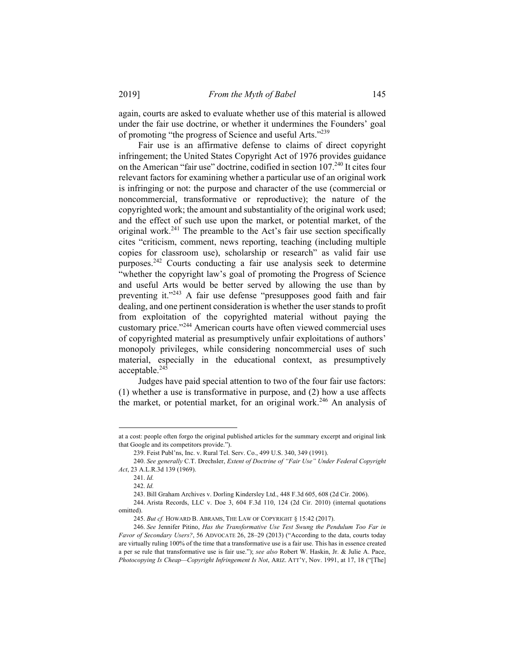again, courts are asked to evaluate whether use of this material is allowed under the fair use doctrine, or whether it undermines the Founders' goal of promoting "the progress of Science and useful Arts."239

Fair use is an affirmative defense to claims of direct copyright infringement; the United States Copyright Act of 1976 provides guidance on the American "fair use" doctrine, codified in section 107.<sup>240</sup> It cites four relevant factors for examining whether a particular use of an original work is infringing or not: the purpose and character of the use (commercial or noncommercial, transformative or reproductive); the nature of the copyrighted work; the amount and substantiality of the original work used; and the effect of such use upon the market, or potential market, of the original work.<sup>241</sup> The preamble to the Act's fair use section specifically cites "criticism, comment, news reporting, teaching (including multiple copies for classroom use), scholarship or research" as valid fair use purposes.242 Courts conducting a fair use analysis seek to determine "whether the copyright law's goal of promoting the Progress of Science and useful Arts would be better served by allowing the use than by preventing it."<sup>243</sup> A fair use defense "presupposes good faith and fair dealing, and one pertinent consideration is whether the user stands to profit from exploitation of the copyrighted material without paying the customary price."244 American courts have often viewed commercial uses of copyrighted material as presumptively unfair exploitations of authors' monopoly privileges, while considering noncommercial uses of such material, especially in the educational context, as presumptively acceptable. $24\overline{5}$ 

Judges have paid special attention to two of the four fair use factors: (1) whether a use is transformative in purpose, and (2) how a use affects the market, or potential market, for an original work.<sup>246</sup> An analysis of

1

at a cost: people often forgo the original published articles for the summary excerpt and original link that Google and its competitors provide.").

 <sup>239.</sup> Feist Publ'ns, Inc. v. Rural Tel. Serv. Co., 499 U.S. 340, 349 (1991).

<sup>240.</sup> *See generally* C.T. Drechsler, *Extent of Doctrine of "Fair Use" Under Federal Copyright Act*, 23 A.L.R.3d 139 (1969).

<sup>241.</sup> *Id.*

<sup>242.</sup> *Id.*

 <sup>243.</sup> Bill Graham Archives v. Dorling Kindersley Ltd., 448 F.3d 605, 608 (2d Cir. 2006).

 <sup>244.</sup> Arista Records, LLC v. Doe 3, 604 F.3d 110, 124 (2d Cir. 2010) (internal quotations omitted).

<sup>245.</sup> *But cf.* HOWARD B. ABRAMS, THE LAW OF COPYRIGHT § 15:42 (2017).

<sup>246.</sup> *See* Jennifer Pitino, *Has the Transformative Use Test Swung the Pendulum Too Far in Favor of Secondary Users?*, 56 ADVOCATE 26, 28–29 (2013) ("According to the data, courts today are virtually ruling 100% of the time that a transformative use is a fair use. This has in essence created a per se rule that transformative use is fair use."); *see also* Robert W. Haskin, Jr. & Julie A. Pace, *Photocopying Is Cheap—Copyright Infringement Is Not*, ARIZ. ATT'Y, Nov. 1991, at 17, 18 ("[The]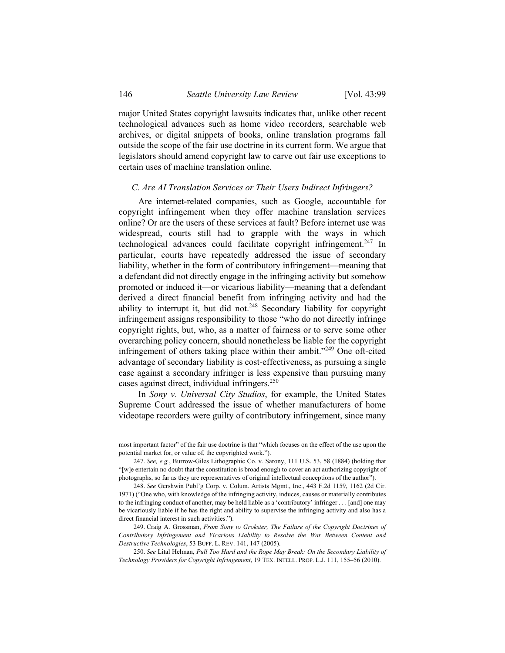major United States copyright lawsuits indicates that, unlike other recent technological advances such as home video recorders, searchable web archives, or digital snippets of books, online translation programs fall outside the scope of the fair use doctrine in its current form. We argue that legislators should amend copyright law to carve out fair use exceptions to certain uses of machine translation online.

#### *C. Are AI Translation Services or Their Users Indirect Infringers?*

Are internet-related companies, such as Google, accountable for copyright infringement when they offer machine translation services online? Or are the users of these services at fault? Before internet use was widespread, courts still had to grapple with the ways in which technological advances could facilitate copyright infringement.<sup>247</sup> In particular, courts have repeatedly addressed the issue of secondary liability, whether in the form of contributory infringement—meaning that a defendant did not directly engage in the infringing activity but somehow promoted or induced it—or vicarious liability—meaning that a defendant derived a direct financial benefit from infringing activity and had the ability to interrupt it, but did not.<sup>248</sup> Secondary liability for copyright infringement assigns responsibility to those "who do not directly infringe copyright rights, but, who, as a matter of fairness or to serve some other overarching policy concern, should nonetheless be liable for the copyright infringement of others taking place within their ambit."<sup>249</sup> One oft-cited advantage of secondary liability is cost-effectiveness, as pursuing a single case against a secondary infringer is less expensive than pursuing many cases against direct, individual infringers.<sup>250</sup>

In *Sony v. Universal City Studios*, for example, the United States Supreme Court addressed the issue of whether manufacturers of home videotape recorders were guilty of contributory infringement, since many

1

most important factor" of the fair use doctrine is that "which focuses on the effect of the use upon the potential market for, or value of, the copyrighted work.").

<sup>247.</sup> *See, e.g.*, Burrow-Giles Lithographic Co. v. Sarony, 111 U.S. 53, 58 (1884) (holding that "[w]e entertain no doubt that the constitution is broad enough to cover an act authorizing copyright of photographs, so far as they are representatives of original intellectual conceptions of the author").

<sup>248.</sup> *See* Gershwin Publ'g Corp. v. Colum. Artists Mgmt., Inc., 443 F.2d 1159, 1162 (2d Cir. 1971) ("One who, with knowledge of the infringing activity, induces, causes or materially contributes to the infringing conduct of another, may be held liable as a 'contributory' infringer . . . [and] one may be vicariously liable if he has the right and ability to supervise the infringing activity and also has a direct financial interest in such activities.").

 <sup>249.</sup> Craig A. Grossman, *From Sony to Grokster, The Failure of the Copyright Doctrines of Contributory Infringement and Vicarious Liability to Resolve the War Between Content and Destructive Technologies*, 53 BUFF. L. REV. 141, 147 (2005).

<sup>250.</sup> *See* Lital Helman, *Pull Too Hard and the Rope May Break: On the Secondary Liability of Technology Providers for Copyright Infringement*, 19 TEX. INTELL. PROP. L.J. 111, 155–56 (2010).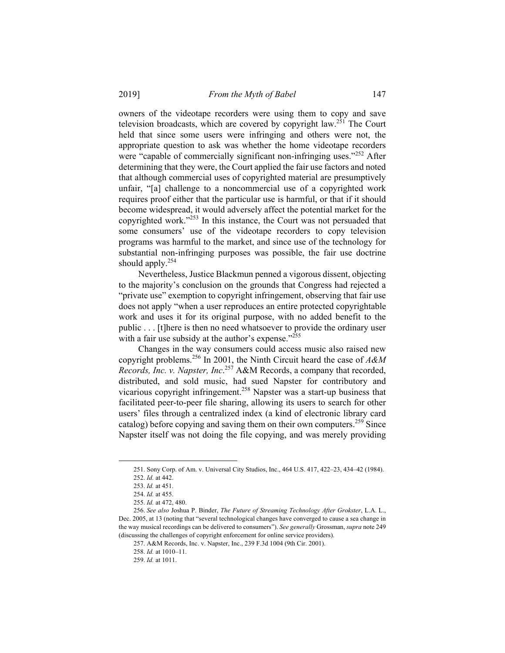owners of the videotape recorders were using them to copy and save television broadcasts, which are covered by copyright law.<sup>251</sup> The Court held that since some users were infringing and others were not, the appropriate question to ask was whether the home videotape recorders were "capable of commercially significant non-infringing uses."<sup>252</sup> After determining that they were, the Court applied the fair use factors and noted that although commercial uses of copyrighted material are presumptively unfair, "[a] challenge to a noncommercial use of a copyrighted work requires proof either that the particular use is harmful, or that if it should become widespread, it would adversely affect the potential market for the copyrighted work."253 In this instance, the Court was not persuaded that some consumers' use of the videotape recorders to copy television programs was harmful to the market, and since use of the technology for substantial non-infringing purposes was possible, the fair use doctrine should apply. $254$ 

Nevertheless, Justice Blackmun penned a vigorous dissent, objecting to the majority's conclusion on the grounds that Congress had rejected a "private use" exemption to copyright infringement, observing that fair use does not apply "when a user reproduces an entire protected copyrightable work and uses it for its original purpose, with no added benefit to the public . . . [t]here is then no need whatsoever to provide the ordinary user with a fair use subsidy at the author's expense."<sup>255</sup>

Changes in the way consumers could access music also raised new copyright problems.256 In 2001, the Ninth Circuit heard the case of *A&M Records, Inc. v. Napster, Inc*. 257 A&M Records, a company that recorded, distributed, and sold music, had sued Napster for contributory and vicarious copyright infringement.<sup>258</sup> Napster was a start-up business that facilitated peer-to-peer file sharing, allowing its users to search for other users' files through a centralized index (a kind of electronic library card catalog) before copying and saving them on their own computers.<sup>259</sup> Since Napster itself was not doing the file copying, and was merely providing

 <sup>251.</sup> Sony Corp. of Am. v. Universal City Studios, Inc., 464 U.S. 417, 422–23, 434–42 (1984).

<sup>252.</sup> *Id.* at 442. 253. *Id.* at 451.

<sup>254.</sup> *Id.* at 455.

<sup>255.</sup> *Id.* at 472, 480.

<sup>256.</sup> *See also* Joshua P. Binder, *The Future of Streaming Technology After Grokster*, L.A. L., Dec. 2005, at 13 (noting that "several technological changes have converged to cause a sea change in the way musical recordings can be delivered to consumers"). *See generally* Grossman, *supra* note 249 (discussing the challenges of copyright enforcement for online service providers).

 <sup>257.</sup> A&M Records, Inc. v. Napster, Inc., 239 F.3d 1004 (9th Cir. 2001).

<sup>258.</sup> *Id.* at 1010–11.

<sup>259.</sup> *Id.* at 1011.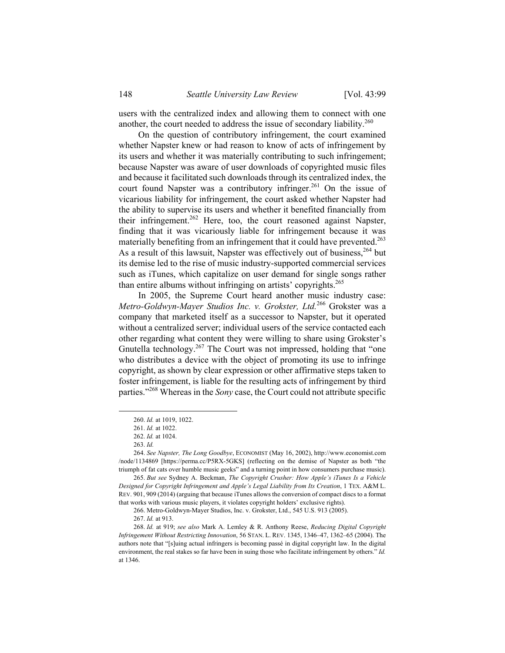users with the centralized index and allowing them to connect with one another, the court needed to address the issue of secondary liability.<sup>260</sup>

On the question of contributory infringement, the court examined whether Napster knew or had reason to know of acts of infringement by its users and whether it was materially contributing to such infringement; because Napster was aware of user downloads of copyrighted music files and because it facilitated such downloads through its centralized index, the court found Napster was a contributory infringer.<sup>261</sup> On the issue of vicarious liability for infringement, the court asked whether Napster had the ability to supervise its users and whether it benefited financially from their infringement.<sup>262</sup> Here, too, the court reasoned against Napster, finding that it was vicariously liable for infringement because it was materially benefiting from an infringement that it could have prevented.<sup>263</sup> As a result of this lawsuit, Napster was effectively out of business,<sup>264</sup> but its demise led to the rise of music industry-supported commercial services such as iTunes, which capitalize on user demand for single songs rather than entire albums without infringing on artists' copyrights.<sup>265</sup>

In 2005, the Supreme Court heard another music industry case: *Metro-Goldwyn-Mayer Studios Inc. v. Grokster, Ltd.*266 Grokster was a company that marketed itself as a successor to Napster, but it operated without a centralized server; individual users of the service contacted each other regarding what content they were willing to share using Grokster's Gnutella technology.<sup>267</sup> The Court was not impressed, holding that "one" who distributes a device with the object of promoting its use to infringe copyright, as shown by clear expression or other affirmative steps taken to foster infringement, is liable for the resulting acts of infringement by third parties."268 Whereas in the *Sony* case, the Court could not attribute specific

 <sup>260.</sup> *Id.* at 1019, 1022.

<sup>261.</sup> *Id.* at 1022.

<sup>262.</sup> *Id.* at 1024.

<sup>263.</sup> *Id.*

<sup>264.</sup> *See Napster, The Long Goodbye*, ECONOMIST (May 16, 2002), http://www.economist.com /node/1134869 [https://perma.cc/P5RX-5GKS] (reflecting on the demise of Napster as both "the triumph of fat cats over humble music geeks" and a turning point in how consumers purchase music).

<sup>265.</sup> *But see* Sydney A. Beckman, *The Copyright Crusher: How Apple's iTunes Is a Vehicle Designed for Copyright Infringement and Apple's Legal Liability from Its Creation*, 1 TEX. A&M L. REV. 901, 909 (2014) (arguing that because iTunes allows the conversion of compact discs to a format that works with various music players, it violates copyright holders' exclusive rights).

 <sup>266.</sup> Metro-Goldwyn-Mayer Studios, Inc. v. Grokster, Ltd., 545 U.S. 913 (2005).

<sup>267.</sup> *Id.* at 913.

<sup>268.</sup> *Id.* at 919; *see also* Mark A. Lemley & R. Anthony Reese, *Reducing Digital Copyright Infringement Without Restricting Innovation*, 56 STAN. L. REV. 1345, 1346–47, 1362–65 (2004). The authors note that "[s]uing actual infringers is becoming passé in digital copyright law. In the digital environment, the real stakes so far have been in suing those who facilitate infringement by others." *Id.* at 1346.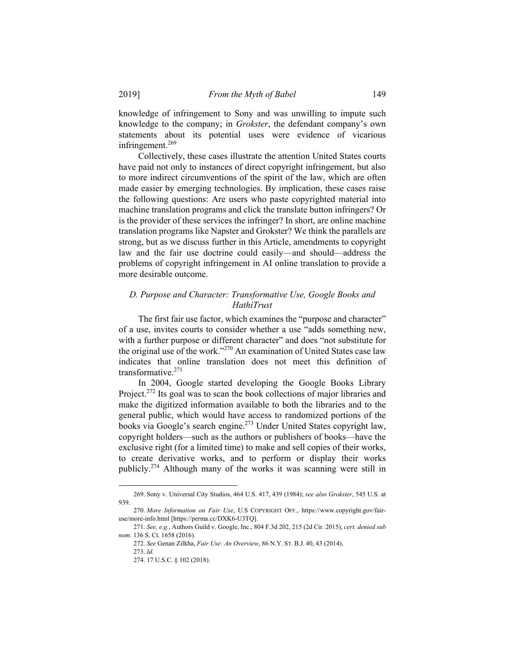knowledge of infringement to Sony and was unwilling to impute such knowledge to the company; in *Grokster*, the defendant company's own statements about its potential uses were evidence of vicarious infringement.<sup>269</sup>

Collectively, these cases illustrate the attention United States courts have paid not only to instances of direct copyright infringement, but also to more indirect circumventions of the spirit of the law, which are often made easier by emerging technologies. By implication, these cases raise the following questions: Are users who paste copyrighted material into machine translation programs and click the translate button infringers? Or is the provider of these services the infringer? In short, are online machine translation programs like Napster and Grokster? We think the parallels are strong, but as we discuss further in this Article, amendments to copyright law and the fair use doctrine could easily—and should—address the problems of copyright infringement in AI online translation to provide a more desirable outcome.

# *D. Purpose and Character: Transformative Use, Google Books and HathiTrust*

The first fair use factor, which examines the "purpose and character" of a use, invites courts to consider whether a use "adds something new, with a further purpose or different character" and does "not substitute for the original use of the work."270 An examination of United States case law indicates that online translation does not meet this definition of transformative.271

In 2004, Google started developing the Google Books Library Project.<sup>272</sup> Its goal was to scan the book collections of major libraries and make the digitized information available to both the libraries and to the general public, which would have access to randomized portions of the books via Google's search engine.273 Under United States copyright law, copyright holders—such as the authors or publishers of books—have the exclusive right (for a limited time) to make and sell copies of their works, to create derivative works, and to perform or display their works publicly.274 Although many of the works it was scanning were still in

 <sup>269.</sup> Sony v. Universal City Studios, 464 U.S. 417, 439 (1984); *see also Grokster*, 545 U.S. at 939.

<sup>270.</sup> *More Information on Fair Use*, U.S COPYRIGHT OFF., https://www.copyright.gov/fairuse/more-info.html [https://perma.cc/DXK6-U3TQ].

<sup>271.</sup> *See, e.g.*, Authors Guild v. Google, Inc., 804 F.3d 202, 215 (2d Cir. 2015), *cert. denied sub nom.* 136 S. Ct. 1658 (2016).

<sup>272.</sup> *See* Genan Zilkha, *Fair Use: An Overview*, 86 N.Y. ST. B.J. 40, 43 (2014).

<sup>273.</sup> *Id.*

 <sup>274. 17</sup> U.S.C. § 102 (2018).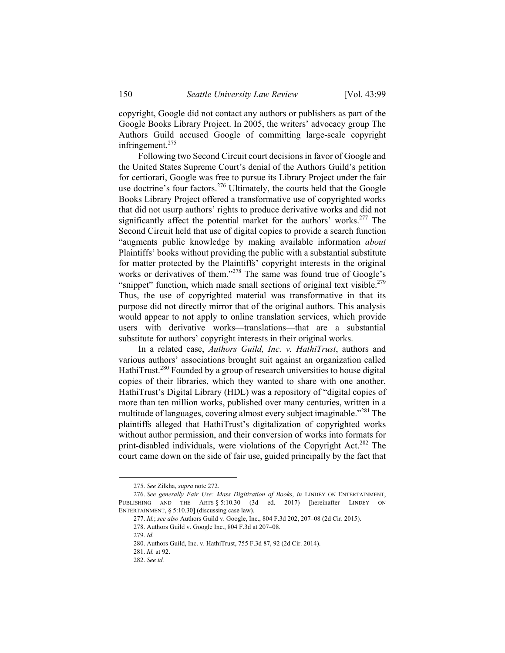copyright, Google did not contact any authors or publishers as part of the Google Books Library Project. In 2005, the writers' advocacy group The Authors Guild accused Google of committing large-scale copyright infringement.<sup>275</sup>

Following two Second Circuit court decisions in favor of Google and the United States Supreme Court's denial of the Authors Guild's petition for certiorari, Google was free to pursue its Library Project under the fair use doctrine's four factors.<sup>276</sup> Ultimately, the courts held that the Google Books Library Project offered a transformative use of copyrighted works that did not usurp authors' rights to produce derivative works and did not significantly affect the potential market for the authors' works.<sup>277</sup> The Second Circuit held that use of digital copies to provide a search function "augments public knowledge by making available information *about* Plaintiffs' books without providing the public with a substantial substitute for matter protected by the Plaintiffs' copyright interests in the original works or derivatives of them."<sup>278</sup> The same was found true of Google's "snippet" function, which made small sections of original text visible.<sup>279</sup> Thus, the use of copyrighted material was transformative in that its purpose did not directly mirror that of the original authors. This analysis would appear to not apply to online translation services, which provide users with derivative works—translations—that are a substantial substitute for authors' copyright interests in their original works.

In a related case, *Authors Guild, Inc. v. HathiTrust*, authors and various authors' associations brought suit against an organization called HathiTrust.<sup>280</sup> Founded by a group of research universities to house digital copies of their libraries, which they wanted to share with one another, HathiTrust's Digital Library (HDL) was a repository of "digital copies of more than ten million works, published over many centuries, written in a multitude of languages, covering almost every subject imaginable."281 The plaintiffs alleged that HathiTrust's digitalization of copyrighted works without author permission, and their conversion of works into formats for print-disabled individuals, were violations of the Copyright Act.<sup>282</sup> The court came down on the side of fair use, guided principally by the fact that

 <sup>275.</sup> *See* Zilkha, *supra* note 272.

<sup>276.</sup> *See generally Fair Use: Mass Digitization of Books*, *in* LINDEY ON ENTERTAINMENT, PUBLISHING AND THE ARTS § 5:10.30 (3d ed. 2017) [hereinafter LINDEY ON ENTERTAINMENT, § 5:10.30] (discussing case law).

<sup>277.</sup> *Id.*; *see also* Authors Guild v. Google, Inc., 804 F.3d 202, 207–08 (2d Cir. 2015).

<sup>278.</sup> Authors Guild v. Google Inc., 804 F.3d at 207–08.

<sup>279.</sup> *Id.*

 <sup>280.</sup> Authors Guild, Inc. v. HathiTrust, 755 F.3d 87, 92 (2d Cir. 2014).

<sup>281.</sup> *Id.* at 92.

<sup>282.</sup> *See id.*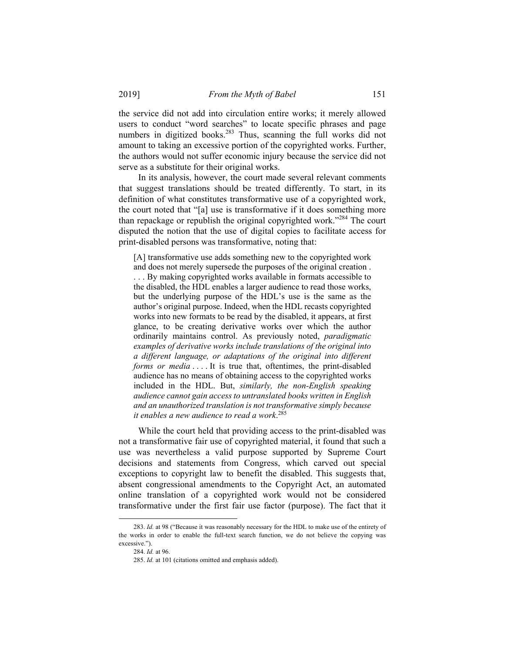the service did not add into circulation entire works; it merely allowed users to conduct "word searches" to locate specific phrases and page numbers in digitized books.<sup>283</sup> Thus, scanning the full works did not amount to taking an excessive portion of the copyrighted works. Further, the authors would not suffer economic injury because the service did not serve as a substitute for their original works.

In its analysis, however, the court made several relevant comments that suggest translations should be treated differently. To start, in its definition of what constitutes transformative use of a copyrighted work, the court noted that "[a] use is transformative if it does something more than repackage or republish the original copyrighted work."284 The court disputed the notion that the use of digital copies to facilitate access for print-disabled persons was transformative, noting that:

[A] transformative use adds something new to the copyrighted work and does not merely supersede the purposes of the original creation .

. . . By making copyrighted works available in formats accessible to the disabled, the HDL enables a larger audience to read those works, but the underlying purpose of the HDL's use is the same as the author's original purpose. Indeed, when the HDL recasts copyrighted works into new formats to be read by the disabled, it appears, at first glance, to be creating derivative works over which the author ordinarily maintains control. As previously noted, *paradigmatic examples of derivative works include translations of the original into a different language, or adaptations of the original into different forms or media* .... It is true that, oftentimes, the print-disabled audience has no means of obtaining access to the copyrighted works included in the HDL. But, *similarly, the non-English speaking audience cannot gain access to untranslated books written in English and an unauthorized translation is not transformative simply because it enables a new audience to read a work*. 285

While the court held that providing access to the print-disabled was not a transformative fair use of copyrighted material, it found that such a use was nevertheless a valid purpose supported by Supreme Court decisions and statements from Congress, which carved out special exceptions to copyright law to benefit the disabled. This suggests that, absent congressional amendments to the Copyright Act, an automated online translation of a copyrighted work would not be considered transformative under the first fair use factor (purpose). The fact that it

 <sup>283.</sup> *Id.* at 98 ("Because it was reasonably necessary for the HDL to make use of the entirety of the works in order to enable the full-text search function, we do not believe the copying was excessive.").

<sup>284.</sup> *Id.* at 96.

<sup>285.</sup> *Id.* at 101 (citations omitted and emphasis added).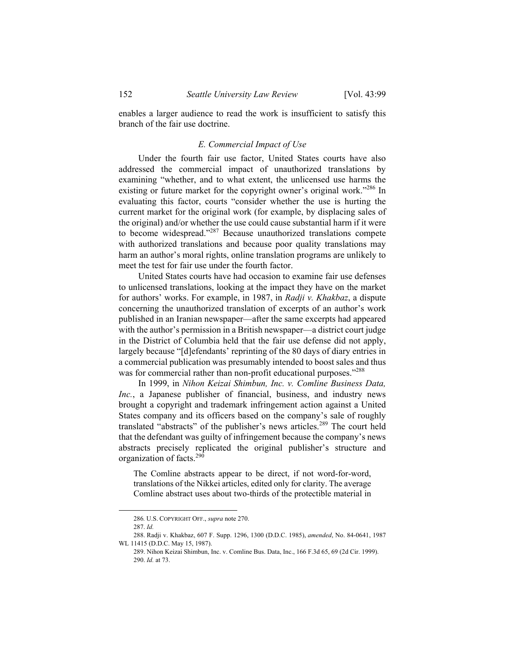enables a larger audience to read the work is insufficient to satisfy this branch of the fair use doctrine.

### *E. Commercial Impact of Use*

Under the fourth fair use factor, United States courts have also addressed the commercial impact of unauthorized translations by examining "whether, and to what extent, the unlicensed use harms the existing or future market for the copyright owner's original work."<sup>286</sup> In evaluating this factor, courts "consider whether the use is hurting the current market for the original work (for example, by displacing sales of the original) and/or whether the use could cause substantial harm if it were to become widespread."287 Because unauthorized translations compete with authorized translations and because poor quality translations may harm an author's moral rights, online translation programs are unlikely to meet the test for fair use under the fourth factor.

United States courts have had occasion to examine fair use defenses to unlicensed translations, looking at the impact they have on the market for authors' works. For example, in 1987, in *Radji v. Khakbaz*, a dispute concerning the unauthorized translation of excerpts of an author's work published in an Iranian newspaper—after the same excerpts had appeared with the author's permission in a British newspaper—a district court judge in the District of Columbia held that the fair use defense did not apply, largely because "[d]efendants' reprinting of the 80 days of diary entries in a commercial publication was presumably intended to boost sales and thus was for commercial rather than non-profit educational purposes."<sup>288</sup>

In 1999, in *Nihon Keizai Shimbun, Inc. v. Comline Business Data, Inc.*, a Japanese publisher of financial, business, and industry news brought a copyright and trademark infringement action against a United States company and its officers based on the company's sale of roughly translated "abstracts" of the publisher's news articles.<sup>289</sup> The court held that the defendant was guilty of infringement because the company's news abstracts precisely replicated the original publisher's structure and organization of facts.<sup>290</sup>

The Comline abstracts appear to be direct, if not word-for-word, translations of the Nikkei articles, edited only for clarity. The average Comline abstract uses about two-thirds of the protectible material in

 <sup>286</sup>*.* U.S. COPYRIGHT OFF., *supra* note 270.

<sup>287.</sup> *Id.*

 <sup>288.</sup> Radji v. Khakbaz, 607 F. Supp. 1296, 1300 (D.D.C. 1985), *amended*, No. 84-0641, 1987 WL 11415 (D.D.C. May 15, 1987).

 <sup>289.</sup> Nihon Keizai Shimbun, Inc. v. Comline Bus. Data, Inc., 166 F.3d 65, 69 (2d Cir. 1999). 290. *Id.* at 73.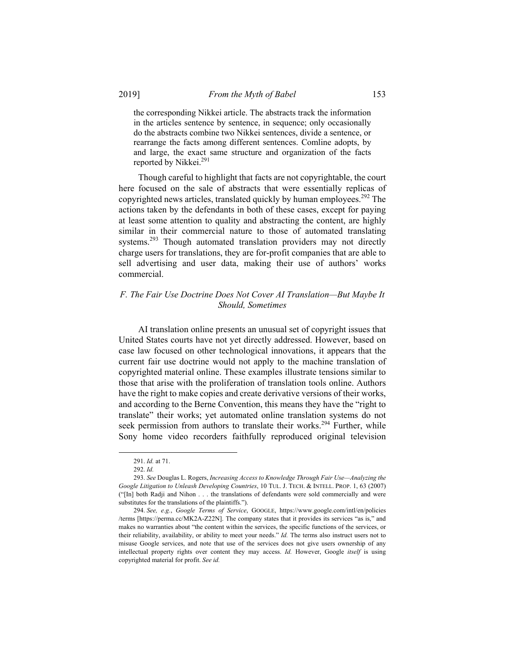the corresponding Nikkei article. The abstracts track the information in the articles sentence by sentence, in sequence; only occasionally do the abstracts combine two Nikkei sentences, divide a sentence, or rearrange the facts among different sentences. Comline adopts, by and large, the exact same structure and organization of the facts reported by Nikkei.<sup>291</sup>

Though careful to highlight that facts are not copyrightable, the court here focused on the sale of abstracts that were essentially replicas of copyrighted news articles, translated quickly by human employees.<sup>292</sup> The actions taken by the defendants in both of these cases, except for paying at least some attention to quality and abstracting the content, are highly similar in their commercial nature to those of automated translating systems.<sup>293</sup> Though automated translation providers may not directly charge users for translations, they are for-profit companies that are able to sell advertising and user data, making their use of authors' works commercial.

# *F. The Fair Use Doctrine Does Not Cover AI Translation—But Maybe It Should, Sometimes*

AI translation online presents an unusual set of copyright issues that United States courts have not yet directly addressed. However, based on case law focused on other technological innovations, it appears that the current fair use doctrine would not apply to the machine translation of copyrighted material online. These examples illustrate tensions similar to those that arise with the proliferation of translation tools online. Authors have the right to make copies and create derivative versions of their works, and according to the Berne Convention, this means they have the "right to translate" their works; yet automated online translation systems do not seek permission from authors to translate their works.<sup>294</sup> Further, while Sony home video recorders faithfully reproduced original television

 <sup>291.</sup> *Id.* at 71.

<sup>292.</sup> *Id.*

<sup>293.</sup> *See* Douglas L. Rogers, *Increasing Access to Knowledge Through Fair Use—Analyzing the Google Litigation to Unleash Developing Countries*, 10 TUL. J. TECH. & INTELL. PROP. 1, 63 (2007) ("[In] both Radji and Nihon . . . the translations of defendants were sold commercially and were substitutes for the translations of the plaintiffs.").

<sup>294.</sup> *See, e.g.*, *Google Terms of Service*, GOOGLE, https://www.google.com/intl/en/policies /terms [https://perma.cc/MK2A-Z22N]. The company states that it provides its services "as is," and makes no warranties about "the content within the services, the specific functions of the services, or their reliability, availability, or ability to meet your needs." *Id.* The terms also instruct users not to misuse Google services, and note that use of the services does not give users ownership of any intellectual property rights over content they may access. *Id.* However, Google *itself* is using copyrighted material for profit. *See id.*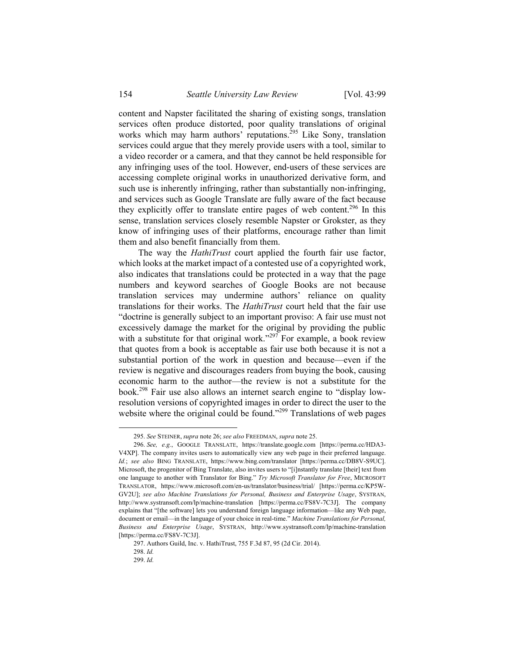content and Napster facilitated the sharing of existing songs, translation services often produce distorted, poor quality translations of original works which may harm authors' reputations.<sup>295</sup> Like Sony, translation services could argue that they merely provide users with a tool, similar to a video recorder or a camera, and that they cannot be held responsible for any infringing uses of the tool. However, end-users of these services are accessing complete original works in unauthorized derivative form, and such use is inherently infringing, rather than substantially non-infringing, and services such as Google Translate are fully aware of the fact because they explicitly offer to translate entire pages of web content.<sup>296</sup> In this sense, translation services closely resemble Napster or Grokster, as they know of infringing uses of their platforms, encourage rather than limit them and also benefit financially from them.

The way the *HathiTrust* court applied the fourth fair use factor, which looks at the market impact of a contested use of a copyrighted work, also indicates that translations could be protected in a way that the page numbers and keyword searches of Google Books are not because translation services may undermine authors' reliance on quality translations for their works. The *HathiTrust* court held that the fair use "doctrine is generally subject to an important proviso: A fair use must not excessively damage the market for the original by providing the public with a substitute for that original work."<sup>297</sup> For example, a book review that quotes from a book is acceptable as fair use both because it is not a substantial portion of the work in question and because—even if the review is negative and discourages readers from buying the book, causing economic harm to the author—the review is not a substitute for the book.298 Fair use also allows an internet search engine to "display lowresolution versions of copyrighted images in order to direct the user to the website where the original could be found."<sup>299</sup> Translations of web pages

 <sup>295.</sup> *See* STEINER, *supra* note 26; *see also* FREEDMAN, *supra* note 25.

<sup>296.</sup> *See, e.g.*, GOOGLE TRANSLATE, https://translate.google.com [https://perma.cc/HDA3- V4XP]. The company invites users to automatically view any web page in their preferred language. *Id.*; *see also* BING TRANSLATE, https://www.bing.com/translator [https://perma.cc/DB8V-S9UC]. Microsoft, the progenitor of Bing Translate, also invites users to "[i]nstantly translate [their] text from one language to another with Translator for Bing." *Try Microsoft Translator for Free*, MICROSOFT TRANSLATOR, https://www.microsoft.com/en-us/translator/business/trial/ [https://perma.cc/KP5W-GV2U]; *see also Machine Translations for Personal, Business and Enterprise Usage*, SYSTRAN, http://www.systransoft.com/lp/machine-translation [https://perma.cc/FS8V-7C3J]. The company explains that "[the software] lets you understand foreign language information—like any Web page, document or email—in the language of your choice in real-time." *Machine Translations for Personal, Business and Enterprise Usage*, SYSTRAN, http://www.systransoft.com/lp/machine-translation [https://perma.cc/FS8V-7C3J].

 <sup>297.</sup> Authors Guild, Inc. v. HathiTrust, 755 F.3d 87, 95 (2d Cir. 2014).

<sup>298.</sup> *Id.*

<sup>299.</sup> *Id.*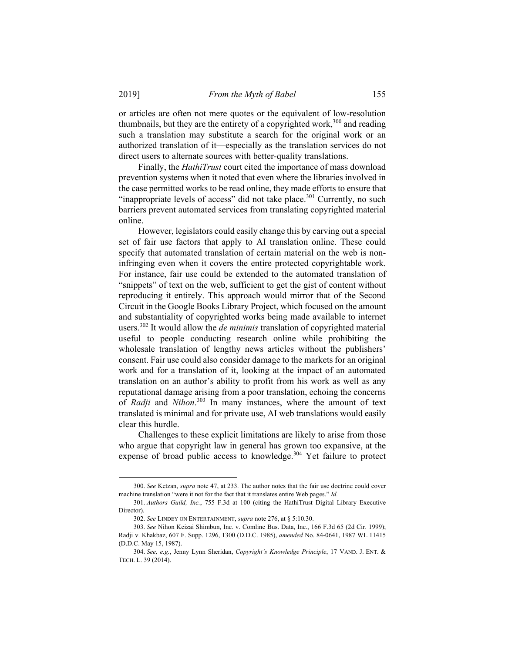or articles are often not mere quotes or the equivalent of low-resolution thumbnails, but they are the entirety of a copyrighted work,  $300$  and reading such a translation may substitute a search for the original work or an authorized translation of it—especially as the translation services do not direct users to alternate sources with better-quality translations.

Finally, the *HathiTrust* court cited the importance of mass download prevention systems when it noted that even where the libraries involved in the case permitted works to be read online, they made efforts to ensure that "inappropriate levels of access" did not take place.<sup>301</sup> Currently, no such barriers prevent automated services from translating copyrighted material online.

However, legislators could easily change this by carving out a special set of fair use factors that apply to AI translation online. These could specify that automated translation of certain material on the web is noninfringing even when it covers the entire protected copyrightable work. For instance, fair use could be extended to the automated translation of "snippets" of text on the web, sufficient to get the gist of content without reproducing it entirely. This approach would mirror that of the Second Circuit in the Google Books Library Project, which focused on the amount and substantiality of copyrighted works being made available to internet users.302 It would allow the *de minimis* translation of copyrighted material useful to people conducting research online while prohibiting the wholesale translation of lengthy news articles without the publishers' consent. Fair use could also consider damage to the markets for an original work and for a translation of it, looking at the impact of an automated translation on an author's ability to profit from his work as well as any reputational damage arising from a poor translation, echoing the concerns of *Radji* and *Nihon*. 303 In many instances, where the amount of text translated is minimal and for private use, AI web translations would easily clear this hurdle.

Challenges to these explicit limitations are likely to arise from those who argue that copyright law in general has grown too expansive, at the expense of broad public access to knowledge.<sup>304</sup> Yet failure to protect

 <sup>300.</sup> *See* Ketzan, *supra* note 47, at 233. The author notes that the fair use doctrine could cover machine translation "were it not for the fact that it translates entire Web pages." *Id.*

<sup>301.</sup> *Authors Guild, Inc.*, 755 F.3d at 100 (citing the HathiTrust Digital Library Executive Director).

<sup>302.</sup> *See* LINDEY ON ENTERTAINMENT, *supra* note 276, at § 5:10.30.

<sup>303.</sup> *See* Nihon Keizai Shimbun, Inc. v. Comline Bus. Data, Inc., 166 F.3d 65 (2d Cir. 1999); Radji v. Khakbaz, 607 F. Supp. 1296, 1300 (D.D.C. 1985), *amended* No. 84-0641, 1987 WL 11415 (D.D.C. May 15, 1987).

<sup>304.</sup> *See, e.g.*, Jenny Lynn Sheridan, *Copyright's Knowledge Principle*, 17 VAND. J. ENT. & TECH. L. 39 (2014).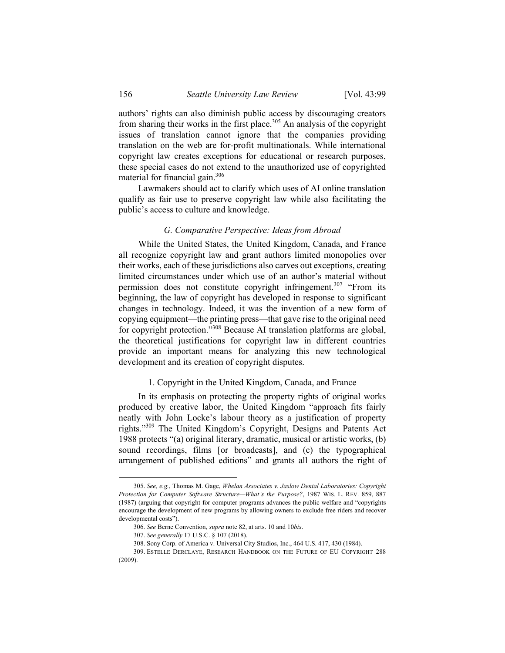authors' rights can also diminish public access by discouraging creators from sharing their works in the first place.<sup>305</sup> An analysis of the copyright issues of translation cannot ignore that the companies providing translation on the web are for-profit multinationals. While international copyright law creates exceptions for educational or research purposes, these special cases do not extend to the unauthorized use of copyrighted material for financial gain.<sup>306</sup>

Lawmakers should act to clarify which uses of AI online translation qualify as fair use to preserve copyright law while also facilitating the public's access to culture and knowledge.

### *G. Comparative Perspective: Ideas from Abroad*

While the United States, the United Kingdom, Canada, and France all recognize copyright law and grant authors limited monopolies over their works, each of these jurisdictions also carves out exceptions, creating limited circumstances under which use of an author's material without permission does not constitute copyright infringement.<sup>307</sup> "From its beginning, the law of copyright has developed in response to significant changes in technology. Indeed, it was the invention of a new form of copying equipment—the printing press—that gave rise to the original need for copyright protection."<sup>308</sup> Because AI translation platforms are global, the theoretical justifications for copyright law in different countries provide an important means for analyzing this new technological development and its creation of copyright disputes.

#### 1. Copyright in the United Kingdom, Canada, and France

In its emphasis on protecting the property rights of original works produced by creative labor, the United Kingdom "approach fits fairly neatly with John Locke's labour theory as a justification of property rights."309 The United Kingdom's Copyright, Designs and Patents Act 1988 protects "(a) original literary, dramatic, musical or artistic works, (b) sound recordings, films [or broadcasts], and (c) the typographical arrangement of published editions" and grants all authors the right of

 <sup>305.</sup> *See, e.g.*, Thomas M. Gage, *Whelan Associates v. Jaslow Dental Laboratories: Copyright Protection for Computer Software Structure—What's the Purpose?*, 1987 WIS. L. REV. 859, 887 (1987) (arguing that copyright for computer programs advances the public welfare and "copyrights encourage the development of new programs by allowing owners to exclude free riders and recover developmental costs").

<sup>306.</sup> *See* Berne Convention, *supra* note 82, at arts. 10 and 10*bis*.

 <sup>307.</sup> *See generally* 17 U.S.C. § 107 (2018).

<sup>308.</sup> Sony Corp. of America v. Universal City Studios, Inc., 464 U.S. 417, 430 (1984).

 <sup>309.</sup> ESTELLE DERCLAYE, RESEARCH HANDBOOK ON THE FUTURE OF EU COPYRIGHT 288 (2009).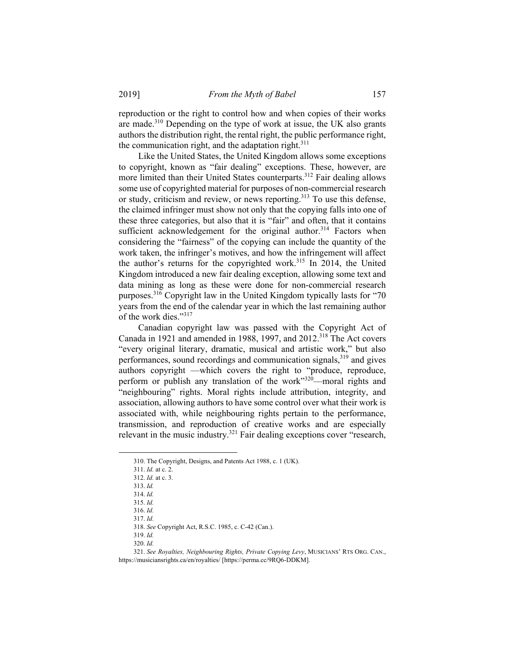reproduction or the right to control how and when copies of their works are made.310 Depending on the type of work at issue, the UK also grants authors the distribution right, the rental right, the public performance right, the communication right, and the adaptation right. $311$ 

Like the United States, the United Kingdom allows some exceptions to copyright, known as "fair dealing" exceptions. These, however, are more limited than their United States counterparts.<sup>312</sup> Fair dealing allows some use of copyrighted material for purposes of non-commercial research or study, criticism and review, or news reporting.<sup>313</sup> To use this defense, the claimed infringer must show not only that the copying falls into one of these three categories, but also that it is "fair" and often, that it contains sufficient acknowledgement for the original author.<sup>314</sup> Factors when considering the "fairness" of the copying can include the quantity of the work taken, the infringer's motives, and how the infringement will affect the author's returns for the copyrighted work.<sup>315</sup> In 2014, the United Kingdom introduced a new fair dealing exception, allowing some text and data mining as long as these were done for non-commercial research purposes.316 Copyright law in the United Kingdom typically lasts for "70 years from the end of the calendar year in which the last remaining author of the work dies."<sup>317</sup>

Canadian copyright law was passed with the Copyright Act of Canada in 1921 and amended in 1988, 1997, and  $2012<sup>318</sup>$  The Act covers "every original literary, dramatic, musical and artistic work," but also performances, sound recordings and communication signals,<sup>319</sup> and gives authors copyright —which covers the right to "produce, reproduce, perform or publish any translation of the work" $320$ —moral rights and "neighbouring" rights. Moral rights include attribution, integrity, and association, allowing authors to have some control over what their work is associated with, while neighbouring rights pertain to the performance, transmission, and reproduction of creative works and are especially relevant in the music industry.<sup>321</sup> Fair dealing exceptions cover "research,

1

317. *Id.*

318. *See* Copyright Act, R.S.C. 1985, c. C-42 (Can.).

319. *Id.* 

320. *Id.* 

 <sup>310.</sup> The Copyright, Designs, and Patents Act 1988, c. 1 (UK).

<sup>311.</sup> *Id.* at c. 2.

<sup>312.</sup> *Id.* at c. 3.

<sup>313.</sup> *Id.*

<sup>314.</sup> *Id.* 

<sup>315.</sup> *Id.* 

 <sup>316.</sup> *Id.*

<sup>321.</sup> *See Royalties, Neighbouring Rights, Private Copying Levy*, MUSICIANS' RTS ORG. CAN., https://musiciansrights.ca/en/royalties/ [https://perma.cc/9RQ6-DDKM].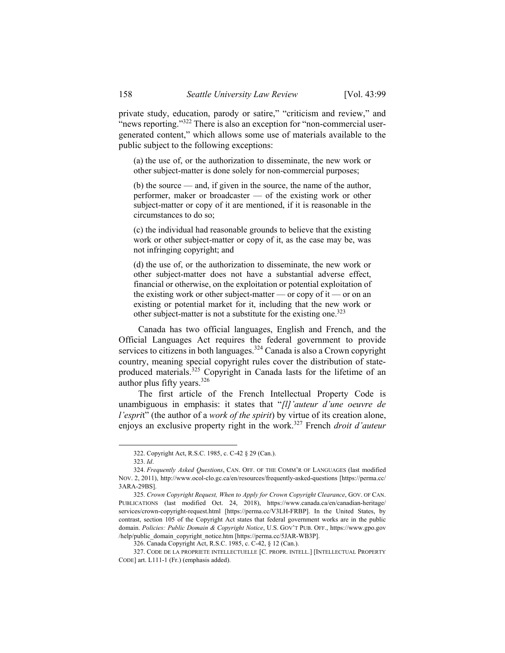private study, education, parody or satire," "criticism and review," and "news reporting." $322$  There is also an exception for "non-commercial usergenerated content," which allows some use of materials available to the public subject to the following exceptions:

(a) the use of, or the authorization to disseminate, the new work or other subject-matter is done solely for non-commercial purposes;

(b) the source — and, if given in the source, the name of the author, performer, maker or broadcaster — of the existing work or other subject-matter or copy of it are mentioned, if it is reasonable in the circumstances to do so;

(c) the individual had reasonable grounds to believe that the existing work or other subject-matter or copy of it, as the case may be, was not infringing copyright; and

(d) the use of, or the authorization to disseminate, the new work or other subject-matter does not have a substantial adverse effect, financial or otherwise, on the exploitation or potential exploitation of the existing work or other subject-matter — or copy of it — or on an existing or potential market for it, including that the new work or other subject-matter is not a substitute for the existing one.<sup>323</sup>

Canada has two official languages, English and French, and the Official Languages Act requires the federal government to provide services to citizens in both languages.<sup>324</sup> Canada is also a Crown copyright country, meaning special copyright rules cover the distribution of stateproduced materials.<sup>325</sup> Copyright in Canada lasts for the lifetime of an author plus fifty years.<sup>326</sup>

The first article of the French Intellectual Property Code is unambiguous in emphasis: it states that "*[l]'auteur d'une oeuvre de l'espri*t" (the author of a *work of the spirit*) by virtue of its creation alone, enjoys an exclusive property right in the work.327 French *droit d'auteur*

 <sup>322.</sup> Copyright Act, R.S.C. 1985, c. C-42 § 29 (Can.).

<sup>323.</sup> *Id*.

<sup>324.</sup> *Frequently Asked Questions*, CAN. OFF. OF THE COMM'R OF LANGUAGES (last modified NOV. 2, 2011), http://www.ocol-clo.gc.ca/en/resources/frequently-asked-questions [https://perma.cc/ 3ARA-29BS].

<sup>325.</sup> *Crown Copyright Request, When to Apply for Crown Copyright Clearance*, GOV. OF CAN. PUBLICATIONS (last modified Oct. 24, 2018), https://www.canada.ca/en/canadian-heritage/ services/crown-copyright-request.html [https://perma.cc/V3LH-FRBP]. In the United States, by contrast, section 105 of the Copyright Act states that federal government works are in the public domain. *Policies: Public Domain & Copyright Notice*, U.S. GOV'T PUB. OFF., https://www.gpo.gov /help/public\_domain\_copyright\_notice.htm [https://perma.cc/5JAR-WB3P].

<sup>326.</sup> Canada Copyright Act, R.S.C. 1985, c. C-42, § 12 (Can.).

 <sup>327.</sup> CODE DE LA PROPRIETE INTELLECTUELLE [C. PROPR. INTELL.] [INTELLECTUAL PROPERTY CODE] art. L111-1 (Fr.) (emphasis added).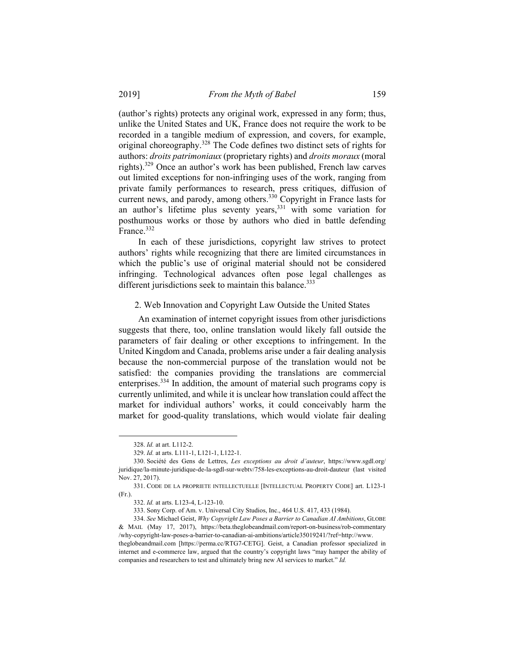(author's rights) protects any original work, expressed in any form; thus, unlike the United States and UK, France does not require the work to be recorded in a tangible medium of expression, and covers, for example, original choreography.<sup>328</sup> The Code defines two distinct sets of rights for authors: *droits patrimoniaux* (proprietary rights) and *droits moraux* (moral rights).329 Once an author's work has been published, French law carves out limited exceptions for non-infringing uses of the work, ranging from private family performances to research, press critiques, diffusion of current news, and parody, among others.<sup>330</sup> Copyright in France lasts for an author's lifetime plus seventy years,<sup>331</sup> with some variation for posthumous works or those by authors who died in battle defending France.<sup>332</sup>

In each of these jurisdictions, copyright law strives to protect authors' rights while recognizing that there are limited circumstances in which the public's use of original material should not be considered infringing. Technological advances often pose legal challenges as different jurisdictions seek to maintain this balance.<sup>333</sup>

#### 2. Web Innovation and Copyright Law Outside the United States

An examination of internet copyright issues from other jurisdictions suggests that there, too, online translation would likely fall outside the parameters of fair dealing or other exceptions to infringement. In the United Kingdom and Canada, problems arise under a fair dealing analysis because the non-commercial purpose of the translation would not be satisfied: the companies providing the translations are commercial enterprises.334 In addition, the amount of material such programs copy is currently unlimited, and while it is unclear how translation could affect the market for individual authors' works, it could conceivably harm the market for good-quality translations, which would violate fair dealing

 <sup>328.</sup> *Id.* at art. L112-2.

<sup>329.</sup> *Id.* at arts. L111-1, L121-1, L122-1.

 <sup>330.</sup> Société des Gens de Lettres, *Les exceptions au droit d'auteur*, https://www.sgdl.org/ juridique/la-minute-juridique-de-la-sgdl-sur-webtv/758-les-exceptions-au-droit-dauteur (last visited Nov. 27, 2017).

 <sup>331.</sup> CODE DE LA PROPRIETE INTELLECTUELLE [INTELLECTUAL PROPERTY CODE] art. L123-1 (Fr.).

<sup>332.</sup> *Id.* at arts. L123-4, L-123-10.

 <sup>333.</sup> Sony Corp. of Am. v. Universal City Studios, Inc., 464 U.S. 417, 433 (1984).

<sup>334.</sup> *See* Michael Geist, *Why Copyright Law Poses a Barrier to Canadian AI Ambitions*, GLOBE & MAIL (May 17, 2017), https://beta.theglobeandmail.com/report-on-business/rob-commentary /why-copyright-law-poses-a-barrier-to-canadian-ai-ambitions/article35019241/?ref=http://www.

theglobeandmail.com [https://perma.cc/RTG7-CETG]. Geist, a Canadian professor specialized in internet and e-commerce law, argued that the country's copyright laws "may hamper the ability of companies and researchers to test and ultimately bring new AI services to market." *Id.*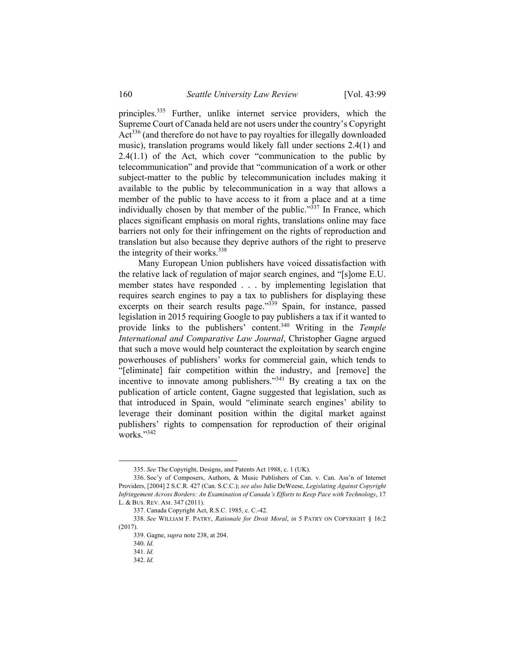principles.<sup>335</sup> Further, unlike internet service providers, which the Supreme Court of Canada held are not users under the country's Copyright Act<sup>336</sup> (and therefore do not have to pay royalties for illegally downloaded music), translation programs would likely fall under sections 2.4(1) and 2.4(1.1) of the Act, which cover "communication to the public by telecommunication" and provide that "communication of a work or other subject-matter to the public by telecommunication includes making it available to the public by telecommunication in a way that allows a member of the public to have access to it from a place and at a time individually chosen by that member of the public."<sup>337</sup> In France, which places significant emphasis on moral rights, translations online may face barriers not only for their infringement on the rights of reproduction and translation but also because they deprive authors of the right to preserve the integrity of their works. $338$ 

Many European Union publishers have voiced dissatisfaction with the relative lack of regulation of major search engines, and "[s]ome E.U. member states have responded . . . by implementing legislation that requires search engines to pay a tax to publishers for displaying these excerpts on their search results page."<sup>339</sup> Spain, for instance, passed legislation in 2015 requiring Google to pay publishers a tax if it wanted to provide links to the publishers' content.340 Writing in the *Temple International and Comparative Law Journal*, Christopher Gagne argued that such a move would help counteract the exploitation by search engine powerhouses of publishers' works for commercial gain, which tends to "[eliminate] fair competition within the industry, and [remove] the incentive to innovate among publishers.<sup>341</sup> By creating a tax on the publication of article content, Gagne suggested that legislation, such as that introduced in Spain, would "eliminate search engines' ability to leverage their dominant position within the digital market against publishers' rights to compensation for reproduction of their original works."342

 <sup>335.</sup> *See* The Copyright, Designs, and Patents Act 1988, c. 1 (UK).

 <sup>336.</sup> Soc'y of Composers, Authors, & Music Publishers of Can. v. Can. Ass'n of Internet Providers, [2004] 2 S.C.R. 427 (Can. S.C.C.); *see also* Julie DeWeese, *Legislating Against Copyright Infringement Across Borders: An Examination of Canada's Efforts to Keep Pace with Technology*, 17 L. & BUS. REV. AM. 347 (2011).

 <sup>337.</sup> Canada Copyright Act, R.S.C. 1985, c. C.-42.

<sup>338.</sup> *See* WILLIAM F. PATRY, *Rationale for Droit Moral*, *in* 5 PATRY ON COPYRIGHT § 16:2 (2017).

 <sup>339.</sup> Gagne, *supra* note 238, at 204.

<sup>340.</sup> *Id.*

<sup>341.</sup> *Id.*

<sup>342.</sup> *Id.*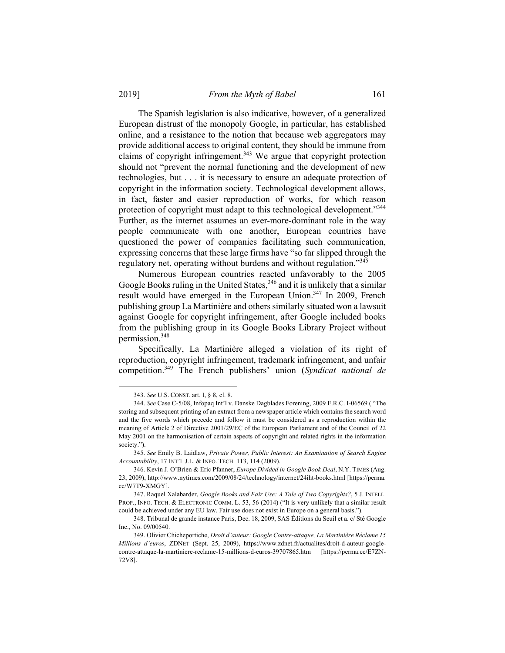The Spanish legislation is also indicative, however, of a generalized European distrust of the monopoly Google, in particular, has established online, and a resistance to the notion that because web aggregators may provide additional access to original content, they should be immune from claims of copyright infringement.<sup>343</sup> We argue that copyright protection should not "prevent the normal functioning and the development of new technologies, but . . . it is necessary to ensure an adequate protection of copyright in the information society. Technological development allows, in fact, faster and easier reproduction of works, for which reason protection of copyright must adapt to this technological development."<sup>344</sup> Further, as the internet assumes an ever-more-dominant role in the way people communicate with one another, European countries have questioned the power of companies facilitating such communication, expressing concerns that these large firms have "so far slipped through the regulatory net, operating without burdens and without regulation."345

Numerous European countries reacted unfavorably to the 2005 Google Books ruling in the United States,  $346$  and it is unlikely that a similar result would have emerged in the European Union.<sup>347</sup> In 2009, French publishing group La Martinière and others similarly situated won a lawsuit against Google for copyright infringement, after Google included books from the publishing group in its Google Books Library Project without permission.348

Specifically, La Martinière alleged a violation of its right of reproduction, copyright infringement, trademark infringement, and unfair competition.349 The French publishers' union (*Syndicat national de* 

 <sup>343.</sup> *See* U.S. CONST. art. I, § 8, cl. 8.

<sup>344.</sup> *See* Case C-5/08, Infopaq Int'l v. Danske Dagblades Forening, 2009 E.R.C. I-06569 ( "The storing and subsequent printing of an extract from a newspaper article which contains the search word and the five words which precede and follow it must be considered as a reproduction within the meaning of Article 2 of Directive 2001/29/EC of the European Parliament and of the Council of 22 May 2001 on the harmonisation of certain aspects of copyright and related rights in the information society.").

<sup>345.</sup> *See* Emily B. Laidlaw, *Private Power, Public Interest: An Examination of Search Engine Accountability*, 17 INT'L J.L. & INFO. TECH. 113, 114 (2009).

 <sup>346.</sup> Kevin J. O'Brien & Eric Pfanner, *Europe Divided in Google Book Deal*, N.Y. TIMES (Aug. 23, 2009), http://www.nytimes.com/2009/08/24/technology/internet/24iht-books.html [https://perma. cc/W7T9-XMGY].

 <sup>347.</sup> Raquel Xalabarder, *Google Books and Fair Use: A Tale of Two Copyrights?*, 5 J. INTELL. PROP., INFO. TECH. & ELECTRONIC COMM. L. 53, 56 (2014) ("It is very unlikely that a similar result could be achieved under any EU law. Fair use does not exist in Europe on a general basis.").

<sup>348.</sup> Tribunal de grande instance Paris, Dec. 18, 2009, SAS Éditions du Seuil et a. c/ Sté Google Inc., No. 09/00540.

 <sup>349.</sup> Olivier Chicheportiche, *Droit d'auteur: Google Contre-attaque, La Martinière Réclame 15 Millions d'euros*, ZDNET (Sept. 25, 2009), https://www.zdnet.fr/actualites/droit-d-auteur-googlecontre-attaque-la-martiniere-reclame-15-millions-d-euros-39707865.htm [https://perma.cc/E7ZN-72V8].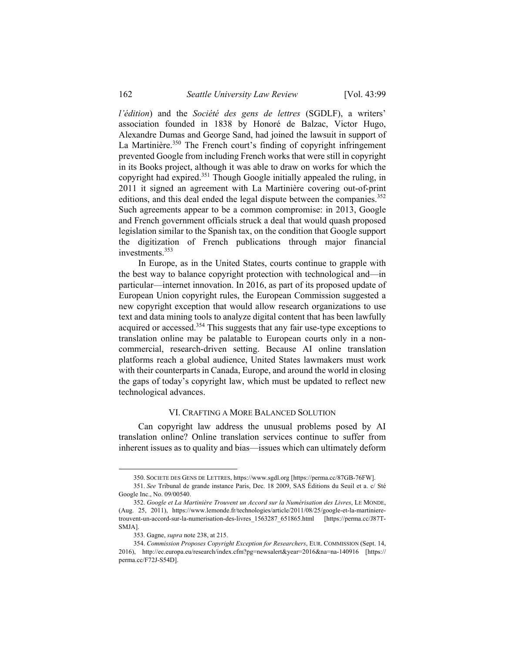*l'édition*) and the *Société des gens de lettres* (SGDLF), a writers' association founded in 1838 by Honoré de Balzac, Victor Hugo, Alexandre Dumas and George Sand, had joined the lawsuit in support of La Martinière.<sup>350</sup> The French court's finding of copyright infringement prevented Google from including French works that were still in copyright in its Books project, although it was able to draw on works for which the copyright had expired.<sup>351</sup> Though Google initially appealed the ruling, in 2011 it signed an agreement with La Martinière covering out-of-print editions, and this deal ended the legal dispute between the companies.<sup>352</sup> Such agreements appear to be a common compromise: in 2013, Google and French government officials struck a deal that would quash proposed legislation similar to the Spanish tax, on the condition that Google support the digitization of French publications through major financial investments.<sup>353</sup>

In Europe, as in the United States, courts continue to grapple with the best way to balance copyright protection with technological and—in particular—internet innovation. In 2016, as part of its proposed update of European Union copyright rules, the European Commission suggested a new copyright exception that would allow research organizations to use text and data mining tools to analyze digital content that has been lawfully acquired or accessed.<sup>354</sup> This suggests that any fair use-type exceptions to translation online may be palatable to European courts only in a noncommercial, research-driven setting. Because AI online translation platforms reach a global audience, United States lawmakers must work with their counterparts in Canada, Europe, and around the world in closing the gaps of today's copyright law, which must be updated to reflect new technological advances.

#### VI. CRAFTING A MORE BALANCED SOLUTION

Can copyright law address the unusual problems posed by AI translation online? Online translation services continue to suffer from inherent issues as to quality and bias—issues which can ultimately deform

 <sup>350.</sup> SOCIETE DES GENS DE LETTRES, https://www.sgdl.org [https://perma.cc/87GB-76FW].

<sup>351.</sup> *See* Tribunal de grande instance Paris, Dec. 18 2009, SAS Éditions du Seuil et a. c/ Sté Google Inc., No. 09/00540.

<sup>352.</sup> *Google et La Martinière Trouvent un Accord sur la Numérisation des Livres*, LE MONDE, (Aug. 25, 2011), https://www.lemonde.fr/technologies/article/2011/08/25/google-et-la-martinieretrouvent-un-accord-sur-la-numerisation-des-livres\_1563287\_651865.html [https://perma.cc/J87T-SMJA].

 <sup>353.</sup> Gagne, *supra* note 238, at 215.

<sup>354.</sup> *Commission Proposes Copyright Exception for Researchers*, EUR. COMMISSION (Sept. 14, 2016), http://ec.europa.eu/research/index.cfm?pg=newsalert&year=2016&na=na-140916 [https:// perma.cc/F72J-S54D].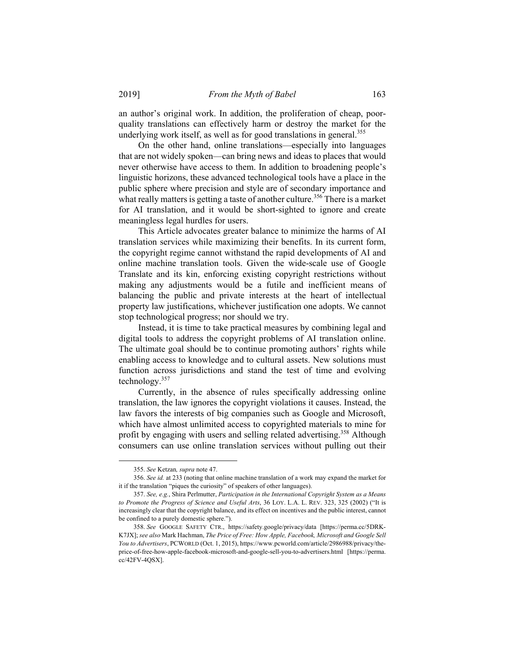an author's original work. In addition, the proliferation of cheap, poorquality translations can effectively harm or destroy the market for the underlying work itself, as well as for good translations in general.<sup>355</sup>

On the other hand, online translations—especially into languages that are not widely spoken—can bring news and ideas to places that would never otherwise have access to them. In addition to broadening people's linguistic horizons, these advanced technological tools have a place in the public sphere where precision and style are of secondary importance and what really matters is getting a taste of another culture.<sup>356</sup> There is a market for AI translation, and it would be short-sighted to ignore and create meaningless legal hurdles for users.

This Article advocates greater balance to minimize the harms of AI translation services while maximizing their benefits. In its current form, the copyright regime cannot withstand the rapid developments of AI and online machine translation tools. Given the wide-scale use of Google Translate and its kin, enforcing existing copyright restrictions without making any adjustments would be a futile and inefficient means of balancing the public and private interests at the heart of intellectual property law justifications, whichever justification one adopts. We cannot stop technological progress; nor should we try.

Instead, it is time to take practical measures by combining legal and digital tools to address the copyright problems of AI translation online. The ultimate goal should be to continue promoting authors' rights while enabling access to knowledge and to cultural assets. New solutions must function across jurisdictions and stand the test of time and evolving technology.357

Currently, in the absence of rules specifically addressing online translation, the law ignores the copyright violations it causes. Instead, the law favors the interests of big companies such as Google and Microsoft, which have almost unlimited access to copyrighted materials to mine for profit by engaging with users and selling related advertising.<sup>358</sup> Although consumers can use online translation services without pulling out their

 <sup>355.</sup> *See* Ketzan*, supra* note 47.

<sup>356.</sup> *See id.* at 233 (noting that online machine translation of a work may expand the market for it if the translation "piques the curiosity" of speakers of other languages).

<sup>357.</sup> *See, e.g.*, Shira Perlmutter, *Participation in the International Copyright System as a Means to Promote the Progress of Science and Useful Arts*, 36 LOY. L.A. L. REV. 323, 325 (2002) ("It is increasingly clear that the copyright balance, and its effect on incentives and the public interest, cannot be confined to a purely domestic sphere.").

<sup>358.</sup> *See* GOOGLE SAFETY CTR., https://safety.google/privacy/data [https://perma.cc/5DRK-K7JX]; *see also* Mark Hachman, *The Price of Free: How Apple, Facebook, Microsoft and Google Sell You to Advertisers*, PCWORLD (Oct. 1, 2015), https://www.pcworld.com/article/2986988/privacy/theprice-of-free-how-apple-facebook-microsoft-and-google-sell-you-to-advertisers.html [https://perma. cc/42FV-4QSX].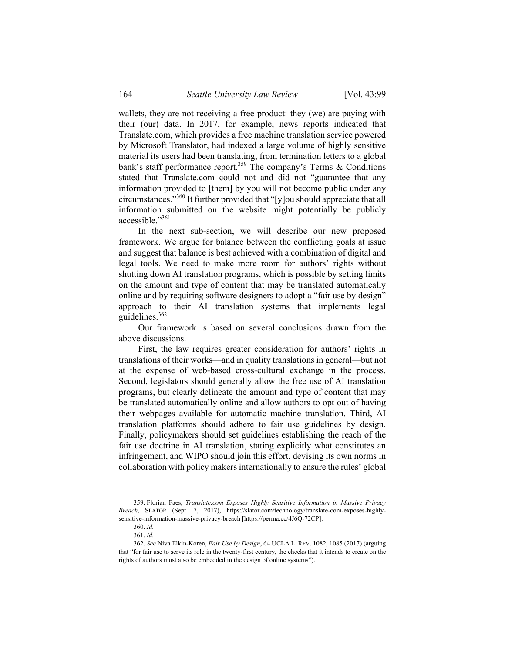wallets, they are not receiving a free product: they (we) are paying with their (our) data. In 2017, for example, news reports indicated that Translate.com, which provides a free machine translation service powered by Microsoft Translator, had indexed a large volume of highly sensitive material its users had been translating, from termination letters to a global bank's staff performance report.<sup>359</sup> The company's Terms  $\&$  Conditions stated that Translate.com could not and did not "guarantee that any information provided to [them] by you will not become public under any circumstances."360 It further provided that "[y]ou should appreciate that all information submitted on the website might potentially be publicly accessible."<sup>361</sup>

In the next sub-section, we will describe our new proposed framework. We argue for balance between the conflicting goals at issue and suggest that balance is best achieved with a combination of digital and legal tools. We need to make more room for authors' rights without shutting down AI translation programs, which is possible by setting limits on the amount and type of content that may be translated automatically online and by requiring software designers to adopt a "fair use by design" approach to their AI translation systems that implements legal guidelines.362

Our framework is based on several conclusions drawn from the above discussions.

First, the law requires greater consideration for authors' rights in translations of their works—and in quality translations in general—but not at the expense of web-based cross-cultural exchange in the process. Second, legislators should generally allow the free use of AI translation programs, but clearly delineate the amount and type of content that may be translated automatically online and allow authors to opt out of having their webpages available for automatic machine translation. Third, AI translation platforms should adhere to fair use guidelines by design. Finally, policymakers should set guidelines establishing the reach of the fair use doctrine in AI translation, stating explicitly what constitutes an infringement, and WIPO should join this effort, devising its own norms in collaboration with policy makers internationally to ensure the rules' global

 <sup>359.</sup> Florian Faes, *Translate.com Exposes Highly Sensitive Information in Massive Privacy Breach*, SLATOR (Sept. 7, 2017), https://slator.com/technology/translate-com-exposes-highlysensitive-information-massive-privacy-breach [https://perma.cc/4J6Q-72CP].

<sup>360.</sup> *Id.*

<sup>361.</sup> *Id.*

<sup>362.</sup> *See* Niva Elkin-Koren, *Fair Use by Design*, 64 UCLA L. REV. 1082, 1085 (2017) (arguing that "for fair use to serve its role in the twenty-first century, the checks that it intends to create on the rights of authors must also be embedded in the design of online systems").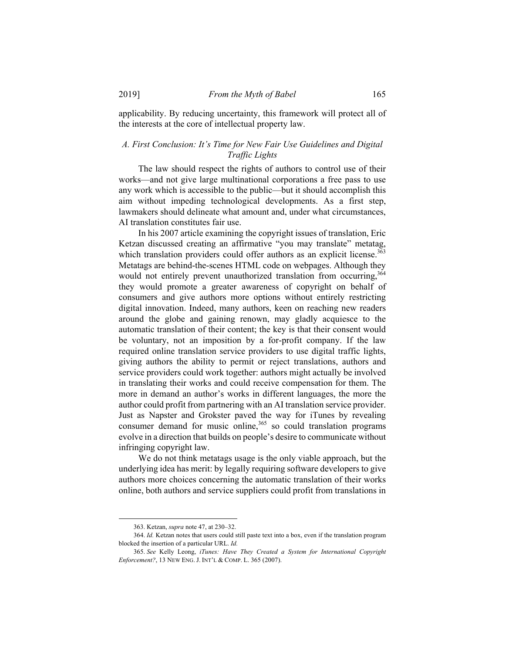applicability. By reducing uncertainty, this framework will protect all of the interests at the core of intellectual property law.

# *A. First Conclusion: It's Time for New Fair Use Guidelines and Digital Traffic Lights*

The law should respect the rights of authors to control use of their works—and not give large multinational corporations a free pass to use any work which is accessible to the public—but it should accomplish this aim without impeding technological developments. As a first step, lawmakers should delineate what amount and, under what circumstances, AI translation constitutes fair use.

In his 2007 article examining the copyright issues of translation, Eric Ketzan discussed creating an affirmative "you may translate" metatag, which translation providers could offer authors as an explicit license.<sup>363</sup> Metatags are behind-the-scenes HTML code on webpages. Although they would not entirely prevent unauthorized translation from occurring, 364 they would promote a greater awareness of copyright on behalf of consumers and give authors more options without entirely restricting digital innovation. Indeed, many authors, keen on reaching new readers around the globe and gaining renown, may gladly acquiesce to the automatic translation of their content; the key is that their consent would be voluntary, not an imposition by a for-profit company. If the law required online translation service providers to use digital traffic lights, giving authors the ability to permit or reject translations, authors and service providers could work together: authors might actually be involved in translating their works and could receive compensation for them. The more in demand an author's works in different languages, the more the author could profit from partnering with an AI translation service provider. Just as Napster and Grokster paved the way for iTunes by revealing consumer demand for music online, $365$  so could translation programs evolve in a direction that builds on people's desire to communicate without infringing copyright law.

We do not think metatags usage is the only viable approach, but the underlying idea has merit: by legally requiring software developers to give authors more choices concerning the automatic translation of their works online, both authors and service suppliers could profit from translations in

1

 <sup>363.</sup> Ketzan, *supra* note 47, at 230–32.

<sup>364.</sup> *Id.* Ketzan notes that users could still paste text into a box, even if the translation program blocked the insertion of a particular URL. *Id.*

<sup>365.</sup> *See* Kelly Leong, *iTunes: Have They Created a System for International Copyright Enforcement?*, 13 NEW ENG. J. INT'L & COMP. L. 365 (2007).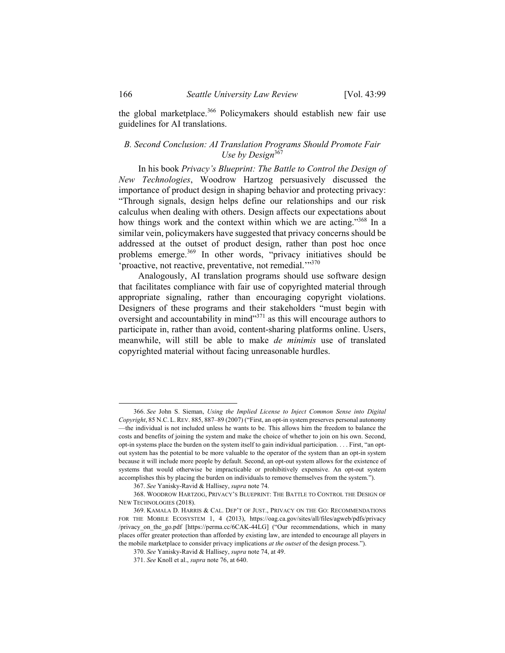the global marketplace.<sup>366</sup> Policymakers should establish new fair use guidelines for AI translations.

# *B. Second Conclusion: AI Translation Programs Should Promote Fair Use by Design*<sup>367</sup>

In his book *Privacy's Blueprint: The Battle to Control the Design of New Technologies*, Woodrow Hartzog persuasively discussed the importance of product design in shaping behavior and protecting privacy: "Through signals, design helps define our relationships and our risk calculus when dealing with others. Design affects our expectations about how things work and the context within which we are acting."<sup>368</sup> In a similar vein, policymakers have suggested that privacy concerns should be addressed at the outset of product design, rather than post hoc once problems emerge.<sup>369</sup> In other words, "privacy initiatives should be 'proactive, not reactive, preventative, not remedial."<sup>370</sup>

Analogously, AI translation programs should use software design that facilitates compliance with fair use of copyrighted material through appropriate signaling, rather than encouraging copyright violations. Designers of these programs and their stakeholders "must begin with oversight and accountability in mind"371 as this will encourage authors to participate in, rather than avoid, content-sharing platforms online. Users, meanwhile, will still be able to make *de minimis* use of translated copyrighted material without facing unreasonable hurdles.

 <sup>366.</sup> *See* John S. Sieman, *Using the Implied License to Inject Common Sense into Digital Copyright*, 85 N.C. L. REV. 885, 887–89 (2007) ("First, an opt-in system preserves personal autonomy —the individual is not included unless he wants to be. This allows him the freedom to balance the costs and benefits of joining the system and make the choice of whether to join on his own. Second, opt-in systems place the burden on the system itself to gain individual participation. . . . First, "an optout system has the potential to be more valuable to the operator of the system than an opt-in system because it will include more people by default. Second, an opt-out system allows for the existence of systems that would otherwise be impracticable or prohibitively expensive. An opt-out system accomplishes this by placing the burden on individuals to remove themselves from the system.").

<sup>367.</sup> *See* Yanisky-Ravid & Hallisey, *supra* note 74.

 <sup>368.</sup> WOODROW HARTZOG, PRIVACY'S BLUEPRINT: THE BATTLE TO CONTROL THE DESIGN OF NEW TECHNOLOGIES (2018).

 <sup>369.</sup> KAMALA D. HARRIS & CAL. DEP'T OF JUST., PRIVACY ON THE GO: RECOMMENDATIONS FOR THE MOBILE ECOSYSTEM 1, 4 (2013), https://oag.ca.gov/sites/all/files/agweb/pdfs/privacy /privacy\_on\_the\_go.pdf [https://perma.cc/6CAK-44LG] ("Our recommendations, which in many places offer greater protection than afforded by existing law, are intended to encourage all players in the mobile marketplace to consider privacy implications *at the outset* of the design process.").

<sup>370.</sup> *See* Yanisky-Ravid & Hallisey, *supra* note 74, at 49.

<sup>371.</sup> *See* Knoll et al., *supra* note 76, at 640.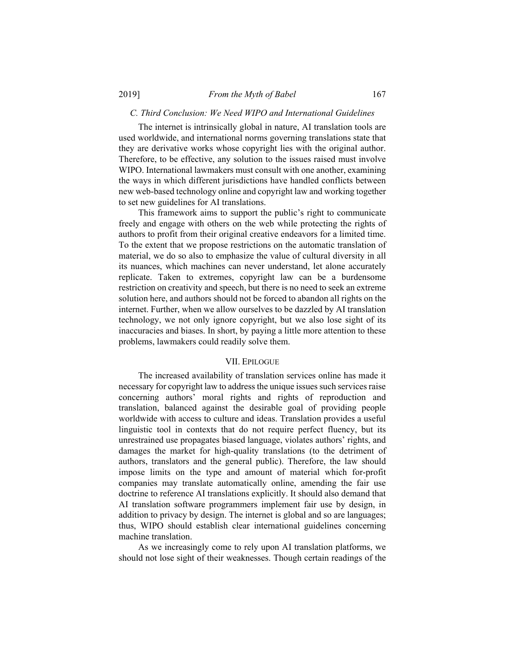### *C. Third Conclusion: We Need WIPO and International Guidelines*

The internet is intrinsically global in nature, AI translation tools are used worldwide, and international norms governing translations state that they are derivative works whose copyright lies with the original author. Therefore, to be effective, any solution to the issues raised must involve WIPO. International lawmakers must consult with one another, examining the ways in which different jurisdictions have handled conflicts between new web-based technology online and copyright law and working together to set new guidelines for AI translations.

This framework aims to support the public's right to communicate freely and engage with others on the web while protecting the rights of authors to profit from their original creative endeavors for a limited time. To the extent that we propose restrictions on the automatic translation of material, we do so also to emphasize the value of cultural diversity in all its nuances, which machines can never understand, let alone accurately replicate. Taken to extremes, copyright law can be a burdensome restriction on creativity and speech, but there is no need to seek an extreme solution here, and authors should not be forced to abandon all rights on the internet. Further, when we allow ourselves to be dazzled by AI translation technology, we not only ignore copyright, but we also lose sight of its inaccuracies and biases. In short, by paying a little more attention to these problems, lawmakers could readily solve them.

### VII. EPILOGUE

The increased availability of translation services online has made it necessary for copyright law to address the unique issues such services raise concerning authors' moral rights and rights of reproduction and translation, balanced against the desirable goal of providing people worldwide with access to culture and ideas. Translation provides a useful linguistic tool in contexts that do not require perfect fluency, but its unrestrained use propagates biased language, violates authors' rights, and damages the market for high-quality translations (to the detriment of authors, translators and the general public). Therefore, the law should impose limits on the type and amount of material which for-profit companies may translate automatically online, amending the fair use doctrine to reference AI translations explicitly. It should also demand that AI translation software programmers implement fair use by design, in addition to privacy by design. The internet is global and so are languages; thus, WIPO should establish clear international guidelines concerning machine translation.

As we increasingly come to rely upon AI translation platforms, we should not lose sight of their weaknesses. Though certain readings of the